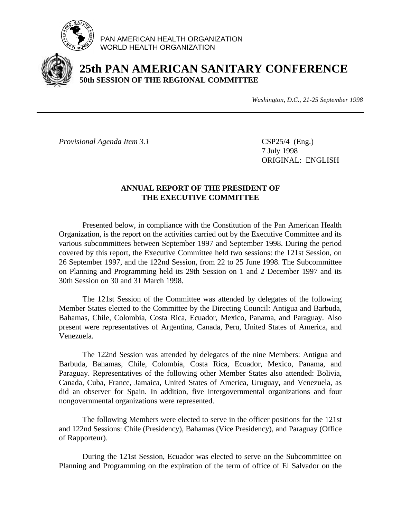

PAN AMERICAN HEALTH ORGANIZATION WORLD HEALTH ORGANIZATION



# **25th PAN AMERICAN SANITARY CONFERENCE 50th SESSION OF THE REGIONAL COMMITTEE**

*Washington, D.C., 21-25 September 1998*

*Provisional Agenda Item 3.1* CSP25/4 (Eng.)

7 July 1998 ORIGINAL: ENGLISH

# **ANNUAL REPORT OF THE PRESIDENT OF THE EXECUTIVE COMMITTEE**

Presented below, in compliance with the Constitution of the Pan American Health Organization, is the report on the activities carried out by the Executive Committee and its various subcommittees between September 1997 and September 1998. During the period covered by this report, the Executive Committee held two sessions: the 121st Session, on 26 September 1997, and the 122nd Session, from 22 to 25 June 1998. The Subcommittee on Planning and Programming held its 29th Session on 1 and 2 December 1997 and its 30th Session on 30 and 31 March 1998.

The 121st Session of the Committee was attended by delegates of the following Member States elected to the Committee by the Directing Council: Antigua and Barbuda, Bahamas, Chile, Colombia, Costa Rica, Ecuador, Mexico, Panama, and Paraguay. Also present were representatives of Argentina, Canada, Peru, United States of America, and Venezuela.

The 122nd Session was attended by delegates of the nine Members: Antigua and Barbuda, Bahamas, Chile, Colombia, Costa Rica, Ecuador, Mexico, Panama, and Paraguay. Representatives of the following other Member States also attended: Bolivia, Canada, Cuba, France, Jamaica, United States of America, Uruguay, and Venezuela, as did an observer for Spain. In addition, five intergovernmental organizations and four nongovernmental organizations were represented.

The following Members were elected to serve in the officer positions for the 121st and 122nd Sessions: Chile (Presidency), Bahamas (Vice Presidency), and Paraguay (Office of Rapporteur).

During the 121st Session, Ecuador was elected to serve on the Subcommittee on Planning and Programming on the expiration of the term of office of El Salvador on the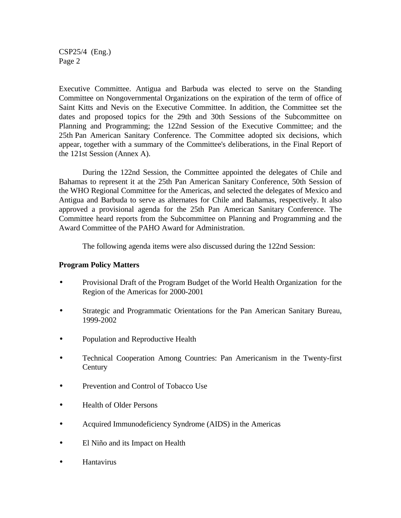CSP25/4 (Eng.) Page 2

Executive Committee. Antigua and Barbuda was elected to serve on the Standing Committee on Nongovernmental Organizations on the expiration of the term of office of Saint Kitts and Nevis on the Executive Committee. In addition, the Committee set the dates and proposed topics for the 29th and 30th Sessions of the Subcommittee on Planning and Programming; the 122nd Session of the Executive Committee; and the 25th Pan American Sanitary Conference. The Committee adopted six decisions, which appear, together with a summary of the Committee's deliberations, in the Final Report of the 121st Session (Annex A).

During the 122nd Session, the Committee appointed the delegates of Chile and Bahamas to represent it at the 25th Pan American Sanitary Conference, 50th Session of the WHO Regional Committee for the Americas, and selected the delegates of Mexico and Antigua and Barbuda to serve as alternates for Chile and Bahamas, respectively. It also approved a provisional agenda for the 25th Pan American Sanitary Conference. The Committee heard reports from the Subcommittee on Planning and Programming and the Award Committee of the PAHO Award for Administration.

The following agenda items were also discussed during the 122nd Session:

## **Program Policy Matters**

- Provisional Draft of the Program Budget of the World Health Organization for the Region of the Americas for 2000-2001
- Strategic and Programmatic Orientations for the Pan American Sanitary Bureau, 1999-2002
- Population and Reproductive Health
- Technical Cooperation Among Countries: Pan Americanism in the Twenty-first **Century**
- Prevention and Control of Tobacco Use
- Health of Older Persons
- Acquired Immunodeficiency Syndrome (AIDS) in the Americas
- El Niño and its Impact on Health
- Hantavirus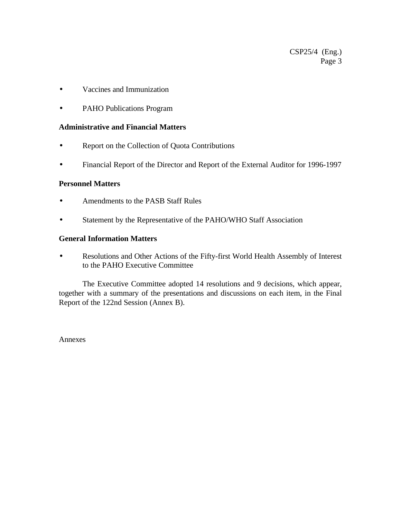- Vaccines and Immunization
- PAHO Publications Program

## **Administrative and Financial Matters**

- Report on the Collection of Quota Contributions
- Financial Report of the Director and Report of the External Auditor for 1996-1997

# **Personnel Matters**

- Amendments to the PASB Staff Rules
- Statement by the Representative of the PAHO/WHO Staff Association

## **General Information Matters**

• Resolutions and Other Actions of the Fifty-first World Health Assembly of Interest to the PAHO Executive Committee

The Executive Committee adopted 14 resolutions and 9 decisions, which appear, together with a summary of the presentations and discussions on each item, in the Final Report of the 122nd Session (Annex B).

Annexes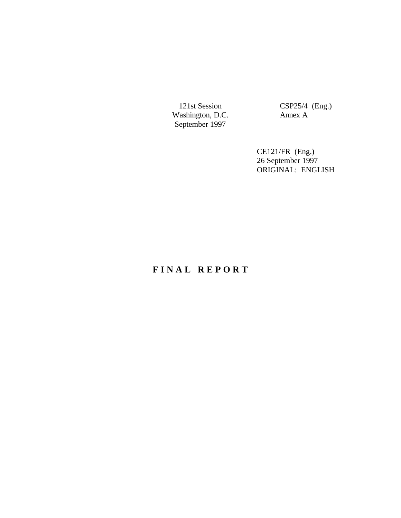Washington, D.C. Annex A September 1997

121st Session CSP25/4 (Eng.)

CE121/FR (Eng.) 26 September 1997 ORIGINAL: ENGLISH

# **F I N A L R E P O R T**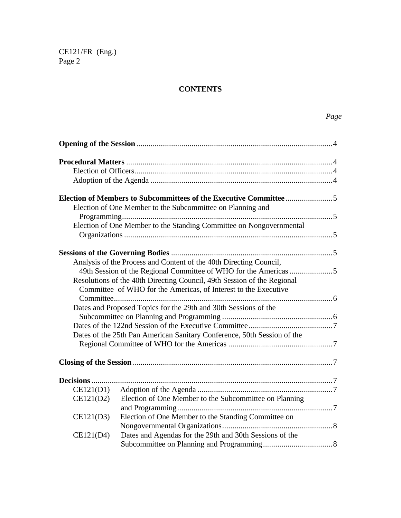# **CONTENTS**

|           | Election of One Member to the Subcommittee on Planning and              |  |
|-----------|-------------------------------------------------------------------------|--|
|           |                                                                         |  |
|           | Election of One Member to the Standing Committee on Nongovernmental     |  |
|           |                                                                         |  |
|           |                                                                         |  |
|           |                                                                         |  |
|           | Analysis of the Process and Content of the 40th Directing Council,      |  |
|           |                                                                         |  |
|           | Resolutions of the 40th Directing Council, 49th Session of the Regional |  |
|           | Committee of WHO for the Americas, of Interest to the Executive         |  |
|           |                                                                         |  |
|           | Dates and Proposed Topics for the 29th and 30th Sessions of the         |  |
|           |                                                                         |  |
|           |                                                                         |  |
|           | Dates of the 25th Pan American Sanitary Conference, 50th Session of the |  |
|           |                                                                         |  |
|           |                                                                         |  |
|           |                                                                         |  |
|           |                                                                         |  |
| CE121(D1) |                                                                         |  |
| CE121(D2) | Election of One Member to the Subcommittee on Planning                  |  |
|           |                                                                         |  |
| CE121(D3) | Election of One Member to the Standing Committee on                     |  |
|           |                                                                         |  |
| CE121(D4) | Dates and Agendas for the 29th and 30th Sessions of the                 |  |
|           |                                                                         |  |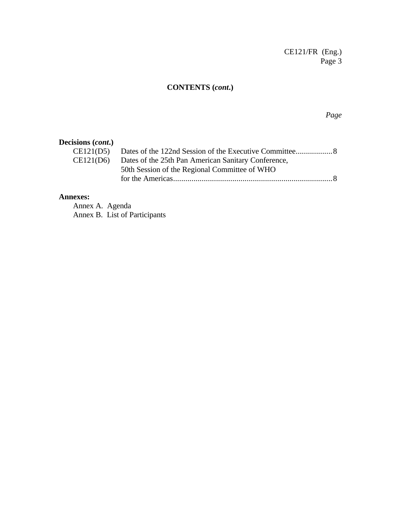# **CONTENTS (***cont***.)**

*Page*

# **Decisions (***cont***.)**

| CE121(D6) Dates of the 25th Pan American Sanitary Conference, |
|---------------------------------------------------------------|
| 50th Session of the Regional Committee of WHO                 |
|                                                               |
|                                                               |

## **Annexes:**

Annex A. Agenda Annex B. List of Participants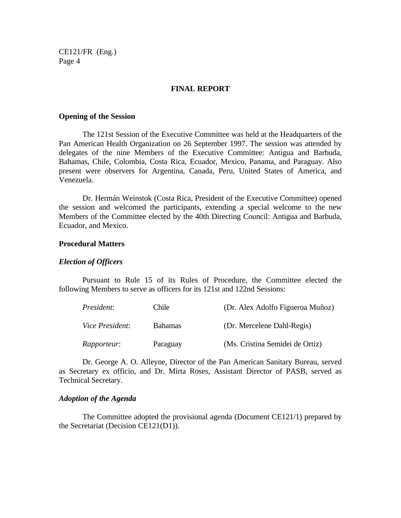#### **FINAL REPORT**

#### **Opening of the Session**

The 121st Session of the Executive Committee was held at the Headquarters of the Pan American Health Organization on 26 September 1997. The session was attended by delegates of the nine Members of the Executive Committee: Antigua and Barbuda, Bahamas, Chile, Colombia, Costa Rica, Ecuador, Mexico, Panama, and Paraguay. Also present were observers for Argentina, Canada, Peru, United States of America, and Venezuela.

Dr. Hermán Weinstok (Costa Rica, President of the Executive Committee) opened the session and welcomed the participants, extending a special welcome to the new Members of the Committee elected by the 40th Directing Council: Antigua and Barbuda, Ecuador, and Mexico.

#### **Procedural Matters**

#### *Election of Officers*

Pursuant to Rule 15 of its Rules of Procedure, the Committee elected the following Members to serve as officers for its 121st and 122nd Sessions:

| President:             | Chile          | (Dr. Alex Adolfo Figueroa Muñoz) |
|------------------------|----------------|----------------------------------|
| <i>Vice President:</i> | <b>Bahamas</b> | (Dr. Mercelene Dahl-Regis)       |
| Rapporteur:            | Paraguay       | (Ms. Cristina Semidei de Ortiz)  |

Dr. George A. O. Alleyne, Director of the Pan American Sanitary Bureau, served as Secretary ex officio, and Dr. Mirta Roses, Assistant Director of PASB, served as Technical Secretary.

#### *Adoption of the Agenda*

The Committee adopted the provisional agenda (Document CE121/1) prepared by the Secretariat (Decision CE121(D1)).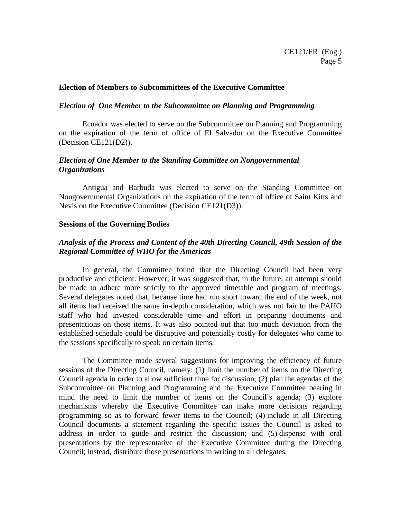## **Election of Members to Subcommittees of the Executive Committee**

#### *Election of One Member to the Subcommittee on Planning and Programming*

Ecuador was elected to serve on the Subcommittee on Planning and Programming on the expiration of the term of office of El Salvador on the Executive Committee (Decision CE121(D2)).

# *Election of One Member to the Standing Committee on Nongovernmental Organizations*

Antigua and Barbuda was elected to serve on the Standing Committee on Nongovernmental Organizations on the expiration of the term of office of Saint Kitts and Nevis on the Executive Committee (Decision CE121(D3)).

#### **Sessions of the Governing Bodies**

# *Analysis of the Process and Content of the 40th Directing Council, 49th Session of the Regional Committee of WHO for the Americas*

In general, the Committee found that the Directing Council had been very productive and efficient. However, it was suggested that, in the future, an attempt should be made to adhere more strictly to the approved timetable and program of meetings. Several delegates noted that, because time had run short toward the end of the week, not all items had received the same in-depth consideration, which was not fair to the PAHO staff who had invested considerable time and effort in preparing documents and presentations on those items. It was also pointed out that too much deviation from the established schedule could be disruptive and potentially costly for delegates who came to the sessions specifically to speak on certain items.

The Committee made several suggestions for improving the efficiency of future sessions of the Directing Council, namely: (1) limit the number of items on the Directing Council agenda in order to allow sufficient time for discussion; (2) plan the agendas of the Subcommittee on Planning and Programming and the Executive Committee bearing in mind the need to limit the number of items on the Council's agenda; (3) explore mechanisms whereby the Executive Committee can make more decisions regarding programming so as to forward fewer items to the Council; (4) include in all Directing Council documents a statement regarding the specific issues the Council is asked to address in order to guide and restrict the discussion; and (5) dispense with oral presentations by the representative of the Executive Committee during the Directing Council; instead, distribute those presentations in writing to all delegates.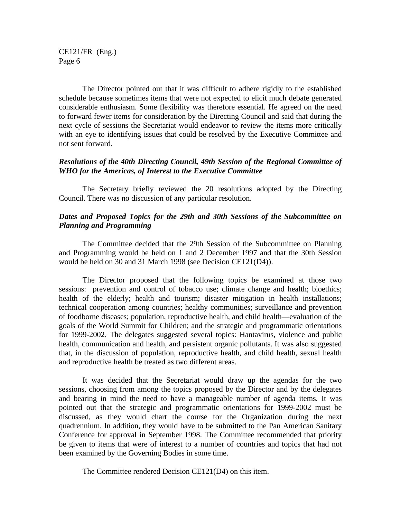The Director pointed out that it was difficult to adhere rigidly to the established schedule because sometimes items that were not expected to elicit much debate generated considerable enthusiasm. Some flexibility was therefore essential. He agreed on the need to forward fewer items for consideration by the Directing Council and said that during the next cycle of sessions the Secretariat would endeavor to review the items more critically with an eye to identifying issues that could be resolved by the Executive Committee and not sent forward.

## *Resolutions of the 40th Directing Council, 49th Session of the Regional Committee of WHO for the Americas, of Interest to the Executive Committee*

The Secretary briefly reviewed the 20 resolutions adopted by the Directing Council. There was no discussion of any particular resolution.

# *Dates and Proposed Topics for the 29th and 30th Sessions of the Subcommittee on Planning and Programming*

The Committee decided that the 29th Session of the Subcommittee on Planning and Programming would be held on 1 and 2 December 1997 and that the 30th Session would be held on 30 and 31 March 1998 (see Decision CE121(D4)).

The Director proposed that the following topics be examined at those two sessions: prevention and control of tobacco use; climate change and health; bioethics; health of the elderly; health and tourism; disaster mitigation in health installations; technical cooperation among countries; healthy communities; surveillance and prevention of foodborne diseases; population, reproductive health, and child health—evaluation of the goals of the World Summit for Children; and the strategic and programmatic orientations for 1999-2002. The delegates suggested several topics: Hantavirus, violence and public health, communication and health, and persistent organic pollutants. It was also suggested that, in the discussion of population, reproductive health, and child health, sexual health and reproductive health be treated as two different areas.

It was decided that the Secretariat would draw up the agendas for the two sessions, choosing from among the topics proposed by the Director and by the delegates and bearing in mind the need to have a manageable number of agenda items. It was pointed out that the strategic and programmatic orientations for 1999-2002 must be discussed, as they would chart the course for the Organization during the next quadrennium. In addition, they would have to be submitted to the Pan American Sanitary Conference for approval in September 1998. The Committee recommended that priority be given to items that were of interest to a number of countries and topics that had not been examined by the Governing Bodies in some time.

The Committee rendered Decision CE121(D4) on this item.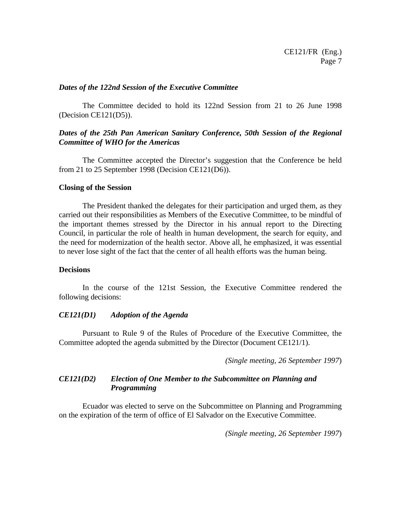#### *Dates of the 122nd Session of the Executive Committee*

The Committee decided to hold its 122nd Session from 21 to 26 June 1998 (Decision CE121(D5)).

# *Dates of the 25th Pan American Sanitary Conference, 50th Session of the Regional Committee of WHO for the Americas*

The Committee accepted the Director's suggestion that the Conference be held from 21 to 25 September 1998 (Decision CE121(D6)).

#### **Closing of the Session**

The President thanked the delegates for their participation and urged them, as they carried out their responsibilities as Members of the Executive Committee, to be mindful of the important themes stressed by the Director in his annual report to the Directing Council, in particular the role of health in human development, the search for equity, and the need for modernization of the health sector. Above all, he emphasized, it was essential to never lose sight of the fact that the center of all health efforts was the human being.

#### **Decisions**

In the course of the 121st Session, the Executive Committee rendered the following decisions:

## *CE121(D1) Adoption of the Agenda*

Pursuant to Rule 9 of the Rules of Procedure of the Executive Committee, the Committee adopted the agenda submitted by the Director (Document CE121/1).

 *(Single meeting*, *26 September 1997*)

# *CE121(D2) Election of One Member to the Subcommittee on Planning and Programming*

Ecuador was elected to serve on the Subcommittee on Planning and Programming on the expiration of the term of office of El Salvador on the Executive Committee.

*(Single meeting*, *26 September 1997*)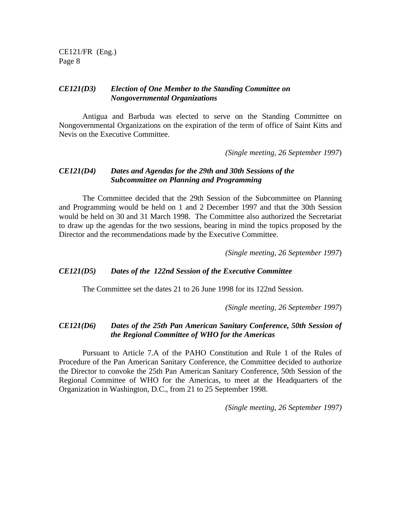#### *CE121(D3) Election of One Member to the Standing Committee on Nongovernmental Organizations*

Antigua and Barbuda was elected to serve on the Standing Committee on Nongovernmental Organizations on the expiration of the term of office of Saint Kitts and Nevis on the Executive Committee.

*(Single meeting*, *26 September 1997*)

#### *CE121(D4) Dates and Agendas for the 29th and 30th Sessions of the Subcommittee on Planning and Programming*

The Committee decided that the 29th Session of the Subcommittee on Planning and Programming would be held on 1 and 2 December 1997 and that the 30th Session would be held on 30 and 31 March 1998. The Committee also authorized the Secretariat to draw up the agendas for the two sessions, bearing in mind the topics proposed by the Director and the recommendations made by the Executive Committee.

*(Single meeting*, *26 September 1997*)

#### *CE121(D5) Dates of the 122nd Session of the Executive Committee*

The Committee set the dates 21 to 26 June 1998 for its 122nd Session.

*(Single meeting*, *26 September 1997*)

#### *CE121(D6) Dates of the 25th Pan American Sanitary Conference, 50th Session of the Regional Committee of WHO for the Americas*

Pursuant to Article 7.A of the PAHO Constitution and Rule 1 of the Rules of Procedure of the Pan American Sanitary Conference, the Committee decided to authorize the Director to convoke the 25th Pan American Sanitary Conference, 50th Session of the Regional Committee of WHO for the Americas, to meet at the Headquarters of the Organization in Washington, D.C., from 21 to 25 September 1998.

*(Single meeting*, *26 September 1997)*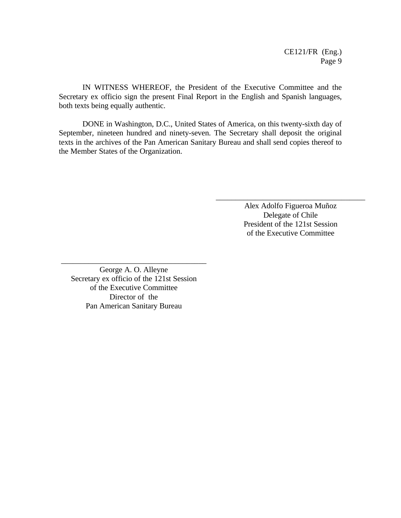IN WITNESS WHEREOF, the President of the Executive Committee and the Secretary ex officio sign the present Final Report in the English and Spanish languages, both texts being equally authentic.

DONE in Washington, D.C., United States of America, on this twenty-sixth day of September, nineteen hundred and ninety-seven. The Secretary shall deposit the original texts in the archives of the Pan American Sanitary Bureau and shall send copies thereof to the Member States of the Organization.

> Alex Adolfo Figueroa Muñoz Delegate of Chile President of the 121st Session of the Executive Committee

\_\_\_\_\_\_\_\_\_\_\_\_\_\_\_\_\_\_\_\_\_\_\_\_\_\_\_\_\_\_\_\_\_\_\_\_\_\_

George A. O. Alleyne Secretary ex officio of the 121st Session of the Executive Committee Director of the Pan American Sanitary Bureau

\_\_\_\_\_\_\_\_\_\_\_\_\_\_\_\_\_\_\_\_\_\_\_\_\_\_\_\_\_\_\_\_\_\_\_\_\_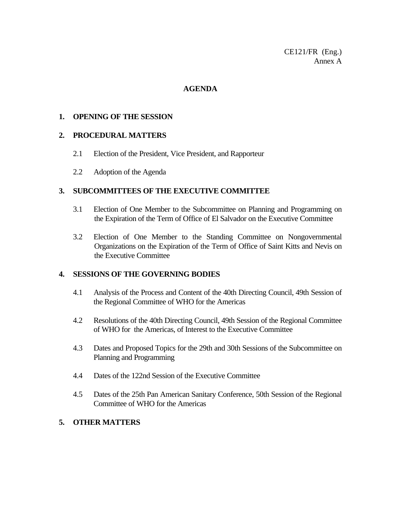CE121/FR (Eng.) Annex A

## **AGENDA**

#### **1. OPENING OF THE SESSION**

#### **2. PROCEDURAL MATTERS**

- 2.1 Election of the President, Vice President, and Rapporteur
- 2.2 Adoption of the Agenda

## **3. SUBCOMMITTEES OF THE EXECUTIVE COMMITTEE**

- 3.1 Election of One Member to the Subcommittee on Planning and Programming on the Expiration of the Term of Office of El Salvador on the Executive Committee
- 3.2 Election of One Member to the Standing Committee on Nongovernmental Organizations on the Expiration of the Term of Office of Saint Kitts and Nevis on the Executive Committee

#### **4. SESSIONS OF THE GOVERNING BODIES**

- 4.1 Analysis of the Process and Content of the 40th Directing Council, 49th Session of the Regional Committee of WHO for the Americas
- 4.2 Resolutions of the 40th Directing Council, 49th Session of the Regional Committee of WHO for the Americas, of Interest to the Executive Committee
- 4.3 Dates and Proposed Topics for the 29th and 30th Sessions of the Subcommittee on Planning and Programming
- 4.4 Dates of the 122nd Session of the Executive Committee
- 4.5 Dates of the 25th Pan American Sanitary Conference, 50th Session of the Regional Committee of WHO for the Americas

# **5. OTHER MATTERS**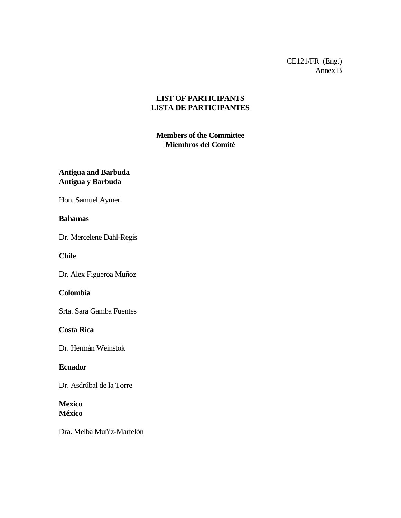CE121/FR (Eng.) Annex B

# **LIST OF PARTICIPANTS LISTA DE PARTICIPANTES**

# **Members of the Committee Miembros del Comité**

**Antigua and Barbuda Antigua y Barbuda**

Hon. Samuel Aymer

## **Bahamas**

Dr. Mercelene Dahl-Regis

**Chile**

Dr. Alex Figueroa Muñoz

# **Colombia**

Srta. Sara Gamba Fuentes

## **Costa Rica**

Dr. Hermán Weinstok

## **Ecuador**

Dr. Asdrúbal de la Torre

# **Mexico México**

Dra. Melba Muñiz-Martelón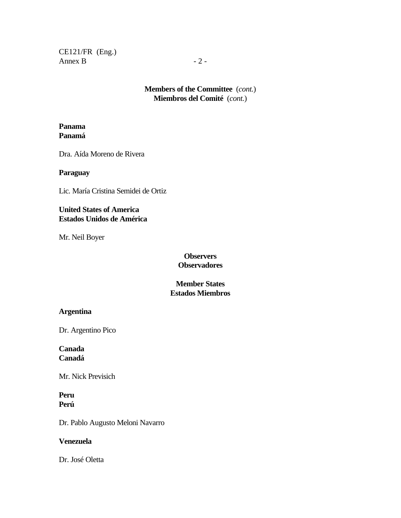CE121/FR (Eng.) Annex B  $-2$  -

> **Members of the Committee** (*cont.*) **Miembros del Comité** (*cont.*)

#### **Panama Panamá**

Dra. Aída Moreno de Rivera

#### **Paraguay**

Lic. María Cristina Semidei de Ortiz

# **United States of America Estados Unidos de América**

Mr. Neil Boyer

# **Observers Observadores**

**Member States Estados Miembros**

# **Argentina**

Dr. Argentino Pico

# **Canada Canadá**

Mr. Nick Previsich

# **Peru Perú**

Dr. Pablo Augusto Meloni Navarro

#### **Venezuela**

Dr. José Oletta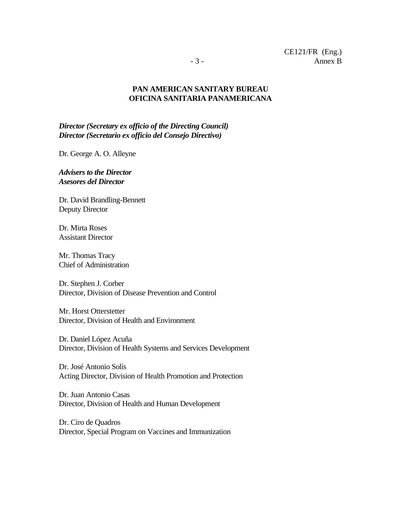# **PAN AMERICAN SANITARY BUREAU OFICINA SANITARIA PANAMERICANA**

*Director (Secretary ex officio of the Directing Council) Director (Secretario ex officio del Consejo Directivo)*

Dr. George A. O. Alleyne

*Advisers to the Director Asesores del Director*

Dr. David Brandling-Bennett Deputy Director

Dr. Mirta Roses Assistant Director

Mr. Thomas Tracy Chief of Administration

Dr. Stephen J. Corber Director, Division of Disease Prevention and Control

Mr. Horst Otterstetter Director, Division of Health and Environment

Dr. Daniel López Acuña Director, Division of Health Systems and Services Development

Dr. José Antonio Solís Acting Director, Division of Health Promotion and Protection

Dr. Juan Antonio Casas Director, Division of Health and Human Development

Dr. Ciro de Quadros Director, Special Program on Vaccines and Immunization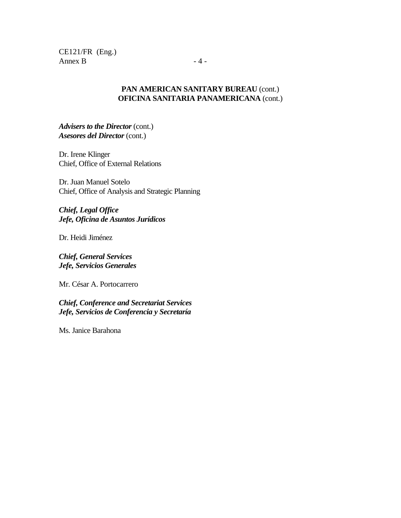CE121/FR (Eng.) Annex B  $-4$  -

## **PAN AMERICAN SANITARY BUREAU** (cont.) **OFICINA SANITARIA PANAMERICANA** (cont.)

*Advisers to the Director* (cont.) *Asesores del Director* (cont.)

Dr. Irene Klinger Chief, Office of External Relations

Dr. Juan Manuel Sotelo Chief, Office of Analysis and Strategic Planning

*Chief, Legal Office Jefe, Oficina de Asuntos Jurídicos*

Dr. Heidi Jiménez

*Chief, General Services Jefe, Servicios Generales*

Mr. César A. Portocarrero

*Chief, Conference and Secretariat Services Jefe, Servicios de Conferencia y Secretaría*

Ms. Janice Barahona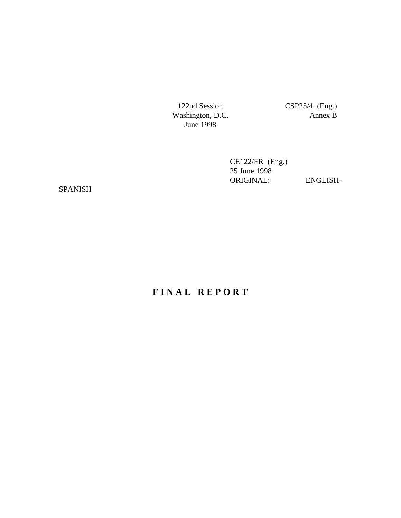Washington, D.C. June 1998

122nd Session CSP25/4 (Eng.)<br>Vashington, D.C. Annex B

CE122/FR (Eng.) 25 June 1998 ORIGINAL: ENGLISH-

SPANISH

# **F I N A L R E P O R T**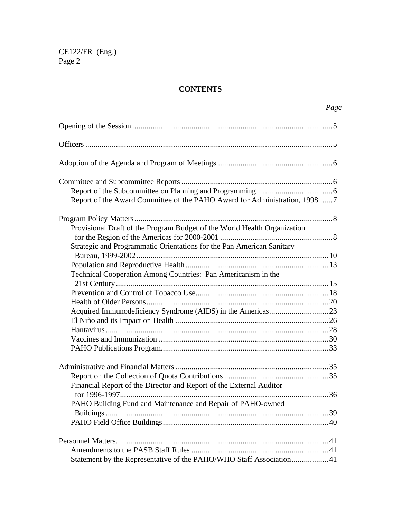# **CONTENTS**

| Page                                                                                        |
|---------------------------------------------------------------------------------------------|
|                                                                                             |
|                                                                                             |
|                                                                                             |
|                                                                                             |
|                                                                                             |
| Report of the Award Committee of the PAHO Award for Administration, 19987                   |
|                                                                                             |
| Provisional Draft of the Program Budget of the World Health Organization                    |
|                                                                                             |
| Strategic and Programmatic Orientations for the Pan American Sanitary                       |
|                                                                                             |
| Technical Cooperation Among Countries: Pan Americanism in the                               |
|                                                                                             |
|                                                                                             |
|                                                                                             |
|                                                                                             |
|                                                                                             |
|                                                                                             |
|                                                                                             |
|                                                                                             |
|                                                                                             |
|                                                                                             |
| Financial Report of the Director and Report of the External Auditor<br>for 1996-1997.<br>36 |
| PAHO Building Fund and Maintenance and Repair of PAHO-owned                                 |
|                                                                                             |
|                                                                                             |
|                                                                                             |
|                                                                                             |
| Statement by the Representative of the PAHO/WHO Staff Association41                         |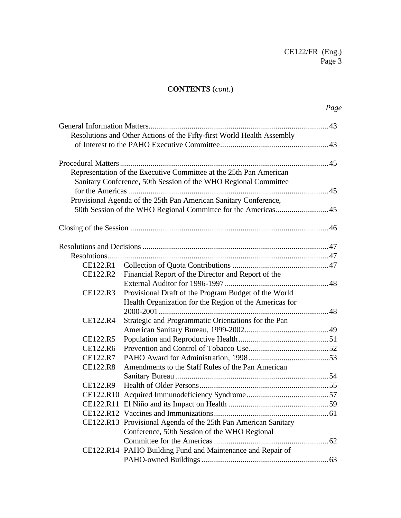# **CONTENTS** (*cont.*)

|          | Resolutions and Other Actions of the Fifty-first World Health Assembly |  |
|----------|------------------------------------------------------------------------|--|
|          |                                                                        |  |
|          |                                                                        |  |
|          |                                                                        |  |
|          | Representation of the Executive Committee at the 25th Pan American     |  |
|          | Sanitary Conference, 50th Session of the WHO Regional Committee        |  |
|          |                                                                        |  |
|          | Provisional Agenda of the 25th Pan American Sanitary Conference,       |  |
|          |                                                                        |  |
|          |                                                                        |  |
|          |                                                                        |  |
|          |                                                                        |  |
|          |                                                                        |  |
|          |                                                                        |  |
| CE122.R2 | Financial Report of the Director and Report of the                     |  |
|          |                                                                        |  |
| CE122.R3 | Provisional Draft of the Program Budget of the World                   |  |
|          | Health Organization for the Region of the Americas for                 |  |
|          |                                                                        |  |
| CE122.R4 | Strategic and Programmatic Orientations for the Pan                    |  |
|          |                                                                        |  |
| CE122.R5 |                                                                        |  |
| CE122.R6 |                                                                        |  |
| CE122.R7 |                                                                        |  |
| CE122.R8 | Amendments to the Staff Rules of the Pan American                      |  |
| CE122.R9 |                                                                        |  |
|          |                                                                        |  |
|          |                                                                        |  |
|          |                                                                        |  |
|          |                                                                        |  |
|          | CE122.R13 Provisional Agenda of the 25th Pan American Sanitary         |  |
|          | Conference, 50th Session of the WHO Regional                           |  |
|          |                                                                        |  |
|          | CE122.R14 PAHO Building Fund and Maintenance and Repair of             |  |
|          |                                                                        |  |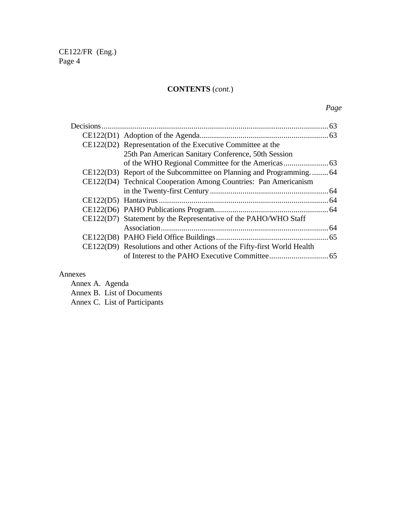# **CONTENTS** (*cont.*)

# *Page*

| CE122(D2) Representation of the Executive Committee at the              |  |
|-------------------------------------------------------------------------|--|
| 25th Pan American Sanitary Conference, 50th Session                     |  |
|                                                                         |  |
| CE122(D3) Report of the Subcommittee on Planning and Programming64      |  |
| CE122(D4) Technical Cooperation Among Countries: Pan Americanism        |  |
|                                                                         |  |
|                                                                         |  |
|                                                                         |  |
| CE122(D7) Statement by the Representative of the PAHO/WHO Staff         |  |
|                                                                         |  |
|                                                                         |  |
| CE122(D9) Resolutions and other Actions of the Fifty-first World Health |  |
|                                                                         |  |
|                                                                         |  |

# Annexes

Annex A. Agenda Annex B. List of Documents Annex C. List of Participants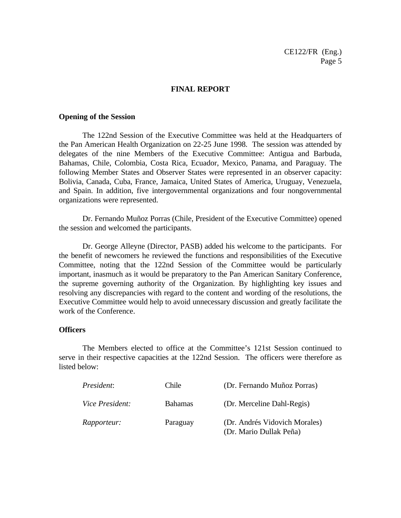#### **FINAL REPORT**

#### **Opening of the Session**

The 122nd Session of the Executive Committee was held at the Headquarters of the Pan American Health Organization on 22-25 June 1998. The session was attended by delegates of the nine Members of the Executive Committee: Antigua and Barbuda, Bahamas, Chile, Colombia, Costa Rica, Ecuador, Mexico, Panama, and Paraguay. The following Member States and Observer States were represented in an observer capacity: Bolivia, Canada, Cuba, France, Jamaica, United States of America, Uruguay, Venezuela, and Spain. In addition, five intergovernmental organizations and four nongovernmental organizations were represented.

Dr. Fernando Muñoz Porras (Chile, President of the Executive Committee) opened the session and welcomed the participants.

Dr. George Alleyne (Director, PASB) added his welcome to the participants. For the benefit of newcomers he reviewed the functions and responsibilities of the Executive Committee, noting that the 122nd Session of the Committee would be particularly important, inasmuch as it would be preparatory to the Pan American Sanitary Conference, the supreme governing authority of the Organization. By highlighting key issues and resolving any discrepancies with regard to the content and wording of the resolutions, the Executive Committee would help to avoid unnecessary discussion and greatly facilitate the work of the Conference.

#### **Officers**

The Members elected to office at the Committee's 121st Session continued to serve in their respective capacities at the 122nd Session. The officers were therefore as listed below:

| President:             | Chile          | (Dr. Fernando Muñoz Porras)                              |
|------------------------|----------------|----------------------------------------------------------|
| <i>Vice President:</i> | <b>Bahamas</b> | (Dr. Merceline Dahl-Regis)                               |
| <i>Rapporteur:</i>     | Paraguay       | (Dr. Andrés Vidovich Morales)<br>(Dr. Mario Dullak Peña) |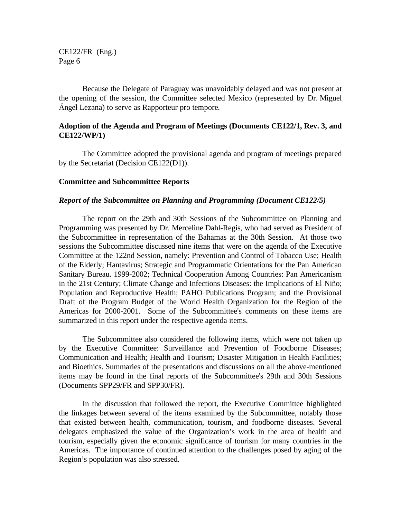Because the Delegate of Paraguay was unavoidably delayed and was not present at the opening of the session, the Committee selected Mexico (represented by Dr. Miguel Ángel Lezana) to serve as Rapporteur pro tempore*.*

### **Adoption of the Agenda and Program of Meetings (Documents CE122/1, Rev. 3, and CE122/WP/1)**

The Committee adopted the provisional agenda and program of meetings prepared by the Secretariat (Decision CE122(D1)).

#### **Committee and Subcommittee Reports**

#### *Report of the Subcommittee on Planning and Programming (Document CE122/5)*

The report on the 29th and 30th Sessions of the Subcommittee on Planning and Programming was presented by Dr. Merceline Dahl-Regis, who had served as President of the Subcommittee in representation of the Bahamas at the 30th Session. At those two sessions the Subcommittee discussed nine items that were on the agenda of the Executive Committee at the 122nd Session, namely: Prevention and Control of Tobacco Use; Health of the Elderly; Hantavirus; Strategic and Programmatic Orientations for the Pan American Sanitary Bureau. 1999-2002; Technical Cooperation Among Countries: Pan Americanism in the 21st Century; Climate Change and Infections Diseases: the Implications of El Niño; Population and Reproductive Health; PAHO Publications Program; and the Provisional Draft of the Program Budget of the World Health Organization for the Region of the Americas for 2000-2001. Some of the Subcommittee's comments on these items are summarized in this report under the respective agenda items.

The Subcommittee also considered the following items, which were not taken up by the Executive Committee: Surveillance and Prevention of Foodborne Diseases; Communication and Health; Health and Tourism; Disaster Mitigation in Health Facilities; and Bioethics. Summaries of the presentations and discussions on all the above-mentioned items may be found in the final reports of the Subcommittee's 29th and 30th Sessions (Documents SPP29/FR and SPP30/FR).

In the discussion that followed the report, the Executive Committee highlighted the linkages between several of the items examined by the Subcommittee, notably those that existed between health, communication, tourism, and foodborne diseases. Several delegates emphasized the value of the Organization's work in the area of health and tourism, especially given the economic significance of tourism for many countries in the Americas. The importance of continued attention to the challenges posed by aging of the Region's population was also stressed.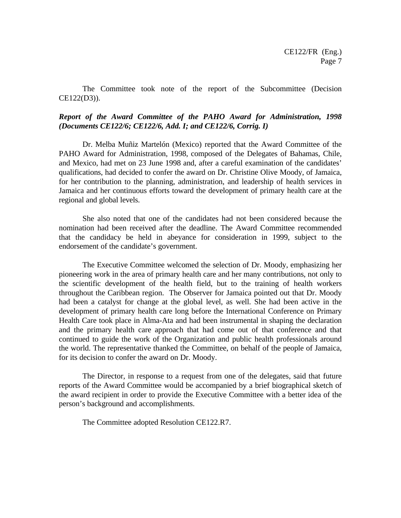The Committee took note of the report of the Subcommittee (Decision CE122(D3)).

# *Report of the Award Committee of the PAHO Award for Administration, 1998 (Documents CE122/6; CE122/6, Add. I; and CE122/6, Corrig. I)*

Dr. Melba Muñiz Martelón (Mexico) reported that the Award Committee of the PAHO Award for Administration, 1998, composed of the Delegates of Bahamas, Chile, and Mexico, had met on 23 June 1998 and, after a careful examination of the candidates' qualifications, had decided to confer the award on Dr. Christine Olive Moody, of Jamaica, for her contribution to the planning, administration, and leadership of health services in Jamaica and her continuous efforts toward the development of primary health care at the regional and global levels.

She also noted that one of the candidates had not been considered because the nomination had been received after the deadline. The Award Committee recommended that the candidacy be held in abeyance for consideration in 1999, subject to the endorsement of the candidate's government.

The Executive Committee welcomed the selection of Dr. Moody, emphasizing her pioneering work in the area of primary health care and her many contributions, not only to the scientific development of the health field, but to the training of health workers throughout the Caribbean region. The Observer for Jamaica pointed out that Dr. Moody had been a catalyst for change at the global level, as well. She had been active in the development of primary health care long before the International Conference on Primary Health Care took place in Alma-Ata and had been instrumental in shaping the declaration and the primary health care approach that had come out of that conference and that continued to guide the work of the Organization and public health professionals around the world. The representative thanked the Committee, on behalf of the people of Jamaica, for its decision to confer the award on Dr. Moody.

The Director, in response to a request from one of the delegates, said that future reports of the Award Committee would be accompanied by a brief biographical sketch of the award recipient in order to provide the Executive Committee with a better idea of the person's background and accomplishments.

The Committee adopted Resolution CE122.R7.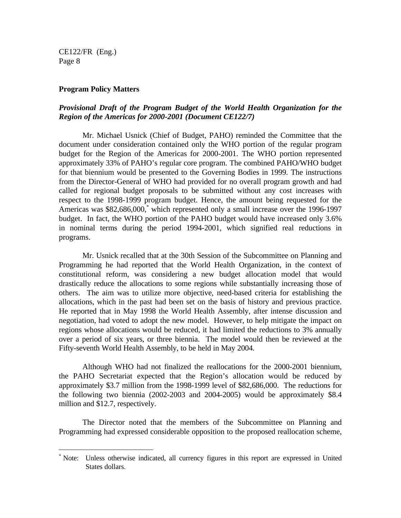$\overline{a}$ 

#### **Program Policy Matters**

# *Provisional Draft of the Program Budget of the World Health Organization for the Region of the Americas for 2000-2001 (Document CE122/7)*

Mr. Michael Usnick (Chief of Budget, PAHO) reminded the Committee that the document under consideration contained only the WHO portion of the regular program budget for the Region of the Americas for 2000-2001. The WHO portion represented approximately 33% of PAHO's regular core program. The combined PAHO/WHO budget for that biennium would be presented to the Governing Bodies in 1999. The instructions from the Director-General of WHO had provided for no overall program growth and had called for regional budget proposals to be submitted without any cost increases with respect to the 1998-1999 program budget. Hence, the amount being requested for the Americas was \$82,686,000,<sup>\*</sup> which represented only a small increase over the 1996-1997 budget. In fact, the WHO portion of the PAHO budget would have increased only 3.6% in nominal terms during the period 1994-2001, which signified real reductions in programs.

Mr. Usnick recalled that at the 30th Session of the Subcommittee on Planning and Programming he had reported that the World Health Organization, in the context of constitutional reform, was considering a new budget allocation model that would drastically reduce the allocations to some regions while substantially increasing those of others. The aim was to utilize more objective, need-based criteria for establishing the allocations, which in the past had been set on the basis of history and previous practice. He reported that in May 1998 the World Health Assembly, after intense discussion and negotiation, had voted to adopt the new model. However, to help mitigate the impact on regions whose allocations would be reduced, it had limited the reductions to 3% annually over a period of six years, or three biennia. The model would then be reviewed at the Fifty-seventh World Health Assembly, to be held in May 2004.

Although WHO had not finalized the reallocations for the 2000-2001 biennium, the PAHO Secretariat expected that the Region's allocation would be reduced by approximately \$3.7 million from the 1998-1999 level of \$82,686,000. The reductions for the following two biennia (2002-2003 and 2004-2005) would be approximately \$8.4 million and \$12.7, respectively.

The Director noted that the members of the Subcommittee on Planning and Programming had expressed considerable opposition to the proposed reallocation scheme,

<sup>\*</sup> Note: Unless otherwise indicated, all currency figures in this report are expressed in United States dollars.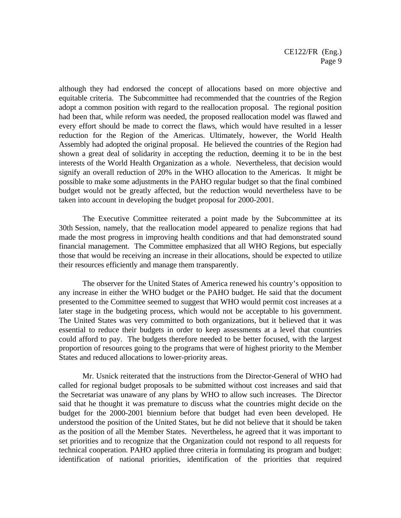although they had endorsed the concept of allocations based on more objective and equitable criteria. The Subcommittee had recommended that the countries of the Region adopt a common position with regard to the reallocation proposal. The regional position had been that, while reform was needed, the proposed reallocation model was flawed and every effort should be made to correct the flaws, which would have resulted in a lesser reduction for the Region of the Americas. Ultimately, however, the World Health Assembly had adopted the original proposal. He believed the countries of the Region had shown a great deal of solidarity in accepting the reduction, deeming it to be in the best interests of the World Health Organization as a whole. Nevertheless, that decision would signify an overall reduction of 20% in the WHO allocation to the Americas. It might be possible to make some adjustments in the PAHO regular budget so that the final combined budget would not be greatly affected, but the reduction would nevertheless have to be taken into account in developing the budget proposal for 2000-2001.

The Executive Committee reiterated a point made by the Subcommittee at its 30th Session, namely, that the reallocation model appeared to penalize regions that had made the most progress in improving health conditions and that had demonstrated sound financial management. The Committee emphasized that all WHO Regions, but especially those that would be receiving an increase in their allocations, should be expected to utilize their resources efficiently and manage them transparently.

The observer for the United States of America renewed his country's opposition to any increase in either the WHO budget or the PAHO budget. He said that the document presented to the Committee seemed to suggest that WHO would permit cost increases at a later stage in the budgeting process, which would not be acceptable to his government. The United States was very committed to both organizations, but it believed that it was essential to reduce their budgets in order to keep assessments at a level that countries could afford to pay. The budgets therefore needed to be better focused, with the largest proportion of resources going to the programs that were of highest priority to the Member States and reduced allocations to lower-priority areas.

Mr. Usnick reiterated that the instructions from the Director-General of WHO had called for regional budget proposals to be submitted without cost increases and said that the Secretariat was unaware of any plans by WHO to allow such increases. The Director said that he thought it was premature to discuss what the countries might decide on the budget for the 2000-2001 biennium before that budget had even been developed. He understood the position of the United States, but he did not believe that it should be taken as the position of all the Member States. Nevertheless, he agreed that it was important to set priorities and to recognize that the Organization could not respond to all requests for technical cooperation. PAHO applied three criteria in formulating its program and budget: identification of national priorities, identification of the priorities that required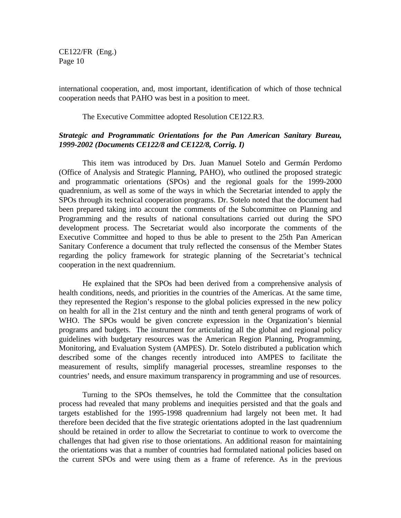international cooperation, and, most important, identification of which of those technical cooperation needs that PAHO was best in a position to meet.

The Executive Committee adopted Resolution CE122.R3.

# *Strategic and Programmatic Orientations for the Pan American Sanitary Bureau, 1999-2002 (Documents CE122/8 and CE122/8, Corrig. I)*

This item was introduced by Drs. Juan Manuel Sotelo and Germán Perdomo (Office of Analysis and Strategic Planning, PAHO), who outlined the proposed strategic and programmatic orientations (SPOs) and the regional goals for the 1999-2000 quadrennium, as well as some of the ways in which the Secretariat intended to apply the SPOs through its technical cooperation programs. Dr. Sotelo noted that the document had been prepared taking into account the comments of the Subcommittee on Planning and Programming and the results of national consultations carried out during the SPO development process. The Secretariat would also incorporate the comments of the Executive Committee and hoped to thus be able to present to the 25th Pan American Sanitary Conference a document that truly reflected the consensus of the Member States regarding the policy framework for strategic planning of the Secretariat's technical cooperation in the next quadrennium.

He explained that the SPOs had been derived from a comprehensive analysis of health conditions, needs, and priorities in the countries of the Americas. At the same time, they represented the Region's response to the global policies expressed in the new policy on health for all in the 21st century and the ninth and tenth general programs of work of WHO. The SPOs would be given concrete expression in the Organization's biennial programs and budgets. The instrument for articulating all the global and regional policy guidelines with budgetary resources was the American Region Planning, Programming, Monitoring, and Evaluation System (AMPES). Dr. Sotelo distributed a publication which described some of the changes recently introduced into AMPES to facilitate the measurement of results, simplify managerial processes, streamline responses to the countries' needs, and ensure maximum transparency in programming and use of resources.

Turning to the SPOs themselves, he told the Committee that the consultation process had revealed that many problems and inequities persisted and that the goals and targets established for the 1995-1998 quadrennium had largely not been met. It had therefore been decided that the five strategic orientations adopted in the last quadrennium should be retained in order to allow the Secretariat to continue to work to overcome the challenges that had given rise to those orientations. An additional reason for maintaining the orientations was that a number of countries had formulated national policies based on the current SPOs and were using them as a frame of reference. As in the previous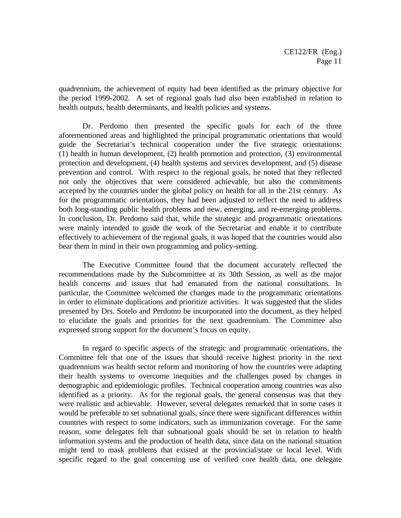quadrennium, the achievement of equity had been identified as the primary objective for the period 1999-2002. A set of regional goals had also been established in relation to health outputs, health determinants, and health policies and systems.

Dr. Perdomo then presented the specific goals for each of the three aforementioned areas and highlighted the principal programmatic orientations that would guide the Secretariat's technical cooperation under the five strategic orientations: (1) health in human development, (2) health promotion and protection, (3) environmental protection and development, (4) health systems and services development, and (5) disease prevention and control. With respect to the regional goals, he noted that they reflected not only the objectives that were considered achievable, but also the commitments accepted by the countries under the global policy on health for all in the 21st century. As for the programmatic orientations, they had been adjusted to reflect the need to address both long-standing public health problems and new, emerging, and re-emerging problems. In conclusion, Dr. Perdomo said that, while the strategic and programmatic orientations were mainly intended to guide the work of the Secretariat and enable it to contribute effectively to achievement of the regional goals, it was hoped that the countries would also bear them in mind in their own programming and policy-setting.

The Executive Committee found that the document accurately reflected the recommendations made by the Subcommittee at its 30th Session, as well as the major health concerns and issues that had emanated from the national consultations. In particular, the Committee welcomed the changes made to the programmatic orientations in order to eliminate duplications and prioritize activities. It was suggested that the slides presented by Drs. Sotelo and Perdomo be incorporated into the document, as they helped to elucidate the goals and priorities for the next quadrennium. The Committee also expressed strong support for the document's focus on equity.

In regard to specific aspects of the strategic and programmatic orientations, the Committee felt that one of the issues that should receive highest priority in the next quadrennium was health sector reform and monitoring of how the countries were adapting their health systems to overcome inequities and the challenges posed by changes in demographic and epidemiologic profiles. Technical cooperation among countries was also identified as a priority. As for the regional goals, the general consensus was that they were realistic and achievable. However, several delegates remarked that in some cases it would be preferable to set subnational goals, since there were significant differences within countries with respect to some indicators, such as immunization coverage. For the same reason, some delegates felt that subnational goals should be set in relation to health information systems and the production of health data, since data on the national situation might tend to mask problems that existed at the provincial/state or local level. With specific regard to the goal concerning use of verified core health data, one delegate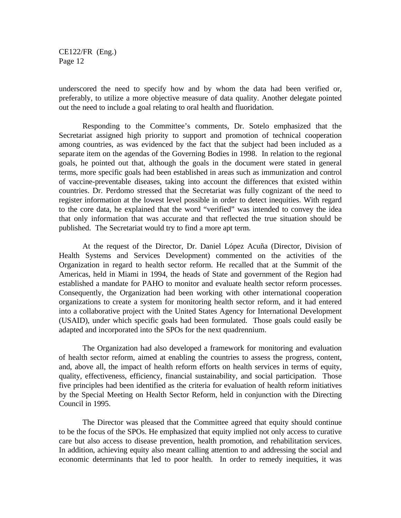underscored the need to specify how and by whom the data had been verified or, preferably, to utilize a more objective measure of data quality. Another delegate pointed out the need to include a goal relating to oral health and fluoridation.

Responding to the Committee's comments, Dr. Sotelo emphasized that the Secretariat assigned high priority to support and promotion of technical cooperation among countries, as was evidenced by the fact that the subject had been included as a separate item on the agendas of the Governing Bodies in 1998. In relation to the regional goals, he pointed out that, although the goals in the document were stated in general terms, more specific goals had been established in areas such as immunization and control of vaccine-preventable diseases, taking into account the differences that existed within countries. Dr. Perdomo stressed that the Secretariat was fully cognizant of the need to register information at the lowest level possible in order to detect inequities. With regard to the core data, he explained that the word "verified" was intended to convey the idea that only information that was accurate and that reflected the true situation should be published. The Secretariat would try to find a more apt term.

At the request of the Director, Dr. Daniel López Acuña (Director, Division of Health Systems and Services Development) commented on the activities of the Organization in regard to health sector reform. He recalled that at the Summit of the Americas, held in Miami in 1994, the heads of State and government of the Region had established a mandate for PAHO to monitor and evaluate health sector reform processes. Consequently, the Organization had been working with other international cooperation organizations to create a system for monitoring health sector reform, and it had entered into a collaborative project with the United States Agency for International Development (USAID), under which specific goals had been formulated. Those goals could easily be adapted and incorporated into the SPOs for the next quadrennium.

The Organization had also developed a framework for monitoring and evaluation of health sector reform, aimed at enabling the countries to assess the progress, content, and, above all, the impact of health reform efforts on health services in terms of equity, quality, effectiveness, efficiency, financial sustainability, and social participation. Those five principles had been identified as the criteria for evaluation of health reform initiatives by the Special Meeting on Health Sector Reform, held in conjunction with the Directing Council in 1995.

The Director was pleased that the Committee agreed that equity should continue to be the focus of the SPOs. He emphasized that equity implied not only access to curative care but also access to disease prevention, health promotion, and rehabilitation services. In addition, achieving equity also meant calling attention to and addressing the social and economic determinants that led to poor health. In order to remedy inequities, it was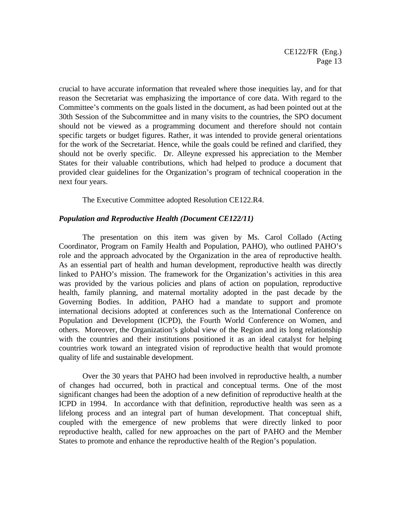crucial to have accurate information that revealed where those inequities lay, and for that reason the Secretariat was emphasizing the importance of core data. With regard to the Committee's comments on the goals listed in the document, as had been pointed out at the 30th Session of the Subcommittee and in many visits to the countries, the SPO document should not be viewed as a programming document and therefore should not contain specific targets or budget figures. Rather, it was intended to provide general orientations for the work of the Secretariat. Hence, while the goals could be refined and clarified, they should not be overly specific. Dr. Alleyne expressed his appreciation to the Member States for their valuable contributions, which had helped to produce a document that provided clear guidelines for the Organization's program of technical cooperation in the next four years.

The Executive Committee adopted Resolution CE122.R4.

#### *Population and Reproductive Health (Document CE122/11)*

The presentation on this item was given by Ms. Carol Collado (Acting Coordinator, Program on Family Health and Population, PAHO), who outlined PAHO's role and the approach advocated by the Organization in the area of reproductive health. As an essential part of health and human development, reproductive health was directly linked to PAHO's mission. The framework for the Organization's activities in this area was provided by the various policies and plans of action on population, reproductive health, family planning, and maternal mortality adopted in the past decade by the Governing Bodies. In addition, PAHO had a mandate to support and promote international decisions adopted at conferences such as the International Conference on Population and Development (ICPD), the Fourth World Conference on Women, and others. Moreover, the Organization's global view of the Region and its long relationship with the countries and their institutions positioned it as an ideal catalyst for helping countries work toward an integrated vision of reproductive health that would promote quality of life and sustainable development.

Over the 30 years that PAHO had been involved in reproductive health, a number of changes had occurred, both in practical and conceptual terms. One of the most significant changes had been the adoption of a new definition of reproductive health at the ICPD in 1994. In accordance with that definition, reproductive health was seen as a lifelong process and an integral part of human development. That conceptual shift, coupled with the emergence of new problems that were directly linked to poor reproductive health, called for new approaches on the part of PAHO and the Member States to promote and enhance the reproductive health of the Region's population.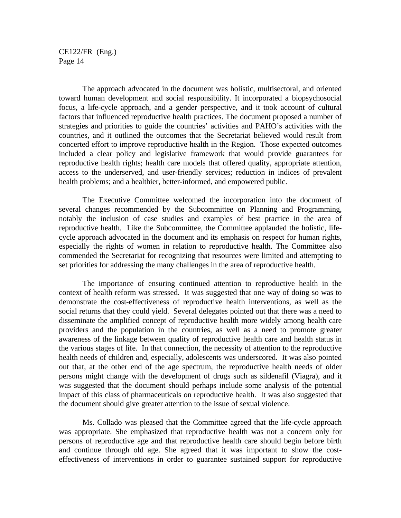The approach advocated in the document was holistic, multisectoral, and oriented toward human development and social responsibility. It incorporated a biopsychosocial focus, a life-cycle approach, and a gender perspective, and it took account of cultural factors that influenced reproductive health practices. The document proposed a number of strategies and priorities to guide the countries' activities and PAHO's activities with the countries, and it outlined the outcomes that the Secretariat believed would result from concerted effort to improve reproductive health in the Region. Those expected outcomes included a clear policy and legislative framework that would provide guarantees for reproductive health rights; health care models that offered quality, appropriate attention, access to the underserved, and user-friendly services; reduction in indices of prevalent health problems; and a healthier, better-informed, and empowered public.

The Executive Committee welcomed the incorporation into the document of several changes recommended by the Subcommittee on Planning and Programming, notably the inclusion of case studies and examples of best practice in the area of reproductive health. Like the Subcommittee, the Committee applauded the holistic, lifecycle approach advocated in the document and its emphasis on respect for human rights, especially the rights of women in relation to reproductive health. The Committee also commended the Secretariat for recognizing that resources were limited and attempting to set priorities for addressing the many challenges in the area of reproductive health.

The importance of ensuring continued attention to reproductive health in the context of health reform was stressed. It was suggested that one way of doing so was to demonstrate the cost-effectiveness of reproductive health interventions, as well as the social returns that they could yield. Several delegates pointed out that there was a need to disseminate the amplified concept of reproductive health more widely among health care providers and the population in the countries, as well as a need to promote greater awareness of the linkage between quality of reproductive health care and health status in the various stages of life. In that connection, the necessity of attention to the reproductive health needs of children and, especially, adolescents was underscored. It was also pointed out that, at the other end of the age spectrum, the reproductive health needs of older persons might change with the development of drugs such as sildenafil (Viagra), and it was suggested that the document should perhaps include some analysis of the potential impact of this class of pharmaceuticals on reproductive health. It was also suggested that the document should give greater attention to the issue of sexual violence.

Ms. Collado was pleased that the Committee agreed that the life-cycle approach was appropriate. She emphasized that reproductive health was not a concern only for persons of reproductive age and that reproductive health care should begin before birth and continue through old age. She agreed that it was important to show the costeffectiveness of interventions in order to guarantee sustained support for reproductive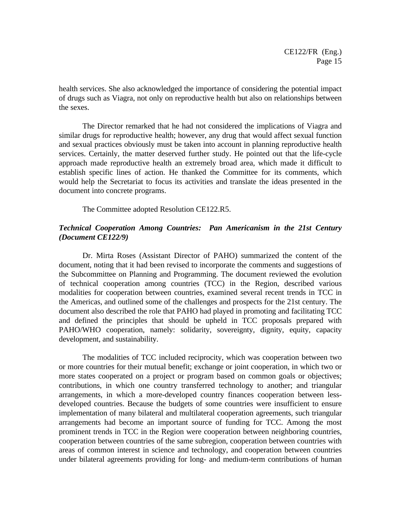health services. She also acknowledged the importance of considering the potential impact of drugs such as Viagra, not only on reproductive health but also on relationships between the sexes.

The Director remarked that he had not considered the implications of Viagra and similar drugs for reproductive health; however, any drug that would affect sexual function and sexual practices obviously must be taken into account in planning reproductive health services. Certainly, the matter deserved further study. He pointed out that the life-cycle approach made reproductive health an extremely broad area, which made it difficult to establish specific lines of action. He thanked the Committee for its comments, which would help the Secretariat to focus its activities and translate the ideas presented in the document into concrete programs.

The Committee adopted Resolution CE122.R5.

# *Technical Cooperation Among Countries: Pan Americanism in the 21st Century (Document CE122/9)*

Dr. Mirta Roses (Assistant Director of PAHO) summarized the content of the document, noting that it had been revised to incorporate the comments and suggestions of the Subcommittee on Planning and Programming. The document reviewed the evolution of technical cooperation among countries (TCC) in the Region, described various modalities for cooperation between countries, examined several recent trends in TCC in the Americas, and outlined some of the challenges and prospects for the 21st century. The document also described the role that PAHO had played in promoting and facilitating TCC and defined the principles that should be upheld in TCC proposals prepared with PAHO/WHO cooperation, namely: solidarity, sovereignty, dignity, equity, capacity development, and sustainability.

The modalities of TCC included reciprocity, which was cooperation between two or more countries for their mutual benefit; exchange or joint cooperation, in which two or more states cooperated on a project or program based on common goals or objectives; contributions, in which one country transferred technology to another; and triangular arrangements, in which a more-developed country finances cooperation between lessdeveloped countries. Because the budgets of some countries were insufficient to ensure implementation of many bilateral and multilateral cooperation agreements, such triangular arrangements had become an important source of funding for TCC. Among the most prominent trends in TCC in the Region were cooperation between neighboring countries, cooperation between countries of the same subregion, cooperation between countries with areas of common interest in science and technology, and cooperation between countries under bilateral agreements providing for long- and medium-term contributions of human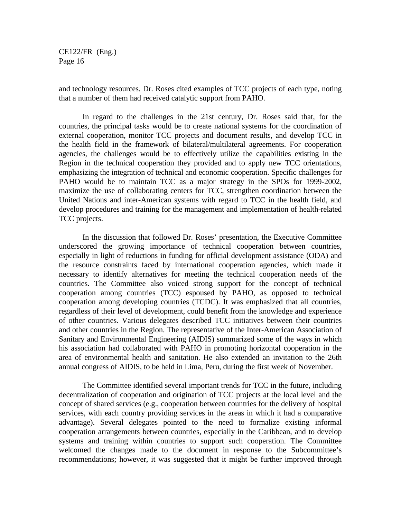and technology resources. Dr. Roses cited examples of TCC projects of each type, noting that a number of them had received catalytic support from PAHO.

In regard to the challenges in the 21st century, Dr. Roses said that, for the countries, the principal tasks would be to create national systems for the coordination of external cooperation, monitor TCC projects and document results, and develop TCC in the health field in the framework of bilateral/multilateral agreements. For cooperation agencies, the challenges would be to effectively utilize the capabilities existing in the Region in the technical cooperation they provided and to apply new TCC orientations, emphasizing the integration of technical and economic cooperation. Specific challenges for PAHO would be to maintain TCC as a major strategy in the SPOs for 1999-2002, maximize the use of collaborating centers for TCC, strengthen coordination between the United Nations and inter-American systems with regard to TCC in the health field, and develop procedures and training for the management and implementation of health-related TCC projects.

In the discussion that followed Dr. Roses' presentation, the Executive Committee underscored the growing importance of technical cooperation between countries, especially in light of reductions in funding for official development assistance (ODA) and the resource constraints faced by international cooperation agencies, which made it necessary to identify alternatives for meeting the technical cooperation needs of the countries. The Committee also voiced strong support for the concept of technical cooperation among countries (TCC) espoused by PAHO, as opposed to technical cooperation among developing countries (TCDC). It was emphasized that all countries, regardless of their level of development, could benefit from the knowledge and experience of other countries. Various delegates described TCC initiatives between their countries and other countries in the Region. The representative of the Inter-American Association of Sanitary and Environmental Engineering (AIDIS) summarized some of the ways in which his association had collaborated with PAHO in promoting horizontal cooperation in the area of environmental health and sanitation. He also extended an invitation to the 26th annual congress of AIDIS, to be held in Lima, Peru, during the first week of November.

The Committee identified several important trends for TCC in the future, including decentralization of cooperation and origination of TCC projects at the local level and the concept of shared services (e.g., cooperation between countries for the delivery of hospital services, with each country providing services in the areas in which it had a comparative advantage). Several delegates pointed to the need to formalize existing informal cooperation arrangements between countries, especially in the Caribbean, and to develop systems and training within countries to support such cooperation. The Committee welcomed the changes made to the document in response to the Subcommittee's recommendations; however, it was suggested that it might be further improved through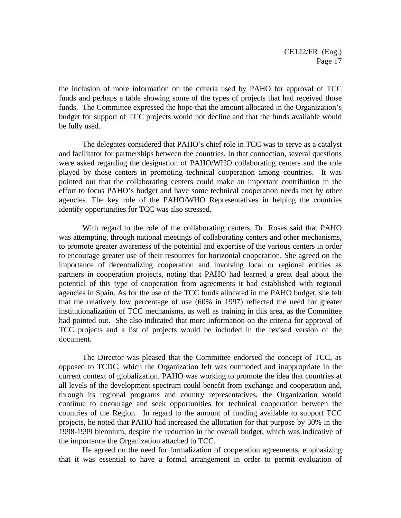the inclusion of more information on the criteria used by PAHO for approval of TCC funds and perhaps a table showing some of the types of projects that had received those funds. The Committee expressed the hope that the amount allocated in the Organization's budget for support of TCC projects would not decline and that the funds available would be fully used.

The delegates considered that PAHO's chief role in TCC was to serve as a catalyst and facilitator for partnerships between the countries. In that connection, several questions were asked regarding the designation of PAHO/WHO collaborating centers and the role played by those centers in promoting technical cooperation among countries. It was pointed out that the collaborating centers could make an important contribution in the effort to focus PAHO's budget and have some technical cooperation needs met by other agencies. The key role of the PAHO/WHO Representatives in helping the countries identify opportunities for TCC was also stressed.

With regard to the role of the collaborating centers, Dr. Roses said that PAHO was attempting, through national meetings of collaborating centers and other mechanisms, to promote greater awareness of the potential and expertise of the various centers in order to encourage greater use of their resources for horizontal cooperation. She agreed on the importance of decentralizing cooperation and involving local or regional entities as partners in cooperation projects, noting that PAHO had learned a great deal about the potential of this type of cooperation from agreements it had established with regional agencies in Spain. As for the use of the TCC funds allocated in the PAHO budget, she felt that the relatively low percentage of use (60% in 1997) reflected the need for greater institutionalization of TCC mechanisms, as well as training in this area, as the Committee had pointed out. She also indicated that more information on the criteria for approval of TCC projects and a list of projects would be included in the revised version of the document.

The Director was pleased that the Committee endorsed the concept of TCC, as opposed to TCDC, which the Organization felt was outmoded and inappropriate in the current context of globalization. PAHO was working to promote the idea that countries at all levels of the development spectrum could benefit from exchange and cooperation and, through its regional programs and country representatives, the Organization would continue to encourage and seek opportunities for technical cooperation between the countries of the Region. In regard to the amount of funding available to support TCC projects, he noted that PAHO had increased the allocation for that purpose by 30% in the 1998-1999 biennium, despite the reduction in the overall budget, which was indicative of the importance the Organization attached to TCC.

He agreed on the need for formalization of cooperation agreements, emphasizing that it was essential to have a formal arrangement in order to permit evaluation of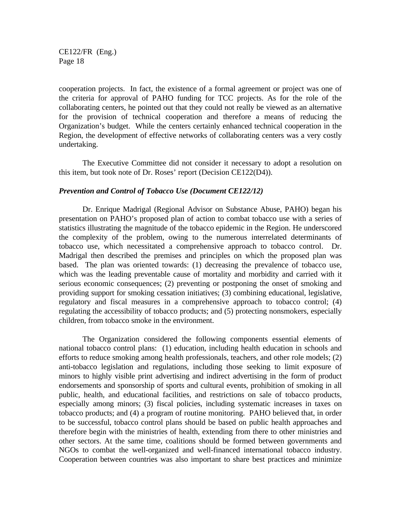cooperation projects. In fact, the existence of a formal agreement or project was one of the criteria for approval of PAHO funding for TCC projects. As for the role of the collaborating centers, he pointed out that they could not really be viewed as an alternative for the provision of technical cooperation and therefore a means of reducing the Organization's budget. While the centers certainly enhanced technical cooperation in the Region, the development of effective networks of collaborating centers was a very costly undertaking.

The Executive Committee did not consider it necessary to adopt a resolution on this item, but took note of Dr. Roses' report (Decision CE122(D4)).

#### *Prevention and Control of Tobacco Use (Document CE122/12)*

Dr. Enrique Madrigal (Regional Advisor on Substance Abuse, PAHO) began his presentation on PAHO's proposed plan of action to combat tobacco use with a series of statistics illustrating the magnitude of the tobacco epidemic in the Region. He underscored the complexity of the problem, owing to the numerous interrelated determinants of tobacco use, which necessitated a comprehensive approach to tobacco control. Dr. Madrigal then described the premises and principles on which the proposed plan was based. The plan was oriented towards: (1) decreasing the prevalence of tobacco use, which was the leading preventable cause of mortality and morbidity and carried with it serious economic consequences; (2) preventing or postponing the onset of smoking and providing support for smoking cessation initiatives; (3) combining educational, legislative, regulatory and fiscal measures in a comprehensive approach to tobacco control; (4) regulating the accessibility of tobacco products; and (5) protecting nonsmokers, especially children, from tobacco smoke in the environment.

The Organization considered the following components essential elements of national tobacco control plans: (1) education, including health education in schools and efforts to reduce smoking among health professionals, teachers, and other role models; (2) anti-tobacco legislation and regulations, including those seeking to limit exposure of minors to highly visible print advertising and indirect advertising in the form of product endorsements and sponsorship of sports and cultural events, prohibition of smoking in all public, health, and educational facilities, and restrictions on sale of tobacco products, especially among minors; (3) fiscal policies, including systematic increases in taxes on tobacco products; and (4) a program of routine monitoring. PAHO believed that, in order to be successful, tobacco control plans should be based on public health approaches and therefore begin with the ministries of health, extending from there to other ministries and other sectors. At the same time, coalitions should be formed between governments and NGOs to combat the well-organized and well-financed international tobacco industry. Cooperation between countries was also important to share best practices and minimize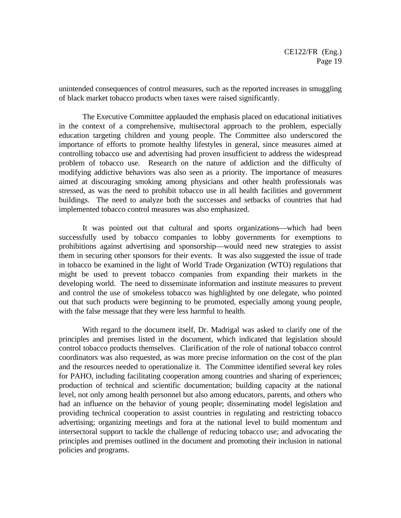unintended consequences of control measures, such as the reported increases in smuggling of black market tobacco products when taxes were raised significantly.

The Executive Committee applauded the emphasis placed on educational initiatives in the context of a comprehensive, multisectoral approach to the problem, especially education targeting children and young people. The Committee also underscored the importance of efforts to promote healthy lifestyles in general, since measures aimed at controlling tobacco use and advertising had proven insufficient to address the widespread problem of tobacco use. Research on the nature of addiction and the difficulty of modifying addictive behaviors was also seen as a priority. The importance of measures aimed at discouraging smoking among physicians and other health professionals was stressed, as was the need to prohibit tobacco use in all health facilities and government buildings. The need to analyze both the successes and setbacks of countries that had implemented tobacco control measures was also emphasized.

It was pointed out that cultural and sports organizations—which had been successfully used by tobacco companies to lobby governments for exemptions to prohibitions against advertising and sponsorship—would need new strategies to assist them in securing other sponsors for their events. It was also suggested the issue of trade in tobacco be examined in the light of World Trade Organization (WTO) regulations that might be used to prevent tobacco companies from expanding their markets in the developing world. The need to disseminate information and institute measures to prevent and control the use of smokeless tobacco was highlighted by one delegate, who pointed out that such products were beginning to be promoted, especially among young people, with the false message that they were less harmful to health.

With regard to the document itself, Dr. Madrigal was asked to clarify one of the principles and premises listed in the document, which indicated that legislation should control tobacco products themselves. Clarification of the role of national tobacco control coordinators was also requested, as was more precise information on the cost of the plan and the resources needed to operationalize it. The Committee identified several key roles for PAHO, including facilitating cooperation among countries and sharing of experiences; production of technical and scientific documentation; building capacity at the national level, not only among health personnel but also among educators, parents, and others who had an influence on the behavior of young people; disseminating model legislation and providing technical cooperation to assist countries in regulating and restricting tobacco advertising; organizing meetings and fora at the national level to build momentum and intersectoral support to tackle the challenge of reducing tobacco use; and advocating the principles and premises outlined in the document and promoting their inclusion in national policies and programs.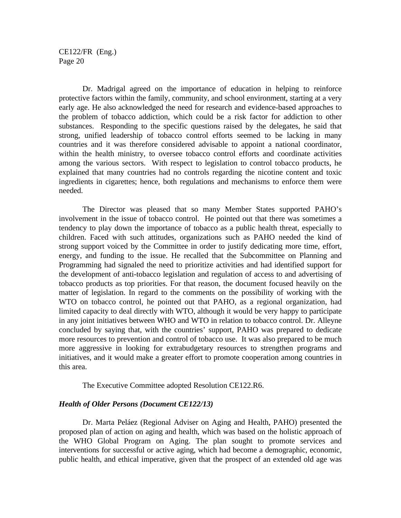Dr. Madrigal agreed on the importance of education in helping to reinforce protective factors within the family, community, and school environment, starting at a very early age. He also acknowledged the need for research and evidence-based approaches to the problem of tobacco addiction, which could be a risk factor for addiction to other substances. Responding to the specific questions raised by the delegates, he said that strong, unified leadership of tobacco control efforts seemed to be lacking in many countries and it was therefore considered advisable to appoint a national coordinator, within the health ministry, to oversee tobacco control efforts and coordinate activities among the various sectors. With respect to legislation to control tobacco products, he explained that many countries had no controls regarding the nicotine content and toxic ingredients in cigarettes; hence, both regulations and mechanisms to enforce them were needed.

The Director was pleased that so many Member States supported PAHO's involvement in the issue of tobacco control. He pointed out that there was sometimes a tendency to play down the importance of tobacco as a public health threat, especially to children. Faced with such attitudes, organizations such as PAHO needed the kind of strong support voiced by the Committee in order to justify dedicating more time, effort, energy, and funding to the issue. He recalled that the Subcommittee on Planning and Programming had signaled the need to prioritize activities and had identified support for the development of anti-tobacco legislation and regulation of access to and advertising of tobacco products as top priorities. For that reason, the document focused heavily on the matter of legislation. In regard to the comments on the possibility of working with the WTO on tobacco control, he pointed out that PAHO, as a regional organization, had limited capacity to deal directly with WTO, although it would be very happy to participate in any joint initiatives between WHO and WTO in relation to tobacco control. Dr. Alleyne concluded by saying that, with the countries' support, PAHO was prepared to dedicate more resources to prevention and control of tobacco use. It was also prepared to be much more aggressive in looking for extrabudgetary resources to strengthen programs and initiatives, and it would make a greater effort to promote cooperation among countries in this area.

The Executive Committee adopted Resolution CE122.R6.

### *Health of Older Persons (Document CE122/13)*

Dr. Marta Peláez (Regional Adviser on Aging and Health, PAHO) presented the proposed plan of action on aging and health, which was based on the holistic approach of the WHO Global Program on Aging. The plan sought to promote services and interventions for successful or active aging, which had become a demographic, economic, public health, and ethical imperative, given that the prospect of an extended old age was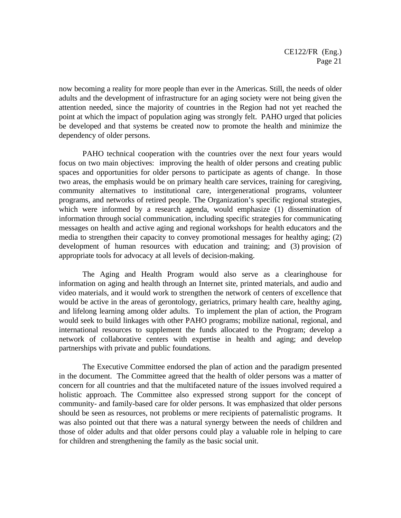now becoming a reality for more people than ever in the Americas. Still, the needs of older adults and the development of infrastructure for an aging society were not being given the attention needed, since the majority of countries in the Region had not yet reached the point at which the impact of population aging was strongly felt. PAHO urged that policies be developed and that systems be created now to promote the health and minimize the dependency of older persons.

PAHO technical cooperation with the countries over the next four years would focus on two main objectives: improving the health of older persons and creating public spaces and opportunities for older persons to participate as agents of change. In those two areas, the emphasis would be on primary health care services, training for caregiving, community alternatives to institutional care, intergenerational programs, volunteer programs, and networks of retired people. The Organization's specific regional strategies, which were informed by a research agenda, would emphasize (1) dissemination of information through social communication, including specific strategies for communicating messages on health and active aging and regional workshops for health educators and the media to strengthen their capacity to convey promotional messages for healthy aging; (2) development of human resources with education and training; and (3) provision of appropriate tools for advocacy at all levels of decision-making.

The Aging and Health Program would also serve as a clearinghouse for information on aging and health through an Internet site, printed materials, and audio and video materials, and it would work to strengthen the network of centers of excellence that would be active in the areas of gerontology, geriatrics, primary health care, healthy aging, and lifelong learning among older adults. To implement the plan of action, the Program would seek to build linkages with other PAHO programs; mobilize national, regional, and international resources to supplement the funds allocated to the Program; develop a network of collaborative centers with expertise in health and aging; and develop partnerships with private and public foundations.

The Executive Committee endorsed the plan of action and the paradigm presented in the document. The Committee agreed that the health of older persons was a matter of concern for all countries and that the multifaceted nature of the issues involved required a holistic approach. The Committee also expressed strong support for the concept of community- and family-based care for older persons. It was emphasized that older persons should be seen as resources, not problems or mere recipients of paternalistic programs. It was also pointed out that there was a natural synergy between the needs of children and those of older adults and that older persons could play a valuable role in helping to care for children and strengthening the family as the basic social unit.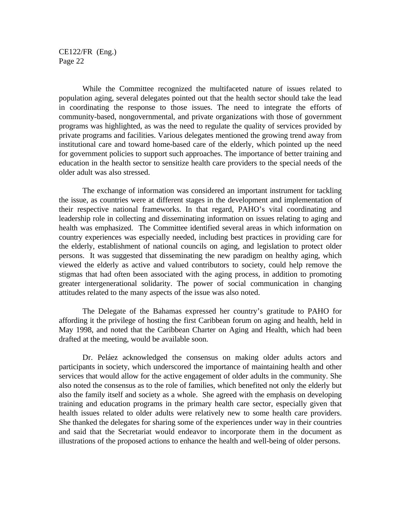While the Committee recognized the multifaceted nature of issues related to population aging, several delegates pointed out that the health sector should take the lead in coordinating the response to those issues. The need to integrate the efforts of community-based, nongovernmental, and private organizations with those of government programs was highlighted, as was the need to regulate the quality of services provided by private programs and facilities. Various delegates mentioned the growing trend away from institutional care and toward home-based care of the elderly, which pointed up the need for government policies to support such approaches. The importance of better training and education in the health sector to sensitize health care providers to the special needs of the older adult was also stressed.

The exchange of information was considered an important instrument for tackling the issue, as countries were at different stages in the development and implementation of their respective national frameworks. In that regard, PAHO's vital coordinating and leadership role in collecting and disseminating information on issues relating to aging and health was emphasized. The Committee identified several areas in which information on country experiences was especially needed, including best practices in providing care for the elderly, establishment of national councils on aging, and legislation to protect older persons. It was suggested that disseminating the new paradigm on healthy aging, which viewed the elderly as active and valued contributors to society, could help remove the stigmas that had often been associated with the aging process, in addition to promoting greater intergenerational solidarity. The power of social communication in changing attitudes related to the many aspects of the issue was also noted.

The Delegate of the Bahamas expressed her country's gratitude to PAHO for affording it the privilege of hosting the first Caribbean forum on aging and health, held in May 1998, and noted that the Caribbean Charter on Aging and Health, which had been drafted at the meeting, would be available soon.

Dr. Peláez acknowledged the consensus on making older adults actors and participants in society, which underscored the importance of maintaining health and other services that would allow for the active engagement of older adults in the community. She also noted the consensus as to the role of families, which benefited not only the elderly but also the family itself and society as a whole. She agreed with the emphasis on developing training and education programs in the primary health care sector, especially given that health issues related to older adults were relatively new to some health care providers. She thanked the delegates for sharing some of the experiences under way in their countries and said that the Secretariat would endeavor to incorporate them in the document as illustrations of the proposed actions to enhance the health and well-being of older persons.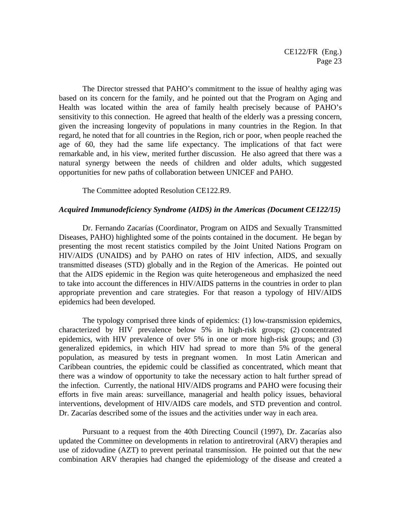The Director stressed that PAHO's commitment to the issue of healthy aging was based on its concern for the family, and he pointed out that the Program on Aging and Health was located within the area of family health precisely because of PAHO's sensitivity to this connection. He agreed that health of the elderly was a pressing concern, given the increasing longevity of populations in many countries in the Region. In that regard, he noted that for all countries in the Region, rich or poor, when people reached the age of 60, they had the same life expectancy. The implications of that fact were remarkable and, in his view, merited further discussion. He also agreed that there was a natural synergy between the needs of children and older adults, which suggested opportunities for new paths of collaboration between UNICEF and PAHO.

The Committee adopted Resolution CE122.R9.

#### *Acquired Immunodeficiency Syndrome (AIDS) in the Americas (Document CE122/15)*

Dr. Fernando Zacarías (Coordinator, Program on AIDS and Sexually Transmitted Diseases, PAHO) highlighted some of the points contained in the document. He began by presenting the most recent statistics compiled by the Joint United Nations Program on HIV/AIDS (UNAIDS) and by PAHO on rates of HIV infection, AIDS, and sexually transmitted diseases (STD) globally and in the Region of the Americas. He pointed out that the AIDS epidemic in the Region was quite heterogeneous and emphasized the need to take into account the differences in HIV/AIDS patterns in the countries in order to plan appropriate prevention and care strategies. For that reason a typology of HIV/AIDS epidemics had been developed.

The typology comprised three kinds of epidemics: (1) low-transmission epidemics, characterized by HIV prevalence below 5% in high-risk groups; (2) concentrated epidemics, with HIV prevalence of over 5% in one or more high-risk groups; and (3) generalized epidemics, in which HIV had spread to more than 5% of the general population, as measured by tests in pregnant women. In most Latin American and Caribbean countries, the epidemic could be classified as concentrated, which meant that there was a window of opportunity to take the necessary action to halt further spread of the infection. Currently, the national HIV/AIDS programs and PAHO were focusing their efforts in five main areas: surveillance, managerial and health policy issues, behavioral interventions, development of HIV/AIDS care models, and STD prevention and control. Dr. Zacarías described some of the issues and the activities under way in each area.

Pursuant to a request from the 40th Directing Council (1997), Dr. Zacarías also updated the Committee on developments in relation to antiretroviral (ARV) therapies and use of zidovudine (AZT) to prevent perinatal transmission. He pointed out that the new combination ARV therapies had changed the epidemiology of the disease and created a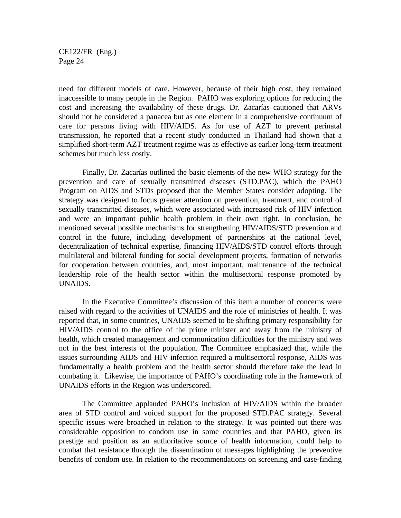need for different models of care. However, because of their high cost, they remained inaccessible to many people in the Region. PAHO was exploring options for reducing the cost and increasing the availability of these drugs. Dr. Zacarías cautioned that ARVs should not be considered a panacea but as one element in a comprehensive continuum of care for persons living with HIV/AIDS. As for use of AZT to prevent perinatal transmission, he reported that a recent study conducted in Thailand had shown that a simplified short-term AZT treatment regime was as effective as earlier long-term treatment schemes but much less costly.

Finally, Dr. Zacarías outlined the basic elements of the new WHO strategy for the prevention and care of sexually transmitted diseases (STD.PAC), which the PAHO Program on AIDS and STDs proposed that the Member States consider adopting. The strategy was designed to focus greater attention on prevention, treatment, and control of sexually transmitted diseases, which were associated with increased risk of HIV infection and were an important public health problem in their own right. In conclusion, he mentioned several possible mechanisms for strengthening HIV/AIDS/STD prevention and control in the future, including development of partnerships at the national level, decentralization of technical expertise, financing HIV/AIDS/STD control efforts through multilateral and bilateral funding for social development projects, formation of networks for cooperation between countries, and, most important, maintenance of the technical leadership role of the health sector within the multisectoral response promoted by UNAIDS.

In the Executive Committee's discussion of this item a number of concerns were raised with regard to the activities of UNAIDS and the role of ministries of health. It was reported that, in some countries, UNAIDS seemed to be shifting primary responsibility for HIV/AIDS control to the office of the prime minister and away from the ministry of health, which created management and communication difficulties for the ministry and was not in the best interests of the population. The Committee emphasized that, while the issues surrounding AIDS and HIV infection required a multisectoral response, AIDS was fundamentally a health problem and the health sector should therefore take the lead in combating it. Likewise, the importance of PAHO's coordinating role in the framework of UNAIDS efforts in the Region was underscored.

The Committee applauded PAHO's inclusion of HIV/AIDS within the broader area of STD control and voiced support for the proposed STD.PAC strategy. Several specific issues were broached in relation to the strategy. It was pointed out there was considerable opposition to condom use in some countries and that PAHO, given its prestige and position as an authoritative source of health information, could help to combat that resistance through the dissemination of messages highlighting the preventive benefits of condom use. In relation to the recommendations on screening and case-finding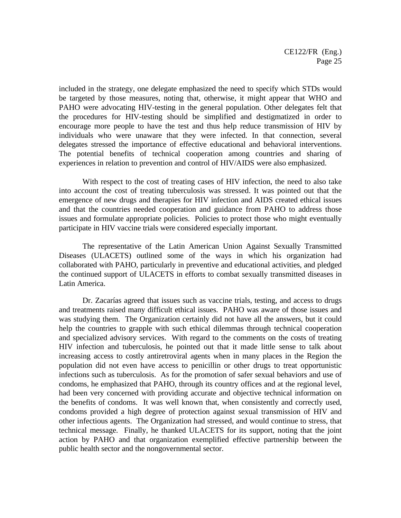included in the strategy, one delegate emphasized the need to specify which STDs would be targeted by those measures, noting that, otherwise, it might appear that WHO and PAHO were advocating HIV-testing in the general population. Other delegates felt that the procedures for HIV-testing should be simplified and destigmatized in order to encourage more people to have the test and thus help reduce transmission of HIV by individuals who were unaware that they were infected. In that connection, several delegates stressed the importance of effective educational and behavioral interventions. The potential benefits of technical cooperation among countries and sharing of experiences in relation to prevention and control of HIV/AIDS were also emphasized.

With respect to the cost of treating cases of HIV infection, the need to also take into account the cost of treating tuberculosis was stressed. It was pointed out that the emergence of new drugs and therapies for HIV infection and AIDS created ethical issues and that the countries needed cooperation and guidance from PAHO to address those issues and formulate appropriate policies. Policies to protect those who might eventually participate in HIV vaccine trials were considered especially important.

The representative of the Latin American Union Against Sexually Transmitted Diseases (ULACETS) outlined some of the ways in which his organization had collaborated with PAHO, particularly in preventive and educational activities, and pledged the continued support of ULACETS in efforts to combat sexually transmitted diseases in Latin America.

Dr. Zacarías agreed that issues such as vaccine trials, testing, and access to drugs and treatments raised many difficult ethical issues. PAHO was aware of those issues and was studying them. The Organization certainly did not have all the answers, but it could help the countries to grapple with such ethical dilemmas through technical cooperation and specialized advisory services. With regard to the comments on the costs of treating HIV infection and tuberculosis, he pointed out that it made little sense to talk about increasing access to costly antiretroviral agents when in many places in the Region the population did not even have access to penicillin or other drugs to treat opportunistic infections such as tuberculosis. As for the promotion of safer sexual behaviors and use of condoms, he emphasized that PAHO, through its country offices and at the regional level, had been very concerned with providing accurate and objective technical information on the benefits of condoms. It was well known that, when consistently and correctly used, condoms provided a high degree of protection against sexual transmission of HIV and other infectious agents. The Organization had stressed, and would continue to stress, that technical message. Finally, he thanked ULACETS for its support, noting that the joint action by PAHO and that organization exemplified effective partnership between the public health sector and the nongovernmental sector.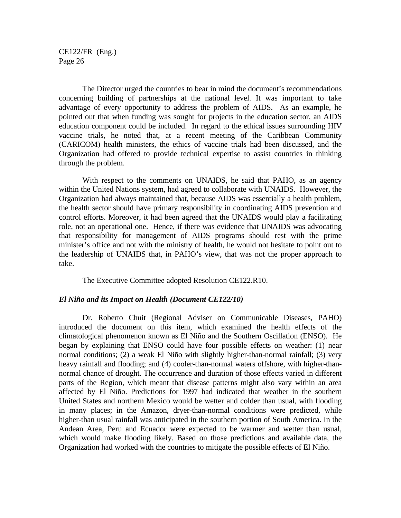The Director urged the countries to bear in mind the document's recommendations concerning building of partnerships at the national level. It was important to take advantage of every opportunity to address the problem of AIDS. As an example, he pointed out that when funding was sought for projects in the education sector, an AIDS education component could be included. In regard to the ethical issues surrounding HIV vaccine trials, he noted that, at a recent meeting of the Caribbean Community (CARICOM) health ministers, the ethics of vaccine trials had been discussed, and the Organization had offered to provide technical expertise to assist countries in thinking through the problem.

With respect to the comments on UNAIDS, he said that PAHO, as an agency within the United Nations system, had agreed to collaborate with UNAIDS. However, the Organization had always maintained that, because AIDS was essentially a health problem, the health sector should have primary responsibility in coordinating AIDS prevention and control efforts. Moreover, it had been agreed that the UNAIDS would play a facilitating role, not an operational one. Hence, if there was evidence that UNAIDS was advocating that responsibility for management of AIDS programs should rest with the prime minister's office and not with the ministry of health, he would not hesitate to point out to the leadership of UNAIDS that, in PAHO's view, that was not the proper approach to take.

The Executive Committee adopted Resolution CE122.R10.

#### *El Niño and its Impact on Health (Document CE122/10)*

Dr. Roberto Chuit (Regional Adviser on Communicable Diseases, PAHO) introduced the document on this item, which examined the health effects of the climatological phenomenon known as El Niño and the Southern Oscillation (ENSO). He began by explaining that ENSO could have four possible effects on weather: (1) near normal conditions; (2) a weak El Niño with slightly higher-than-normal rainfall; (3) very heavy rainfall and flooding; and (4) cooler-than-normal waters offshore, with higher-thannormal chance of drought. The occurrence and duration of those effects varied in different parts of the Region, which meant that disease patterns might also vary within an area affected by El Niño. Predictions for 1997 had indicated that weather in the southern United States and northern Mexico would be wetter and colder than usual, with flooding in many places; in the Amazon, dryer-than-normal conditions were predicted, while higher-than usual rainfall was anticipated in the southern portion of South America. In the Andean Area, Peru and Ecuador were expected to be warmer and wetter than usual, which would make flooding likely. Based on those predictions and available data, the Organization had worked with the countries to mitigate the possible effects of El Niño.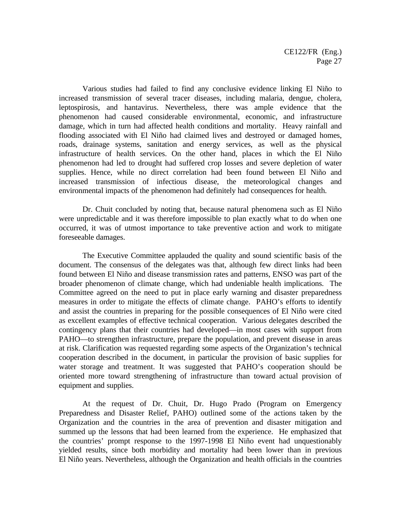Various studies had failed to find any conclusive evidence linking El Niño to increased transmission of several tracer diseases, including malaria, dengue, cholera, leptospirosis, and hantavirus. Nevertheless, there was ample evidence that the phenomenon had caused considerable environmental, economic, and infrastructure damage, which in turn had affected health conditions and mortality. Heavy rainfall and flooding associated with El Niño had claimed lives and destroyed or damaged homes, roads, drainage systems, sanitation and energy services, as well as the physical infrastructure of health services. On the other hand, places in which the El Niño phenomenon had led to drought had suffered crop losses and severe depletion of water supplies. Hence, while no direct correlation had been found between El Niño and increased transmission of infectious disease, the meteorological changes and environmental impacts of the phenomenon had definitely had consequences for health.

Dr. Chuit concluded by noting that, because natural phenomena such as El Niño were unpredictable and it was therefore impossible to plan exactly what to do when one occurred, it was of utmost importance to take preventive action and work to mitigate foreseeable damages.

The Executive Committee applauded the quality and sound scientific basis of the document. The consensus of the delegates was that, although few direct links had been found between El Niño and disease transmission rates and patterns, ENSO was part of the broader phenomenon of climate change, which had undeniable health implications. The Committee agreed on the need to put in place early warning and disaster preparedness measures in order to mitigate the effects of climate change. PAHO's efforts to identify and assist the countries in preparing for the possible consequences of El Niño were cited as excellent examples of effective technical cooperation. Various delegates described the contingency plans that their countries had developed—in most cases with support from PAHO—to strengthen infrastructure, prepare the population, and prevent disease in areas at risk. Clarification was requested regarding some aspects of the Organization's technical cooperation described in the document, in particular the provision of basic supplies for water storage and treatment. It was suggested that PAHO's cooperation should be oriented more toward strengthening of infrastructure than toward actual provision of equipment and supplies.

At the request of Dr. Chuit, Dr. Hugo Prado (Program on Emergency Preparedness and Disaster Relief, PAHO) outlined some of the actions taken by the Organization and the countries in the area of prevention and disaster mitigation and summed up the lessons that had been learned from the experience. He emphasized that the countries' prompt response to the 1997-1998 El Niño event had unquestionably yielded results, since both morbidity and mortality had been lower than in previous El Niño years. Nevertheless, although the Organization and health officials in the countries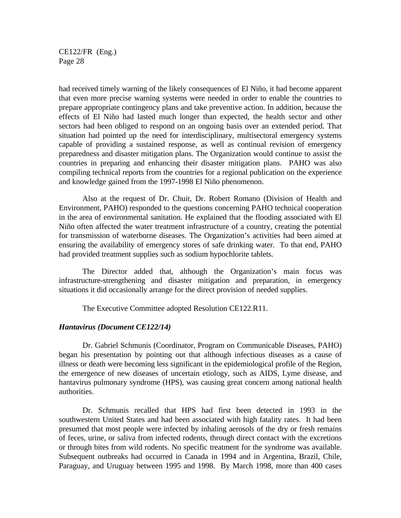had received timely warning of the likely consequences of El Niño, it had become apparent that even more precise warning systems were needed in order to enable the countries to prepare appropriate contingency plans and take preventive action. In addition, because the effects of El Niño had lasted much longer than expected, the health sector and other sectors had been obliged to respond on an ongoing basis over an extended period. That situation had pointed up the need for interdisciplinary, multisectoral emergency systems capable of providing a sustained response, as well as continual revision of emergency preparedness and disaster mitigation plans. The Organization would continue to assist the countries in preparing and enhancing their disaster mitigation plans. PAHO was also compiling technical reports from the countries for a regional publication on the experience and knowledge gained from the 1997-1998 El Niño phenomenon.

Also at the request of Dr. Chuit, Dr. Robert Romano (Division of Health and Environment, PAHO) responded to the questions concerning PAHO technical cooperation in the area of environmental sanitation. He explained that the flooding associated with El Niño often affected the water treatment infrastructure of a country, creating the potential for transmission of waterborne diseases. The Organization's activities had been aimed at ensuring the availability of emergency stores of safe drinking water. To that end, PAHO had provided treatment supplies such as sodium hypochlorite tablets.

The Director added that, although the Organization's main focus was infrastructure-strengthening and disaster mitigation and preparation, in emergency situations it did occasionally arrange for the direct provision of needed supplies.

The Executive Committee adopted Resolution CE122.R11.

#### *Hantavirus (Document CE122/14)*

Dr. Gabriel Schmunis (Coordinator, Program on Communicable Diseases, PAHO) began his presentation by pointing out that although infectious diseases as a cause of illness or death were becoming less significant in the epidemiological profile of the Region, the emergence of new diseases of uncertain etiology, such as AIDS, Lyme disease, and hantavirus pulmonary syndrome (HPS), was causing great concern among national health authorities.

Dr. Schmunis recalled that HPS had first been detected in 1993 in the southwestern United States and had been associated with high fatality rates. It had been presumed that most people were infected by inhaling aerosols of the dry or fresh remains of feces, urine, or saliva from infected rodents, through direct contact with the excretions or through bites from wild rodents. No specific treatment for the syndrome was available. Subsequent outbreaks had occurred in Canada in 1994 and in Argentina, Brazil, Chile, Paraguay, and Uruguay between 1995 and 1998. By March 1998, more than 400 cases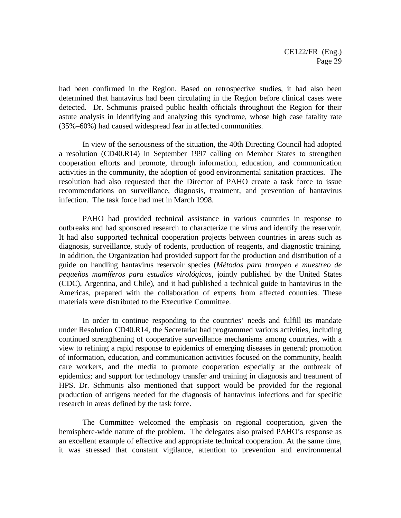had been confirmed in the Region. Based on retrospective studies, it had also been determined that hantavirus had been circulating in the Region before clinical cases were detected. Dr. Schmunis praised public health officials throughout the Region for their astute analysis in identifying and analyzing this syndrome, whose high case fatality rate (35%–60%) had caused widespread fear in affected communities.

In view of the seriousness of the situation, the 40th Directing Council had adopted a resolution (CD40.R14) in September 1997 calling on Member States to strengthen cooperation efforts and promote, through information, education, and communication activities in the community, the adoption of good environmental sanitation practices. The resolution had also requested that the Director of PAHO create a task force to issue recommendations on surveillance, diagnosis, treatment, and prevention of hantavirus infection. The task force had met in March 1998.

PAHO had provided technical assistance in various countries in response to outbreaks and had sponsored research to characterize the virus and identify the reservoir. It had also supported technical cooperation projects between countries in areas such as diagnosis, surveillance, study of rodents, production of reagents, and diagnostic training. In addition, the Organization had provided support for the production and distribution of a guide on handling hantavirus reservoir species (*Métodos para trampeo e muestreo de pequeños mamíferos para estudios virológicos*, jointly published by the United States (CDC), Argentina, and Chile), and it had published a technical guide to hantavirus in the Americas, prepared with the collaboration of experts from affected countries. These materials were distributed to the Executive Committee.

In order to continue responding to the countries' needs and fulfill its mandate under Resolution CD40.R14, the Secretariat had programmed various activities, including continued strengthening of cooperative surveillance mechanisms among countries, with a view to refining a rapid response to epidemics of emerging diseases in general; promotion of information, education, and communication activities focused on the community, health care workers, and the media to promote cooperation especially at the outbreak of epidemics; and support for technology transfer and training in diagnosis and treatment of HPS. Dr. Schmunis also mentioned that support would be provided for the regional production of antigens needed for the diagnosis of hantavirus infections and for specific research in areas defined by the task force.

The Committee welcomed the emphasis on regional cooperation, given the hemisphere-wide nature of the problem. The delegates also praised PAHO's response as an excellent example of effective and appropriate technical cooperation. At the same time, it was stressed that constant vigilance, attention to prevention and environmental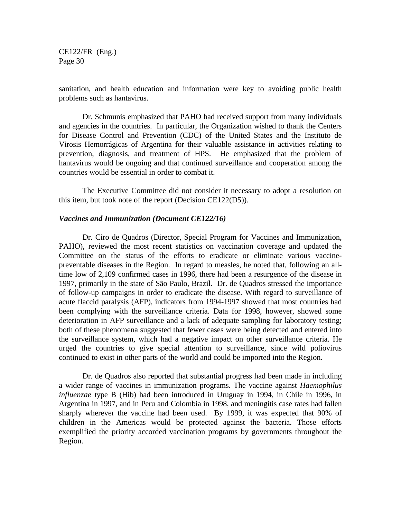sanitation, and health education and information were key to avoiding public health problems such as hantavirus.

Dr. Schmunis emphasized that PAHO had received support from many individuals and agencies in the countries. In particular, the Organization wished to thank the Centers for Disease Control and Prevention (CDC) of the United States and the Instituto de Virosis Hemorrágicas of Argentina for their valuable assistance in activities relating to prevention, diagnosis, and treatment of HPS. He emphasized that the problem of hantavirus would be ongoing and that continued surveillance and cooperation among the countries would be essential in order to combat it.

The Executive Committee did not consider it necessary to adopt a resolution on this item, but took note of the report (Decision CE122(D5)).

#### *Vaccines and Immunization (Document CE122/16)*

Dr. Ciro de Quadros (Director, Special Program for Vaccines and Immunization, PAHO), reviewed the most recent statistics on vaccination coverage and updated the Committee on the status of the efforts to eradicate or eliminate various vaccinepreventable diseases in the Region. In regard to measles, he noted that, following an alltime low of 2,109 confirmed cases in 1996, there had been a resurgence of the disease in 1997, primarily in the state of São Paulo, Brazil. Dr. de Quadros stressed the importance of follow-up campaigns in order to eradicate the disease. With regard to surveillance of acute flaccid paralysis (AFP), indicators from 1994-1997 showed that most countries had been complying with the surveillance criteria. Data for 1998, however, showed some deterioration in AFP surveillance and a lack of adequate sampling for laboratory testing; both of these phenomena suggested that fewer cases were being detected and entered into the surveillance system, which had a negative impact on other surveillance criteria. He urged the countries to give special attention to surveillance, since wild poliovirus continued to exist in other parts of the world and could be imported into the Region.

Dr. de Quadros also reported that substantial progress had been made in including a wider range of vaccines in immunization programs. The vaccine against *Haemophilus influenzae* type B (Hib) had been introduced in Uruguay in 1994, in Chile in 1996, in Argentina in 1997, and in Peru and Colombia in 1998, and meningitis case rates had fallen sharply wherever the vaccine had been used. By 1999, it was expected that 90% of children in the Americas would be protected against the bacteria. Those efforts exemplified the priority accorded vaccination programs by governments throughout the Region.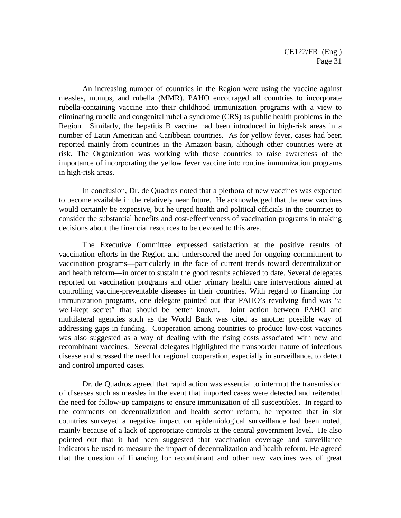An increasing number of countries in the Region were using the vaccine against measles, mumps, and rubella (MMR). PAHO encouraged all countries to incorporate rubella-containing vaccine into their childhood immunization programs with a view to eliminating rubella and congenital rubella syndrome (CRS) as public health problems in the Region. Similarly, the hepatitis B vaccine had been introduced in high-risk areas in a number of Latin American and Caribbean countries. As for yellow fever, cases had been reported mainly from countries in the Amazon basin, although other countries were at risk. The Organization was working with those countries to raise awareness of the importance of incorporating the yellow fever vaccine into routine immunization programs in high-risk areas.

In conclusion, Dr. de Quadros noted that a plethora of new vaccines was expected to become available in the relatively near future. He acknowledged that the new vaccines would certainly be expensive, but he urged health and political officials in the countries to consider the substantial benefits and cost-effectiveness of vaccination programs in making decisions about the financial resources to be devoted to this area.

The Executive Committee expressed satisfaction at the positive results of vaccination efforts in the Region and underscored the need for ongoing commitment to vaccination programs—particularly in the face of current trends toward decentralization and health reform—in order to sustain the good results achieved to date. Several delegates reported on vaccination programs and other primary health care interventions aimed at controlling vaccine-preventable diseases in their countries. With regard to financing for immunization programs, one delegate pointed out that PAHO's revolving fund was "a well-kept secret" that should be better known. Joint action between PAHO and multilateral agencies such as the World Bank was cited as another possible way of addressing gaps in funding. Cooperation among countries to produce low-cost vaccines was also suggested as a way of dealing with the rising costs associated with new and recombinant vaccines. Several delegates highlighted the transborder nature of infectious disease and stressed the need for regional cooperation, especially in surveillance, to detect and control imported cases.

Dr. de Quadros agreed that rapid action was essential to interrupt the transmission of diseases such as measles in the event that imported cases were detected and reiterated the need for follow-up campaigns to ensure immunization of all susceptibles. In regard to the comments on decentralization and health sector reform, he reported that in six countries surveyed a negative impact on epidemiological surveillance had been noted, mainly because of a lack of appropriate controls at the central government level. He also pointed out that it had been suggested that vaccination coverage and surveillance indicators be used to measure the impact of decentralization and health reform. He agreed that the question of financing for recombinant and other new vaccines was of great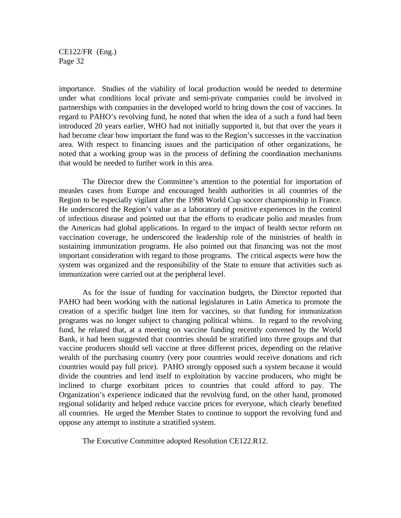importance. Studies of the viability of local production would be needed to determine under what conditions local private and semi-private companies could be involved in partnerships with companies in the developed world to bring down the cost of vaccines. In regard to PAHO's revolving fund, he noted that when the idea of a such a fund had been introduced 20 years earlier, WHO had not initially supported it, but that over the years it had become clear how important the fund was to the Region's successes in the vaccination area. With respect to financing issues and the participation of other organizations, he noted that a working group was in the process of defining the coordination mechanisms that would be needed to further work in this area.

The Director drew the Committee's attention to the potential for importation of measles cases from Europe and encouraged health authorities in all countries of the Region to be especially vigilant after the 1998 World Cup soccer championship in France. He underscored the Region's value as a laboratory of positive experiences in the control of infectious disease and pointed out that the efforts to eradicate polio and measles from the Americas had global applications. In regard to the impact of health sector reform on vaccination coverage, he underscored the leadership role of the ministries of health in sustaining immunization programs. He also pointed out that financing was not the most important consideration with regard to those programs. The critical aspects were how the system was organized and the responsibility of the State to ensure that activities such as immunization were carried out at the peripheral level.

As for the issue of funding for vaccination budgets, the Director reported that PAHO had been working with the national legislatures in Latin America to promote the creation of a specific budget line item for vaccines, so that funding for immunization programs was no longer subject to changing political whims. In regard to the revolving fund, he related that, at a meeting on vaccine funding recently convened by the World Bank, it had been suggested that countries should be stratified into three groups and that vaccine producers should sell vaccine at three different prices, depending on the relative wealth of the purchasing country (very poor countries would receive donations and rich countries would pay full price). PAHO strongly opposed such a system because it would divide the countries and lend itself to exploitation by vaccine producers, who might be inclined to charge exorbitant prices to countries that could afford to pay. The Organization's experience indicated that the revolving fund, on the other hand, promoted regional solidarity and helped reduce vaccine prices for everyone, which clearly benefited all countries. He urged the Member States to continue to support the revolving fund and oppose any attempt to institute a stratified system.

The Executive Committee adopted Resolution CE122.R12.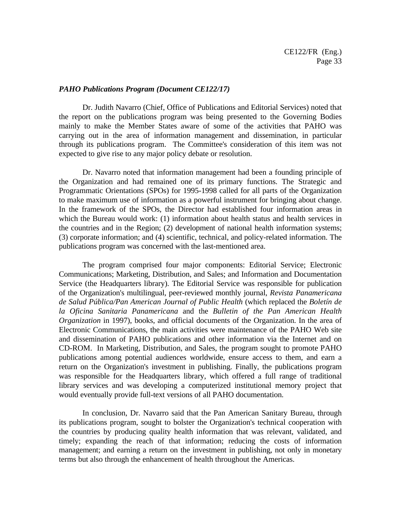#### *PAHO Publications Program (Document CE122/17)*

Dr. Judith Navarro (Chief, Office of Publications and Editorial Services) noted that the report on the publications program was being presented to the Governing Bodies mainly to make the Member States aware of some of the activities that PAHO was carrying out in the area of information management and dissemination, in particular through its publications program. The Committee's consideration of this item was not expected to give rise to any major policy debate or resolution.

Dr. Navarro noted that information management had been a founding principle of the Organization and had remained one of its primary functions. The Strategic and Programmatic Orientations (SPOs) for 1995-1998 called for all parts of the Organization to make maximum use of information as a powerful instrument for bringing about change. In the framework of the SPOs, the Director had established four information areas in which the Bureau would work: (1) information about health status and health services in the countries and in the Region; (2) development of national health information systems; (3) corporate information; and (4) scientific, technical, and policy-related information. The publications program was concerned with the last-mentioned area.

The program comprised four major components: Editorial Service; Electronic Communications; Marketing, Distribution, and Sales; and Information and Documentation Service (the Headquarters library). The Editorial Service was responsible for publication of the Organization's multilingual, peer-reviewed monthly journal, *Revista Panamericana de Salud Pública/Pan American Journal of Public Health* (which replaced the *Boletín de la Oficina Sanitaria Panamericana* and the *Bulletin of the Pan American Health Organization* in 1997), books, and official documents of the Organization. In the area of Electronic Communications, the main activities were maintenance of the PAHO Web site and dissemination of PAHO publications and other information via the Internet and on CD-ROM. In Marketing, Distribution, and Sales, the program sought to promote PAHO publications among potential audiences worldwide, ensure access to them, and earn a return on the Organization's investment in publishing. Finally, the publications program was responsible for the Headquarters library, which offered a full range of traditional library services and was developing a computerized institutional memory project that would eventually provide full-text versions of all PAHO documentation.

In conclusion, Dr. Navarro said that the Pan American Sanitary Bureau, through its publications program, sought to bolster the Organization's technical cooperation with the countries by producing quality health information that was relevant, validated, and timely; expanding the reach of that information; reducing the costs of information management; and earning a return on the investment in publishing, not only in monetary terms but also through the enhancement of health throughout the Americas.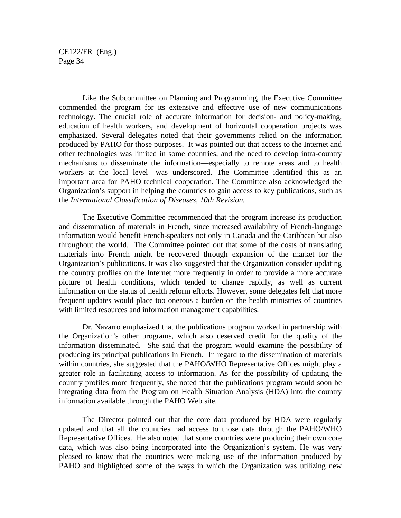Like the Subcommittee on Planning and Programming, the Executive Committee commended the program for its extensive and effective use of new communications technology. The crucial role of accurate information for decision- and policy-making, education of health workers, and development of horizontal cooperation projects was emphasized. Several delegates noted that their governments relied on the information produced by PAHO for those purposes. It was pointed out that access to the Internet and other technologies was limited in some countries, and the need to develop intra-country mechanisms to disseminate the information—especially to remote areas and to health workers at the local level—was underscored. The Committee identified this as an important area for PAHO technical cooperation. The Committee also acknowledged the Organization's support in helping the countries to gain access to key publications, such as the *International Classification of Diseases, 10th Revision.*

The Executive Committee recommended that the program increase its production and dissemination of materials in French, since increased availability of French-language information would benefit French-speakers not only in Canada and the Caribbean but also throughout the world. The Committee pointed out that some of the costs of translating materials into French might be recovered through expansion of the market for the Organization's publications. It was also suggested that the Organization consider updating the country profiles on the Internet more frequently in order to provide a more accurate picture of health conditions, which tended to change rapidly, as well as current information on the status of health reform efforts. However, some delegates felt that more frequent updates would place too onerous a burden on the health ministries of countries with limited resources and information management capabilities.

Dr. Navarro emphasized that the publications program worked in partnership with the Organization's other programs, which also deserved credit for the quality of the information disseminated. She said that the program would examine the possibility of producing its principal publications in French. In regard to the dissemination of materials within countries, she suggested that the PAHO/WHO Representative Offices might play a greater role in facilitating access to information. As for the possibility of updating the country profiles more frequently, she noted that the publications program would soon be integrating data from the Program on Health Situation Analysis (HDA) into the country information available through the PAHO Web site.

The Director pointed out that the core data produced by HDA were regularly updated and that all the countries had access to those data through the PAHO/WHO Representative Offices. He also noted that some countries were producing their own core data, which was also being incorporated into the Organization's system. He was very pleased to know that the countries were making use of the information produced by PAHO and highlighted some of the ways in which the Organization was utilizing new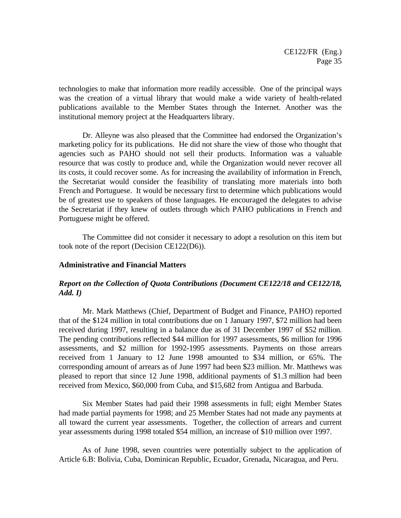technologies to make that information more readily accessible. One of the principal ways was the creation of a virtual library that would make a wide variety of health-related publications available to the Member States through the Internet. Another was the institutional memory project at the Headquarters library.

Dr. Alleyne was also pleased that the Committee had endorsed the Organization's marketing policy for its publications. He did not share the view of those who thought that agencies such as PAHO should not sell their products. Information was a valuable resource that was costly to produce and, while the Organization would never recover all its costs, it could recover some. As for increasing the availability of information in French, the Secretariat would consider the feasibility of translating more materials into both French and Portuguese. It would be necessary first to determine which publications would be of greatest use to speakers of those languages. He encouraged the delegates to advise the Secretariat if they knew of outlets through which PAHO publications in French and Portuguese might be offered.

The Committee did not consider it necessary to adopt a resolution on this item but took note of the report (Decision CE122(D6)).

#### **Administrative and Financial Matters**

### *Report on the Collection of Quota Contributions (Document CE122/18 and CE122/18, Add. I)*

Mr. Mark Matthews (Chief, Department of Budget and Finance, PAHO) reported that of the \$124 million in total contributions due on 1 January 1997, \$72 million had been received during 1997, resulting in a balance due as of 31 December 1997 of \$52 million. The pending contributions reflected \$44 million for 1997 assessments, \$6 million for 1996 assessments, and \$2 million for 1992-1995 assessments. Payments on those arrears received from 1 January to 12 June 1998 amounted to \$34 million, or 65%. The corresponding amount of arrears as of June 1997 had been \$23 million. Mr. Matthews was pleased to report that since 12 June 1998, additional payments of \$1.3 million had been received from Mexico, \$60,000 from Cuba, and \$15,682 from Antigua and Barbuda.

Six Member States had paid their 1998 assessments in full; eight Member States had made partial payments for 1998; and 25 Member States had not made any payments at all toward the current year assessments. Together, the collection of arrears and current year assessments during 1998 totaled \$54 million, an increase of \$10 million over 1997.

As of June 1998, seven countries were potentially subject to the application of Article 6.B: Bolivia, Cuba, Dominican Republic, Ecuador, Grenada, Nicaragua, and Peru.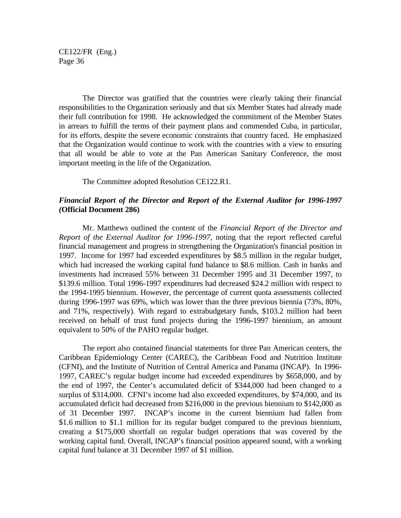The Director was gratified that the countries were clearly taking their financial responsibilities to the Organization seriously and that six Member States had already made their full contribution for 1998. He acknowledged the commitment of the Member States in arrears to fulfill the terms of their payment plans and commended Cuba, in particular, for its efforts, despite the severe economic constraints that country faced. He emphasized that the Organization would continue to work with the countries with a view to ensuring that all would be able to vote at the Pan American Sanitary Conference, the most important meeting in the life of the Organization.

The Committee adopted Resolution CE122.R1.

## *Financial Report of the Director and Report of the External Auditor for 1996-1997 (***Official Document 286)**

Mr. Matthews outlined the content of the *Financial Report of the Director and Report of the External Auditor for 1996-1997*, noting that the report reflected careful financial management and progress in strengthening the Organization's financial position in 1997. Income for 1997 had exceeded expenditures by \$8.5 million in the regular budget, which had increased the working capital fund balance to \$8.6 million. Cash in banks and investments had increased 55% between 31 December 1995 and 31 December 1997, to \$139.6 million. Total 1996-1997 expenditures had decreased \$24.2 million with respect to the 1994-1995 biennium. However, the percentage of current quota assessments collected during 1996-1997 was 69%, which was lower than the three previous biennia (73%, 80%, and 71%, respectively). With regard to extrabudgetary funds, \$103.2 million had been received on behalf of trust fund projects during the 1996-1997 biennium, an amount equivalent to 50% of the PAHO regular budget.

The report also contained financial statements for three Pan American centers, the Caribbean Epidemiology Center (CAREC), the Caribbean Food and Nutrition Institute (CFNI), and the Institute of Nutrition of Central America and Panama (INCAP). In 1996- 1997, CAREC's regular budget income had exceeded expenditures by \$658,000, and by the end of 1997, the Center's accumulated deficit of \$344,000 had been changed to a surplus of \$314,000. CFNI's income had also exceeded expenditures, by \$74,000, and its accumulated deficit had decreased from \$216,000 in the previous biennium to \$142,000 as of 31 December 1997. INCAP's income in the current biennium had fallen from \$1.6 million to \$1.1 million for its regular budget compared to the previous biennium, creating a \$175,000 shortfall on regular budget operations that was covered by the working capital fund. Overall, INCAP's financial position appeared sound, with a working capital fund balance at 31 December 1997 of \$1 million.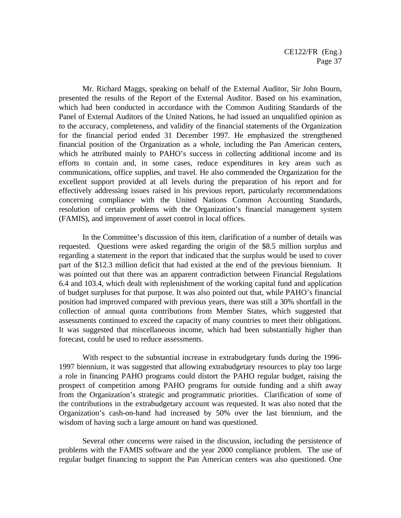Mr. Richard Maggs, speaking on behalf of the External Auditor, Sir John Bourn, presented the results of the Report of the External Auditor. Based on his examination, which had been conducted in accordance with the Common Auditing Standards of the Panel of External Auditors of the United Nations, he had issued an unqualified opinion as to the accuracy, completeness, and validity of the financial statements of the Organization for the financial period ended 31 December 1997. He emphasized the strengthened financial position of the Organization as a whole, including the Pan American centers, which he attributed mainly to PAHO's success in collecting additional income and its efforts to contain and, in some cases, reduce expenditures in key areas such as communications, office supplies, and travel. He also commended the Organization for the excellent support provided at all levels during the preparation of his report and for effectively addressing issues raised in his previous report, particularly recommendations concerning compliance with the United Nations Common Accounting Standards, resolution of certain problems with the Organization's financial management system (FAMIS), and improvement of asset control in local offices.

In the Committee's discussion of this item, clarification of a number of details was requested. Questions were asked regarding the origin of the \$8.5 million surplus and regarding a statement in the report that indicated that the surplus would be used to cover part of the \$12.3 million deficit that had existed at the end of the previous biennium. It was pointed out that there was an apparent contradiction between Financial Regulations 6.4 and 103.4, which dealt with replenishment of the working capital fund and application of budget surpluses for that purpose. It was also pointed out that, while PAHO's financial position had improved compared with previous years, there was still a 30% shortfall in the collection of annual quota contributions from Member States, which suggested that assessments continued to exceed the capacity of many countries to meet their obligations. It was suggested that miscellaneous income, which had been substantially higher than forecast, could be used to reduce assessments.

With respect to the substantial increase in extrabudgetary funds during the 1996- 1997 biennium, it was suggested that allowing extrabudgetary resources to play too large a role in financing PAHO programs could distort the PAHO regular budget, raising the prospect of competition among PAHO programs for outside funding and a shift away from the Organization's strategic and programmatic priorities. Clarification of some of the contributions in the extrabudgetary account was requested. It was also noted that the Organization's cash-on-hand had increased by 50% over the last biennium, and the wisdom of having such a large amount on hand was questioned.

Several other concerns were raised in the discussion, including the persistence of problems with the FAMIS software and the year 2000 compliance problem. The use of regular budget financing to support the Pan American centers was also questioned. One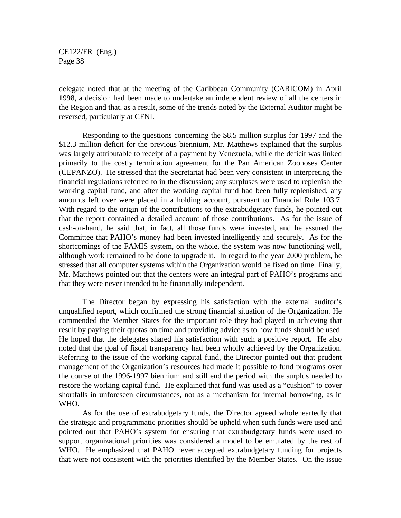delegate noted that at the meeting of the Caribbean Community (CARICOM) in April 1998, a decision had been made to undertake an independent review of all the centers in the Region and that, as a result, some of the trends noted by the External Auditor might be reversed, particularly at CFNI.

Responding to the questions concerning the \$8.5 million surplus for 1997 and the \$12.3 million deficit for the previous biennium, Mr. Matthews explained that the surplus was largely attributable to receipt of a payment by Venezuela, while the deficit was linked primarily to the costly termination agreement for the Pan American Zoonoses Center (CEPANZO). He stressed that the Secretariat had been very consistent in interpreting the financial regulations referred to in the discussion; any surpluses were used to replenish the working capital fund, and after the working capital fund had been fully replenished, any amounts left over were placed in a holding account, pursuant to Financial Rule 103.7. With regard to the origin of the contributions to the extrabudgetary funds, he pointed out that the report contained a detailed account of those contributions. As for the issue of cash-on-hand, he said that, in fact, all those funds were invested, and he assured the Committee that PAHO's money had been invested intelligently and securely. As for the shortcomings of the FAMIS system, on the whole, the system was now functioning well, although work remained to be done to upgrade it. In regard to the year 2000 problem, he stressed that all computer systems within the Organization would be fixed on time. Finally, Mr. Matthews pointed out that the centers were an integral part of PAHO's programs and that they were never intended to be financially independent.

The Director began by expressing his satisfaction with the external auditor's unqualified report, which confirmed the strong financial situation of the Organization. He commended the Member States for the important role they had played in achieving that result by paying their quotas on time and providing advice as to how funds should be used. He hoped that the delegates shared his satisfaction with such a positive report. He also noted that the goal of fiscal transparency had been wholly achieved by the Organization. Referring to the issue of the working capital fund, the Director pointed out that prudent management of the Organization's resources had made it possible to fund programs over the course of the 1996-1997 biennium and still end the period with the surplus needed to restore the working capital fund. He explained that fund was used as a "cushion" to cover shortfalls in unforeseen circumstances, not as a mechanism for internal borrowing, as in WHO.

As for the use of extrabudgetary funds, the Director agreed wholeheartedly that the strategic and programmatic priorities should be upheld when such funds were used and pointed out that PAHO's system for ensuring that extrabudgetary funds were used to support organizational priorities was considered a model to be emulated by the rest of WHO. He emphasized that PAHO never accepted extrabudgetary funding for projects that were not consistent with the priorities identified by the Member States. On the issue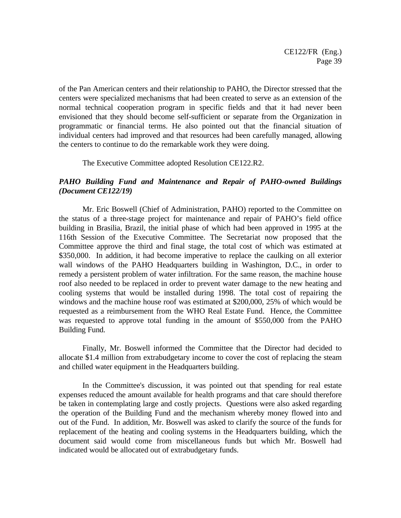of the Pan American centers and their relationship to PAHO, the Director stressed that the centers were specialized mechanisms that had been created to serve as an extension of the normal technical cooperation program in specific fields and that it had never been envisioned that they should become self-sufficient or separate from the Organization in programmatic or financial terms. He also pointed out that the financial situation of individual centers had improved and that resources had been carefully managed, allowing the centers to continue to do the remarkable work they were doing.

The Executive Committee adopted Resolution CE122.R2.

## *PAHO Building Fund and Maintenance and Repair of PAHO-owned Buildings (Document CE122/19)*

Mr. Eric Boswell (Chief of Administration, PAHO) reported to the Committee on the status of a three-stage project for maintenance and repair of PAHO's field office building in Brasilia, Brazil, the initial phase of which had been approved in 1995 at the 116th Session of the Executive Committee. The Secretariat now proposed that the Committee approve the third and final stage, the total cost of which was estimated at \$350,000. In addition, it had become imperative to replace the caulking on all exterior wall windows of the PAHO Headquarters building in Washington, D.C., in order to remedy a persistent problem of water infiltration. For the same reason, the machine house roof also needed to be replaced in order to prevent water damage to the new heating and cooling systems that would be installed during 1998. The total cost of repairing the windows and the machine house roof was estimated at \$200,000, 25% of which would be requested as a reimbursement from the WHO Real Estate Fund. Hence, the Committee was requested to approve total funding in the amount of \$550,000 from the PAHO Building Fund.

Finally, Mr. Boswell informed the Committee that the Director had decided to allocate \$1.4 million from extrabudgetary income to cover the cost of replacing the steam and chilled water equipment in the Headquarters building.

In the Committee's discussion, it was pointed out that spending for real estate expenses reduced the amount available for health programs and that care should therefore be taken in contemplating large and costly projects. Questions were also asked regarding the operation of the Building Fund and the mechanism whereby money flowed into and out of the Fund. In addition, Mr. Boswell was asked to clarify the source of the funds for replacement of the heating and cooling systems in the Headquarters building, which the document said would come from miscellaneous funds but which Mr. Boswell had indicated would be allocated out of extrabudgetary funds.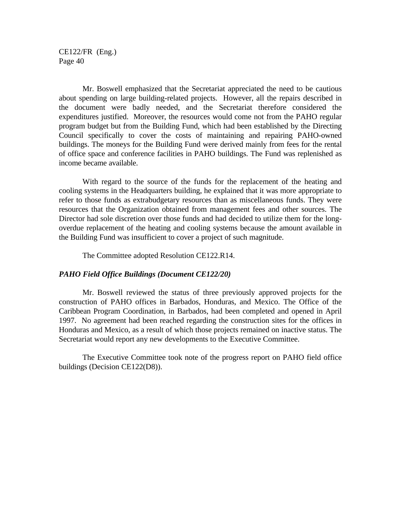Mr. Boswell emphasized that the Secretariat appreciated the need to be cautious about spending on large building-related projects. However, all the repairs described in the document were badly needed, and the Secretariat therefore considered the expenditures justified. Moreover, the resources would come not from the PAHO regular program budget but from the Building Fund, which had been established by the Directing Council specifically to cover the costs of maintaining and repairing PAHO-owned buildings. The moneys for the Building Fund were derived mainly from fees for the rental of office space and conference facilities in PAHO buildings. The Fund was replenished as income became available.

With regard to the source of the funds for the replacement of the heating and cooling systems in the Headquarters building, he explained that it was more appropriate to refer to those funds as extrabudgetary resources than as miscellaneous funds. They were resources that the Organization obtained from management fees and other sources. The Director had sole discretion over those funds and had decided to utilize them for the longoverdue replacement of the heating and cooling systems because the amount available in the Building Fund was insufficient to cover a project of such magnitude.

The Committee adopted Resolution CE122.R14.

#### *PAHO Field Office Buildings (Document CE122/20)*

Mr. Boswell reviewed the status of three previously approved projects for the construction of PAHO offices in Barbados, Honduras, and Mexico. The Office of the Caribbean Program Coordination, in Barbados, had been completed and opened in April 1997. No agreement had been reached regarding the construction sites for the offices in Honduras and Mexico, as a result of which those projects remained on inactive status. The Secretariat would report any new developments to the Executive Committee.

The Executive Committee took note of the progress report on PAHO field office buildings (Decision CE122(D8)).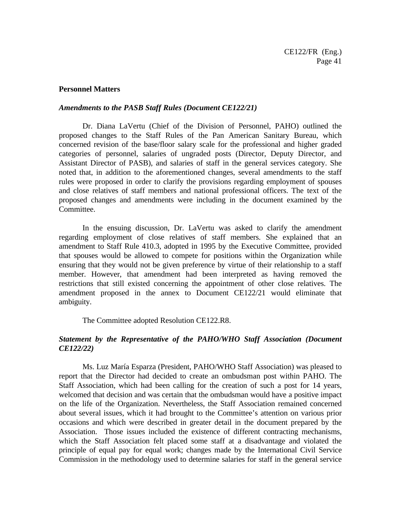### **Personnel Matters**

### *Amendments to the PASB Staff Rules (Document CE122/21)*

Dr. Diana LaVertu (Chief of the Division of Personnel, PAHO) outlined the proposed changes to the Staff Rules of the Pan American Sanitary Bureau, which concerned revision of the base/floor salary scale for the professional and higher graded categories of personnel, salaries of ungraded posts (Director, Deputy Director, and Assistant Director of PASB), and salaries of staff in the general services category. She noted that, in addition to the aforementioned changes, several amendments to the staff rules were proposed in order to clarify the provisions regarding employment of spouses and close relatives of staff members and national professional officers. The text of the proposed changes and amendments were including in the document examined by the Committee.

In the ensuing discussion, Dr. LaVertu was asked to clarify the amendment regarding employment of close relatives of staff members. She explained that an amendment to Staff Rule 410.3, adopted in 1995 by the Executive Committee, provided that spouses would be allowed to compete for positions within the Organization while ensuring that they would not be given preference by virtue of their relationship to a staff member. However, that amendment had been interpreted as having removed the restrictions that still existed concerning the appointment of other close relatives. The amendment proposed in the annex to Document CE122/21 would eliminate that ambiguity.

The Committee adopted Resolution CE122.R8.

## *Statement by the Representative of the PAHO/WHO Staff Association (Document CE122/22)*

Ms. Luz María Esparza (President, PAHO/WHO Staff Association) was pleased to report that the Director had decided to create an ombudsman post within PAHO. The Staff Association, which had been calling for the creation of such a post for 14 years, welcomed that decision and was certain that the ombudsman would have a positive impact on the life of the Organization. Nevertheless, the Staff Association remained concerned about several issues, which it had brought to the Committee's attention on various prior occasions and which were described in greater detail in the document prepared by the Association. Those issues included the existence of different contracting mechanisms, which the Staff Association felt placed some staff at a disadvantage and violated the principle of equal pay for equal work; changes made by the International Civil Service Commission in the methodology used to determine salaries for staff in the general service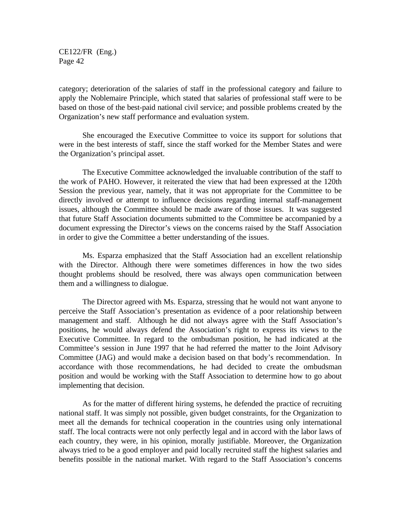category; deterioration of the salaries of staff in the professional category and failure to apply the Noblemaire Principle, which stated that salaries of professional staff were to be based on those of the best-paid national civil service; and possible problems created by the Organization's new staff performance and evaluation system.

She encouraged the Executive Committee to voice its support for solutions that were in the best interests of staff, since the staff worked for the Member States and were the Organization's principal asset.

The Executive Committee acknowledged the invaluable contribution of the staff to the work of PAHO. However, it reiterated the view that had been expressed at the 120th Session the previous year, namely, that it was not appropriate for the Committee to be directly involved or attempt to influence decisions regarding internal staff-management issues, although the Committee should be made aware of those issues. It was suggested that future Staff Association documents submitted to the Committee be accompanied by a document expressing the Director's views on the concerns raised by the Staff Association in order to give the Committee a better understanding of the issues.

Ms. Esparza emphasized that the Staff Association had an excellent relationship with the Director. Although there were sometimes differences in how the two sides thought problems should be resolved, there was always open communication between them and a willingness to dialogue.

The Director agreed with Ms. Esparza, stressing that he would not want anyone to perceive the Staff Association's presentation as evidence of a poor relationship between management and staff. Although he did not always agree with the Staff Association's positions, he would always defend the Association's right to express its views to the Executive Committee. In regard to the ombudsman position, he had indicated at the Committee's session in June 1997 that he had referred the matter to the Joint Advisory Committee (JAG) and would make a decision based on that body's recommendation. In accordance with those recommendations, he had decided to create the ombudsman position and would be working with the Staff Association to determine how to go about implementing that decision.

As for the matter of different hiring systems, he defended the practice of recruiting national staff. It was simply not possible, given budget constraints, for the Organization to meet all the demands for technical cooperation in the countries using only international staff. The local contracts were not only perfectly legal and in accord with the labor laws of each country, they were, in his opinion, morally justifiable. Moreover, the Organization always tried to be a good employer and paid locally recruited staff the highest salaries and benefits possible in the national market. With regard to the Staff Association's concerns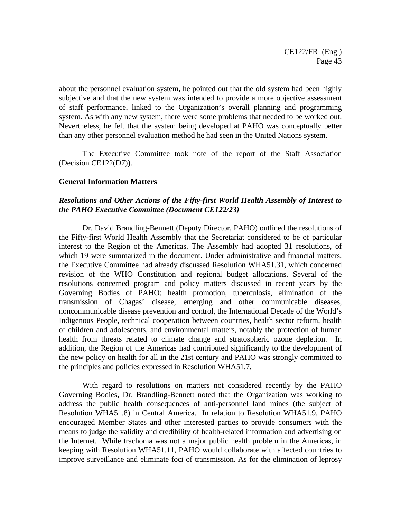about the personnel evaluation system, he pointed out that the old system had been highly subjective and that the new system was intended to provide a more objective assessment of staff performance, linked to the Organization's overall planning and programming system. As with any new system, there were some problems that needed to be worked out. Nevertheless, he felt that the system being developed at PAHO was conceptually better than any other personnel evaluation method he had seen in the United Nations system.

The Executive Committee took note of the report of the Staff Association (Decision CE122(D7)).

### **General Information Matters**

## *Resolutions and Other Actions of the Fifty-first World Health Assembly of Interest to the PAHO Executive Committee (Document CE122/23)*

Dr. David Brandling-Bennett (Deputy Director, PAHO) outlined the resolutions of the Fifty-first World Health Assembly that the Secretariat considered to be of particular interest to the Region of the Americas. The Assembly had adopted 31 resolutions, of which 19 were summarized in the document. Under administrative and financial matters, the Executive Committee had already discussed Resolution WHA51.31, which concerned revision of the WHO Constitution and regional budget allocations. Several of the resolutions concerned program and policy matters discussed in recent years by the Governing Bodies of PAHO: health promotion, tuberculosis, elimination of the transmission of Chagas' disease, emerging and other communicable diseases, noncommunicable disease prevention and control, the International Decade of the World's Indigenous People, technical cooperation between countries, health sector reform, health of children and adolescents, and environmental matters, notably the protection of human health from threats related to climate change and stratospheric ozone depletion. In addition, the Region of the Americas had contributed significantly to the development of the new policy on health for all in the 21st century and PAHO was strongly committed to the principles and policies expressed in Resolution WHA51.7.

With regard to resolutions on matters not considered recently by the PAHO Governing Bodies, Dr. Brandling-Bennett noted that the Organization was working to address the public health consequences of anti-personnel land mines (the subject of Resolution WHA51.8) in Central America. In relation to Resolution WHA51.9, PAHO encouraged Member States and other interested parties to provide consumers with the means to judge the validity and credibility of health-related information and advertising on the Internet. While trachoma was not a major public health problem in the Americas, in keeping with Resolution WHA51.11, PAHO would collaborate with affected countries to improve surveillance and eliminate foci of transmission. As for the elimination of leprosy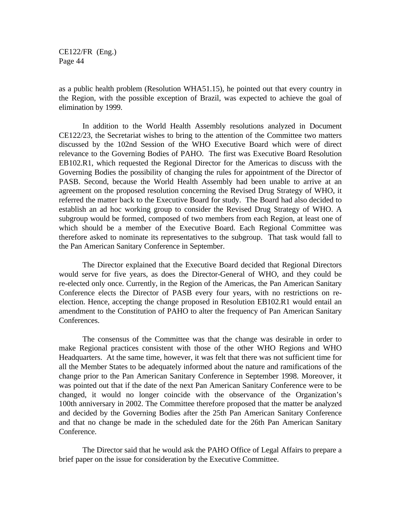as a public health problem (Resolution WHA51.15), he pointed out that every country in the Region, with the possible exception of Brazil, was expected to achieve the goal of elimination by 1999.

In addition to the World Health Assembly resolutions analyzed in Document CE122/23, the Secretariat wishes to bring to the attention of the Committee two matters discussed by the 102nd Session of the WHO Executive Board which were of direct relevance to the Governing Bodies of PAHO. The first was Executive Board Resolution EB102.R1, which requested the Regional Director for the Americas to discuss with the Governing Bodies the possibility of changing the rules for appointment of the Director of PASB. Second, because the World Health Assembly had been unable to arrive at an agreement on the proposed resolution concerning the Revised Drug Strategy of WHO, it referred the matter back to the Executive Board for study. The Board had also decided to establish an ad hoc working group to consider the Revised Drug Strategy of WHO. A subgroup would be formed, composed of two members from each Region, at least one of which should be a member of the Executive Board. Each Regional Committee was therefore asked to nominate its representatives to the subgroup. That task would fall to the Pan American Sanitary Conference in September.

The Director explained that the Executive Board decided that Regional Directors would serve for five years, as does the Director-General of WHO, and they could be re-elected only once. Currently, in the Region of the Americas, the Pan American Sanitary Conference elects the Director of PASB every four years, with no restrictions on reelection. Hence, accepting the change proposed in Resolution EB102.R1 would entail an amendment to the Constitution of PAHO to alter the frequency of Pan American Sanitary Conferences.

The consensus of the Committee was that the change was desirable in order to make Regional practices consistent with those of the other WHO Regions and WHO Headquarters. At the same time, however, it was felt that there was not sufficient time for all the Member States to be adequately informed about the nature and ramifications of the change prior to the Pan American Sanitary Conference in September 1998. Moreover, it was pointed out that if the date of the next Pan American Sanitary Conference were to be changed, it would no longer coincide with the observance of the Organization's 100th anniversary in 2002. The Committee therefore proposed that the matter be analyzed and decided by the Governing Bodies after the 25th Pan American Sanitary Conference and that no change be made in the scheduled date for the 26th Pan American Sanitary Conference.

The Director said that he would ask the PAHO Office of Legal Affairs to prepare a brief paper on the issue for consideration by the Executive Committee.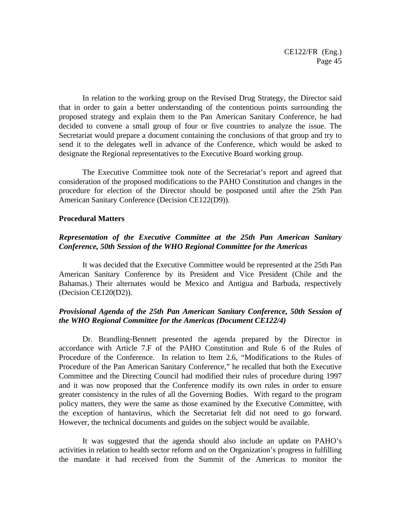In relation to the working group on the Revised Drug Strategy, the Director said that in order to gain a better understanding of the contentious points surrounding the proposed strategy and explain them to the Pan American Sanitary Conference, he had decided to convene a small group of four or five countries to analyze the issue. The Secretariat would prepare a document containing the conclusions of that group and try to send it to the delegates well in advance of the Conference, which would be asked to designate the Regional representatives to the Executive Board working group.

The Executive Committee took note of the Secretariat's report and agreed that consideration of the proposed modifications to the PAHO Constitution and changes in the procedure for election of the Director should be postponed until after the 25th Pan American Sanitary Conference (Decision CE122(D9)).

#### **Procedural Matters**

## *Representation of the Executive Committee at the 25th Pan American Sanitary Conference, 50th Session of the WHO Regional Committee for the Americas*

It was decided that the Executive Committee would be represented at the 25th Pan American Sanitary Conference by its President and Vice President (Chile and the Bahamas.) Their alternates would be Mexico and Antigua and Barbuda, respectively (Decision CE120(D2)).

## *Provisional Agenda of the 25th Pan American Sanitary Conference, 50th Session of the WHO Regional Committee for the Americas (Document CE122/4)*

Dr. Brandling-Bennett presented the agenda prepared by the Director in accordance with Article 7.F of the PAHO Constitution and Rule 6 of the Rules of Procedure of the Conference. In relation to Item 2.6, "Modifications to the Rules of Procedure of the Pan American Sanitary Conference," he recalled that both the Executive Committee and the Directing Council had modified their rules of procedure during 1997 and it was now proposed that the Conference modify its own rules in order to ensure greater consistency in the rules of all the Governing Bodies. With regard to the program policy matters, they were the same as those examined by the Executive Committee, with the exception of hantavirus, which the Secretariat felt did not need to go forward. However, the technical documents and guides on the subject would be available.

It was suggested that the agenda should also include an update on PAHO's activities in relation to health sector reform and on the Organization's progress in fulfilling the mandate it had received from the Summit of the Americas to monitor the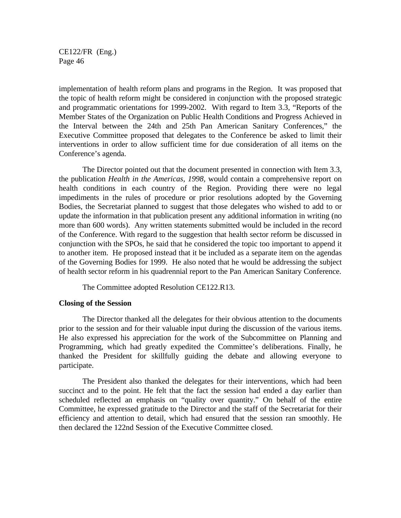implementation of health reform plans and programs in the Region. It was proposed that the topic of health reform might be considered in conjunction with the proposed strategic and programmatic orientations for 1999-2002. With regard to Item 3.3, "Reports of the Member States of the Organization on Public Health Conditions and Progress Achieved in the Interval between the 24th and 25th Pan American Sanitary Conferences," the Executive Committee proposed that delegates to the Conference be asked to limit their interventions in order to allow sufficient time for due consideration of all items on the Conference's agenda.

The Director pointed out that the document presented in connection with Item 3.3, the publication *Health in the Americas, 1998,* would contain a comprehensive report on health conditions in each country of the Region. Providing there were no legal impediments in the rules of procedure or prior resolutions adopted by the Governing Bodies, the Secretariat planned to suggest that those delegates who wished to add to or update the information in that publication present any additional information in writing (no more than 600 words). Any written statements submitted would be included in the record of the Conference. With regard to the suggestion that health sector reform be discussed in conjunction with the SPOs, he said that he considered the topic too important to append it to another item. He proposed instead that it be included as a separate item on the agendas of the Governing Bodies for 1999. He also noted that he would be addressing the subject of health sector reform in his quadrennial report to the Pan American Sanitary Conference.

The Committee adopted Resolution CE122.R13.

#### **Closing of the Session**

The Director thanked all the delegates for their obvious attention to the documents prior to the session and for their valuable input during the discussion of the various items. He also expressed his appreciation for the work of the Subcommittee on Planning and Programming, which had greatly expedited the Committee's deliberations. Finally, he thanked the President for skillfully guiding the debate and allowing everyone to participate.

The President also thanked the delegates for their interventions, which had been succinct and to the point. He felt that the fact the session had ended a day earlier than scheduled reflected an emphasis on "quality over quantity." On behalf of the entire Committee, he expressed gratitude to the Director and the staff of the Secretariat for their efficiency and attention to detail, which had ensured that the session ran smoothly. He then declared the 122nd Session of the Executive Committee closed.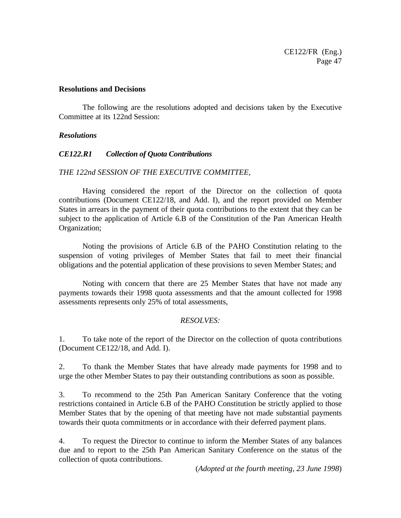#### **Resolutions and Decisions**

The following are the resolutions adopted and decisions taken by the Executive Committee at its 122nd Session:

#### *Resolutions*

### *CE122.R1 Collection of Quota Contributions*

### *THE 122nd SESSION OF THE EXECUTIVE COMMITTEE,*

Having considered the report of the Director on the collection of quota contributions (Document CE122/18, and Add. I), and the report provided on Member States in arrears in the payment of their quota contributions to the extent that they can be subject to the application of Article 6.B of the Constitution of the Pan American Health Organization;

Noting the provisions of Article 6.B of the PAHO Constitution relating to the suspension of voting privileges of Member States that fail to meet their financial obligations and the potential application of these provisions to seven Member States; and

Noting with concern that there are 25 Member States that have not made any payments towards their 1998 quota assessments and that the amount collected for 1998 assessments represents only 25% of total assessments,

### *RESOLVES:*

1. To take note of the report of the Director on the collection of quota contributions (Document CE122/18, and Add. I).

2. To thank the Member States that have already made payments for 1998 and to urge the other Member States to pay their outstanding contributions as soon as possible.

3. To recommend to the 25th Pan American Sanitary Conference that the voting restrictions contained in Article 6.B of the PAHO Constitution be strictly applied to those Member States that by the opening of that meeting have not made substantial payments towards their quota commitments or in accordance with their deferred payment plans.

4. To request the Director to continue to inform the Member States of any balances due and to report to the 25th Pan American Sanitary Conference on the status of the collection of quota contributions.

(*Adopted at the fourth meeting, 23 June 1998*)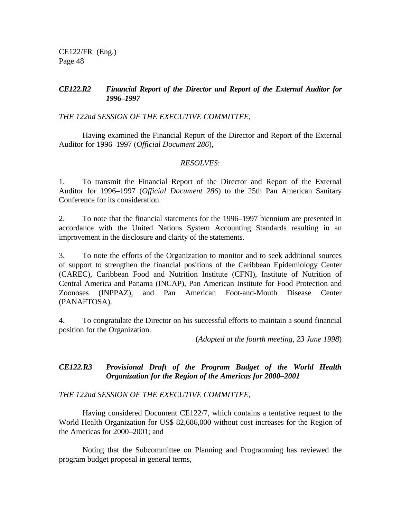## *CE122.R2 Financial Report of the Director and Report of the External Auditor for 1996–1997*

*THE 122nd SESSION OF THE EXECUTIVE COMMITTEE,*

Having examined the Financial Report of the Director and Report of the External Auditor for 1996–1997 (*Official Document 286*),

## *RESOLVES*:

1. To transmit the Financial Report of the Director and Report of the External Auditor for 1996–1997 (*Official Document 286*) to the 25th Pan American Sanitary Conference for its consideration.

2. To note that the financial statements for the 1996–1997 biennium are presented in accordance with the United Nations System Accounting Standards resulting in an improvement in the disclosure and clarity of the statements.

3. To note the efforts of the Organization to monitor and to seek additional sources of support to strengthen the financial positions of the Caribbean Epidemiology Center (CAREC), Caribbean Food and Nutrition Institute (CFNI), Institute of Nutrition of Central America and Panama (INCAP), Pan American Institute for Food Protection and Zoonoses (INPPAZ), and Pan American Foot-and-Mouth Disease Center (PANAFTOSA).

4. To congratulate the Director on his successful efforts to maintain a sound financial position for the Organization.

(*Adopted at the fourth meeting, 23 June 1998*)

# *CE122.R3 Provisional Draft of the Program Budget of the World Health Organization for the Region of the Americas for 2000–2001*

*THE 122nd SESSION OF THE EXECUTIVE COMMITTEE*,

Having considered Document CE122/7, which contains a tentative request to the World Health Organization for US\$ 82,686,000 without cost increases for the Region of the Americas for 2000–2001; and

Noting that the Subcommittee on Planning and Programming has reviewed the program budget proposal in general terms,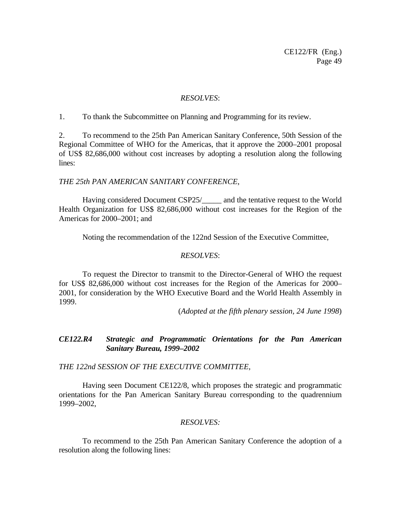#### *RESOLVES*:

1. To thank the Subcommittee on Planning and Programming for its review.

2. To recommend to the 25th Pan American Sanitary Conference, 50th Session of the Regional Committee of WHO for the Americas, that it approve the 2000–2001 proposal of US\$ 82,686,000 without cost increases by adopting a resolution along the following lines:

#### *THE 25th PAN AMERICAN SANITARY CONFERENCE*,

Having considered Document CSP25/\_\_\_\_\_ and the tentative request to the World Health Organization for US\$ 82,686,000 without cost increases for the Region of the Americas for 2000–2001; and

Noting the recommendation of the 122nd Session of the Executive Committee,

### *RESOLVES*:

To request the Director to transmit to the Director-General of WHO the request for US\$ 82,686,000 without cost increases for the Region of the Americas for 2000– 2001, for consideration by the WHO Executive Board and the World Health Assembly in 1999.

(*Adopted at the fifth plenary session, 24 June 1998*)

## *CE122.R4 Strategic and Programmatic Orientations for the Pan American Sanitary Bureau, 1999–2002*

*THE 122nd SESSION OF THE EXECUTIVE COMMITTEE,*

Having seen Document CE122/8, which proposes the strategic and programmatic orientations for the Pan American Sanitary Bureau corresponding to the quadrennium 1999–2002,

### *RESOLVES:*

To recommend to the 25th Pan American Sanitary Conference the adoption of a resolution along the following lines: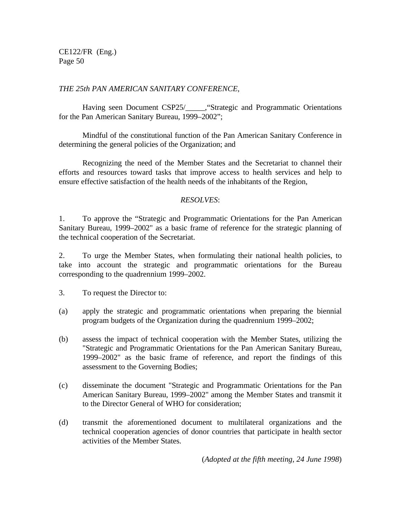## *THE 25th PAN AMERICAN SANITARY CONFERENCE,*

Having seen Document CSP25/\_\_\_\_\_, "Strategic and Programmatic Orientations for the Pan American Sanitary Bureau, 1999–2002";

Mindful of the constitutional function of the Pan American Sanitary Conference in determining the general policies of the Organization; and

Recognizing the need of the Member States and the Secretariat to channel their efforts and resources toward tasks that improve access to health services and help to ensure effective satisfaction of the health needs of the inhabitants of the Region,

## *RESOLVES*:

1. To approve the "Strategic and Programmatic Orientations for the Pan American Sanitary Bureau, 1999–2002" as a basic frame of reference for the strategic planning of the technical cooperation of the Secretariat.

2. To urge the Member States, when formulating their national health policies, to take into account the strategic and programmatic orientations for the Bureau corresponding to the quadrennium 1999–2002.

3. To request the Director to:

- (a) apply the strategic and programmatic orientations when preparing the biennial program budgets of the Organization during the quadrennium 1999–2002;
- (b) assess the impact of technical cooperation with the Member States, utilizing the "Strategic and Programmatic Orientations for the Pan American Sanitary Bureau, 1999–2002" as the basic frame of reference, and report the findings of this assessment to the Governing Bodies;
- (c) disseminate the document "Strategic and Programmatic Orientations for the Pan American Sanitary Bureau, 1999–2002" among the Member States and transmit it to the Director General of WHO for consideration;
- (d) transmit the aforementioned document to multilateral organizations and the technical cooperation agencies of donor countries that participate in health sector activities of the Member States.

(*Adopted at the fifth meeting, 24 June 1998*)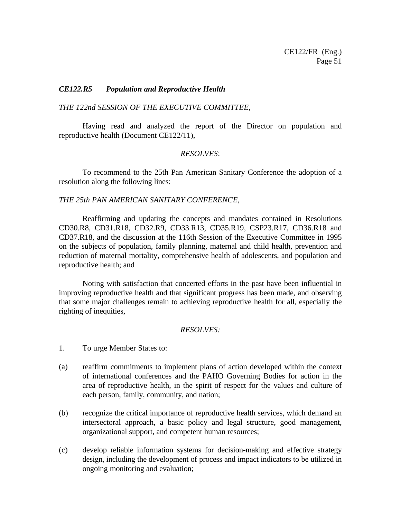### *CE122.R5 Population and Reproductive Health*

### *THE 122nd SESSION OF THE EXECUTIVE COMMITTEE,*

Having read and analyzed the report of the Director on population and reproductive health (Document CE122/11),

#### *RESOLVES*:

To recommend to the 25th Pan American Sanitary Conference the adoption of a resolution along the following lines:

### *THE 25th PAN AMERICAN SANITARY CONFERENCE,*

Reaffirming and updating the concepts and mandates contained in Resolutions CD30.R8, CD31.R18, CD32.R9, CD33.R13, CD35.R19, CSP23.R17, CD36.R18 and CD37.R18, and the discussion at the 116th Session of the Executive Committee in 1995 on the subjects of population, family planning, maternal and child health, prevention and reduction of maternal mortality, comprehensive health of adolescents, and population and reproductive health; and

Noting with satisfaction that concerted efforts in the past have been influential in improving reproductive health and that significant progress has been made, and observing that some major challenges remain to achieving reproductive health for all, especially the righting of inequities,

#### *RESOLVES:*

- 1. To urge Member States to:
- (a) reaffirm commitments to implement plans of action developed within the context of international conferences and the PAHO Governing Bodies for action in the area of reproductive health, in the spirit of respect for the values and culture of each person, family, community, and nation;
- (b) recognize the critical importance of reproductive health services, which demand an intersectoral approach, a basic policy and legal structure, good management, organizational support, and competent human resources;
- (c) develop reliable information systems for decision-making and effective strategy design, including the development of process and impact indicators to be utilized in ongoing monitoring and evaluation;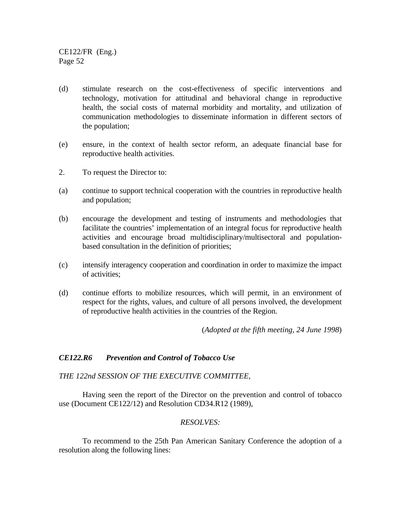- (d) stimulate research on the cost-effectiveness of specific interventions and technology, motivation for attitudinal and behavioral change in reproductive health, the social costs of maternal morbidity and mortality, and utilization of communication methodologies to disseminate information in different sectors of the population;
- (e) ensure, in the context of health sector reform, an adequate financial base for reproductive health activities.
- 2. To request the Director to:
- (a) continue to support technical cooperation with the countries in reproductive health and population;
- (b) encourage the development and testing of instruments and methodologies that facilitate the countries' implementation of an integral focus for reproductive health activities and encourage broad multidisciplinary/multisectoral and populationbased consultation in the definition of priorities;
- (c) intensify interagency cooperation and coordination in order to maximize the impact of activities;
- (d) continue efforts to mobilize resources, which will permit, in an environment of respect for the rights, values, and culture of all persons involved, the development of reproductive health activities in the countries of the Region.

(*Adopted at the fifth meeting, 24 June 1998*)

### *CE122.R6 Prevention and Control of Tobacco Use*

*THE 122nd SESSION OF THE EXECUTIVE COMMITTEE,*

Having seen the report of the Director on the prevention and control of tobacco use (Document CE122/12) and Resolution CD34.R12 (1989),

### *RESOLVES:*

To recommend to the 25th Pan American Sanitary Conference the adoption of a resolution along the following lines: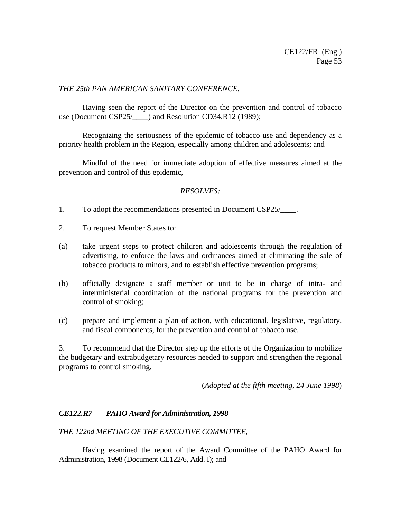## *THE 25th PAN AMERICAN SANITARY CONFERENCE,*

Having seen the report of the Director on the prevention and control of tobacco use (Document CSP25/  $\qquad$  ) and Resolution CD34.R12 (1989);

Recognizing the seriousness of the epidemic of tobacco use and dependency as a priority health problem in the Region, especially among children and adolescents; and

Mindful of the need for immediate adoption of effective measures aimed at the prevention and control of this epidemic,

## *RESOLVES:*

- 1. To adopt the recommendations presented in Document CSP25/\_\_\_\_.
- 2. To request Member States to:
- (a) take urgent steps to protect children and adolescents through the regulation of advertising, to enforce the laws and ordinances aimed at eliminating the sale of tobacco products to minors, and to establish effective prevention programs;
- (b) officially designate a staff member or unit to be in charge of intra- and interministerial coordination of the national programs for the prevention and control of smoking;
- (c) prepare and implement a plan of action, with educational, legislative, regulatory, and fiscal components, for the prevention and control of tobacco use.

3. To recommend that the Director step up the efforts of the Organization to mobilize the budgetary and extrabudgetary resources needed to support and strengthen the regional programs to control smoking.

(*Adopted at the fifth meeting, 24 June 1998*)

# *CE122.R7 PAHO Award for Administration, 1998*

### *THE 122nd MEETING OF THE EXECUTIVE COMMITTEE*,

Having examined the report of the Award Committee of the PAHO Award for Administration, 1998 (Document CE122/6, Add. I); and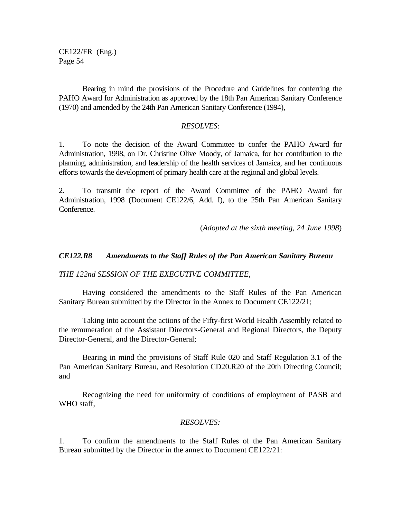Bearing in mind the provisions of the Procedure and Guidelines for conferring the PAHO Award for Administration as approved by the 18th Pan American Sanitary Conference (1970) and amended by the 24th Pan American Sanitary Conference (1994),

#### *RESOLVES*:

1. To note the decision of the Award Committee to confer the PAHO Award for Administration, 1998, on Dr. Christine Olive Moody, of Jamaica, for her contribution to the planning, administration, and leadership of the health services of Jamaica, and her continuous efforts towards the development of primary health care at the regional and global levels.

2. To transmit the report of the Award Committee of the PAHO Award for Administration, 1998 (Document CE122/6, Add. I), to the 25th Pan American Sanitary Conference.

(*Adopted at the sixth meeting, 24 June 1998*)

### *CE122.R8 Amendments to the Staff Rules of the Pan American Sanitary Bureau*

*THE 122nd SESSION OF THE EXECUTIVE COMMITTEE,*

Having considered the amendments to the Staff Rules of the Pan American Sanitary Bureau submitted by the Director in the Annex to Document CE122/21;

Taking into account the actions of the Fifty-first World Health Assembly related to the remuneration of the Assistant Directors-General and Regional Directors, the Deputy Director-General, and the Director-General;

Bearing in mind the provisions of Staff Rule 020 and Staff Regulation 3.1 of the Pan American Sanitary Bureau, and Resolution CD20.R20 of the 20th Directing Council; and

Recognizing the need for uniformity of conditions of employment of PASB and WHO staff.

### *RESOLVES:*

1. To confirm the amendments to the Staff Rules of the Pan American Sanitary Bureau submitted by the Director in the annex to Document CE122/21: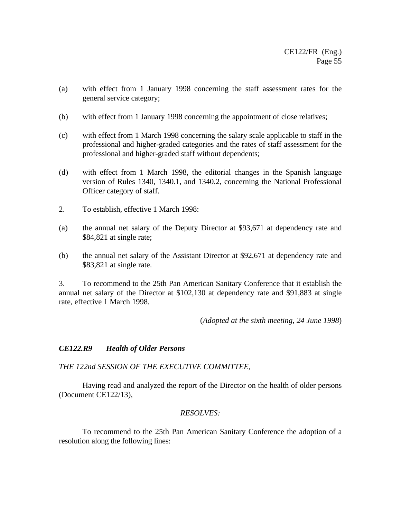- (a) with effect from 1 January 1998 concerning the staff assessment rates for the general service category;
- (b) with effect from 1 January 1998 concerning the appointment of close relatives;
- (c) with effect from 1 March 1998 concerning the salary scale applicable to staff in the professional and higher-graded categories and the rates of staff assessment for the professional and higher-graded staff without dependents;
- (d) with effect from 1 March 1998, the editorial changes in the Spanish language version of Rules 1340, 1340.1, and 1340.2, concerning the National Professional Officer category of staff.
- 2. To establish, effective 1 March 1998:
- (a) the annual net salary of the Deputy Director at \$93,671 at dependency rate and \$84,821 at single rate;
- (b) the annual net salary of the Assistant Director at \$92,671 at dependency rate and \$83,821 at single rate.

3. To recommend to the 25th Pan American Sanitary Conference that it establish the annual net salary of the Director at \$102,130 at dependency rate and \$91,883 at single rate, effective 1 March 1998.

(*Adopted at the sixth meeting, 24 June 1998*)

# *CE122.R9 Health of Older Persons*

### *THE 122nd SESSION OF THE EXECUTIVE COMMITTEE*,

Having read and analyzed the report of the Director on the health of older persons (Document CE122/13),

### *RESOLVES:*

To recommend to the 25th Pan American Sanitary Conference the adoption of a resolution along the following lines: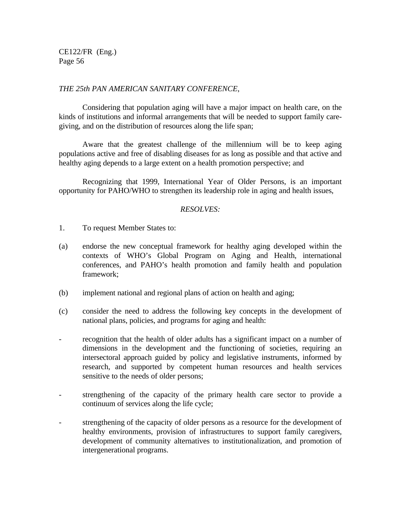### *THE 25th PAN AMERICAN SANITARY CONFERENCE*,

Considering that population aging will have a major impact on health care, on the kinds of institutions and informal arrangements that will be needed to support family caregiving, and on the distribution of resources along the life span;

Aware that the greatest challenge of the millennium will be to keep aging populations active and free of disabling diseases for as long as possible and that active and healthy aging depends to a large extent on a health promotion perspective; and

Recognizing that 1999, International Year of Older Persons, is an important opportunity for PAHO/WHO to strengthen its leadership role in aging and health issues,

### *RESOLVES:*

- 1. To request Member States to:
- (a) endorse the new conceptual framework for healthy aging developed within the contexts of WHO's Global Program on Aging and Health, international conferences, and PAHO's health promotion and family health and population framework;
- (b) implement national and regional plans of action on health and aging;
- (c) consider the need to address the following key concepts in the development of national plans, policies, and programs for aging and health:
- recognition that the health of older adults has a significant impact on a number of dimensions in the development and the functioning of societies, requiring an intersectoral approach guided by policy and legislative instruments, informed by research, and supported by competent human resources and health services sensitive to the needs of older persons;
- strengthening of the capacity of the primary health care sector to provide a continuum of services along the life cycle;
- strengthening of the capacity of older persons as a resource for the development of healthy environments, provision of infrastructures to support family caregivers, development of community alternatives to institutionalization, and promotion of intergenerational programs.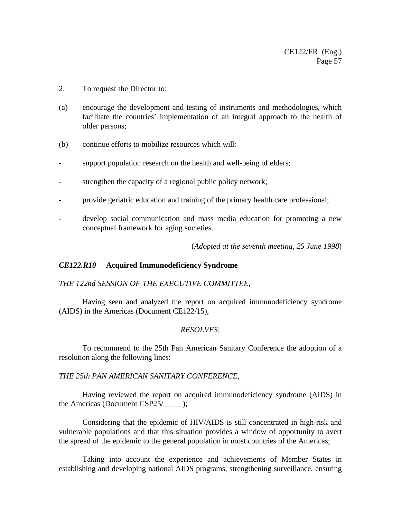- 2. To request the Director to:
- (a) encourage the development and testing of instruments and methodologies, which facilitate the countries' implementation of an integral approach to the health of older persons;
- (b) continue efforts to mobilize resources which will:
- support population research on the health and well-being of elders;
- strengthen the capacity of a regional public policy network;
- provide geriatric education and training of the primary health care professional;
- develop social communication and mass media education for promoting a new conceptual framework for aging societies.

(*Adopted at the seventh meeting, 25 June 1998*)

### *CE122.R10* **Acquired Immunodeficiency Syndrome**

### *THE 122nd SESSION OF THE EXECUTIVE COMMITTEE*,

Having seen and analyzed the report on acquired immunodeficiency syndrome (AIDS) in the Americas (Document CE122/15),

### *RESOLVES*:

To recommend to the 25th Pan American Sanitary Conference the adoption of a resolution along the following lines:

*THE 25th PAN AMERICAN SANITARY CONFERENCE*,

Having reviewed the report on acquired immunodeficiency syndrome (AIDS) in the Americas (Document CSP25/\_\_\_\_\_);

Considering that the epidemic of HIV/AIDS is still concentrated in high-risk and vulnerable populations and that this situation provides a window of opportunity to avert the spread of the epidemic to the general population in most countries of the Americas;

Taking into account the experience and achievements of Member States in establishing and developing national AIDS programs, strengthening surveillance, ensuring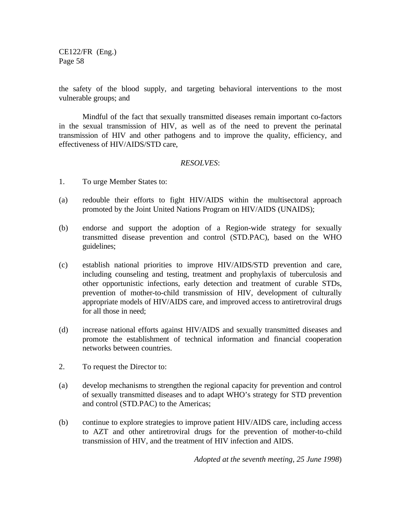the safety of the blood supply, and targeting behavioral interventions to the most vulnerable groups; and

Mindful of the fact that sexually transmitted diseases remain important co-factors in the sexual transmission of HIV, as well as of the need to prevent the perinatal transmission of HIV and other pathogens and to improve the quality, efficiency, and effectiveness of HIV/AIDS/STD care,

## *RESOLVES*:

- 1. To urge Member States to:
- (a) redouble their efforts to fight HIV/AIDS within the multisectoral approach promoted by the Joint United Nations Program on HIV/AIDS (UNAIDS);
- (b) endorse and support the adoption of a Region-wide strategy for sexually transmitted disease prevention and control (STD.PAC), based on the WHO guidelines;
- (c) establish national priorities to improve HIV/AIDS/STD prevention and care, including counseling and testing, treatment and prophylaxis of tuberculosis and other opportunistic infections, early detection and treatment of curable STDs, prevention of mother-to-child transmission of HIV, development of culturally appropriate models of HIV/AIDS care, and improved access to antiretroviral drugs for all those in need;
- (d) increase national efforts against HIV/AIDS and sexually transmitted diseases and promote the establishment of technical information and financial cooperation networks between countries.
- 2. To request the Director to:
- (a) develop mechanisms to strengthen the regional capacity for prevention and control of sexually transmitted diseases and to adapt WHO's strategy for STD prevention and control (STD.PAC) to the Americas;
- (b) continue to explore strategies to improve patient HIV/AIDS care, including access to AZT and other antiretroviral drugs for the prevention of mother-to-child transmission of HIV, and the treatment of HIV infection and AIDS.

*Adopted at the seventh meeting, 25 June 1998*)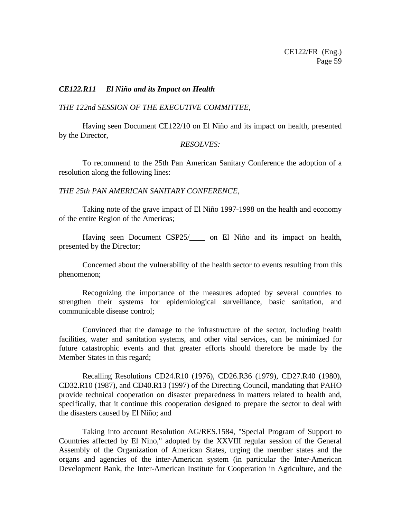### *CE122.R11 El Niño and its Impact on Health*

#### *THE 122nd SESSION OF THE EXECUTIVE COMMITTEE,*

Having seen Document CE122/10 on El Niño and its impact on health, presented by the Director,

### *RESOLVES:*

To recommend to the 25th Pan American Sanitary Conference the adoption of a resolution along the following lines:

### *THE 25th PAN AMERICAN SANITARY CONFERENCE*,

Taking note of the grave impact of El Niño 1997-1998 on the health and economy of the entire Region of the Americas;

Having seen Document CSP25/\_\_\_\_ on El Niño and its impact on health, presented by the Director;

Concerned about the vulnerability of the health sector to events resulting from this phenomenon;

Recognizing the importance of the measures adopted by several countries to strengthen their systems for epidemiological surveillance, basic sanitation, and communicable disease control;

Convinced that the damage to the infrastructure of the sector, including health facilities, water and sanitation systems, and other vital services, can be minimized for future catastrophic events and that greater efforts should therefore be made by the Member States in this regard;

Recalling Resolutions CD24.R10 (1976), CD26.R36 (1979), CD27.R40 (1980), CD32.R10 (1987), and CD40.R13 (1997) of the Directing Council, mandating that PAHO provide technical cooperation on disaster preparedness in matters related to health and, specifically, that it continue this cooperation designed to prepare the sector to deal with the disasters caused by El Niño; and

Taking into account Resolution AG/RES.1584, "Special Program of Support to Countries affected by El Nino," adopted by the XXVIII regular session of the General Assembly of the Organization of American States, urging the member states and the organs and agencies of the inter-American system (in particular the Inter-American Development Bank, the Inter-American Institute for Cooperation in Agriculture, and the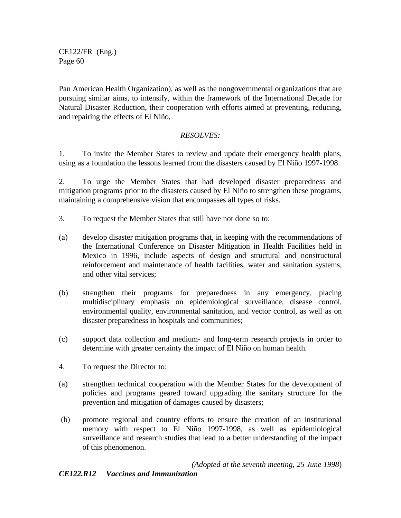Pan American Health Organization), as well as the nongovernmental organizations that are pursuing similar aims, to intensify, within the framework of the International Decade for Natural Disaster Reduction, their cooperation with efforts aimed at preventing, reducing, and repairing the effects of El Niño,

# *RESOLVES:*

1. To invite the Member States to review and update their emergency health plans, using as a foundation the lessons learned from the disasters caused by El Niño 1997-1998.

2. To urge the Member States that had developed disaster preparedness and mitigation programs prior to the disasters caused by El Niño to strengthen these programs, maintaining a comprehensive vision that encompasses all types of risks.

- 3. To request the Member States that still have not done so to:
- (a) develop disaster mitigation programs that, in keeping with the recommendations of the International Conference on Disaster Mitigation in Health Facilities held in Mexico in 1996, include aspects of design and structural and nonstructural reinforcement and maintenance of health facilities, water and sanitation systems, and other vital services;
- (b) strengthen their programs for preparedness in any emergency, placing multidisciplinary emphasis on epidemiological surveillance, disease control, environmental quality, environmental sanitation, and vector control, as well as on disaster preparedness in hospitals and communities;
- (c) support data collection and medium- and long-term research projects in order to determine with greater certainty the impact of El Niño on human health.
- 4. To request the Director to:
- (a) strengthen technical cooperation with the Member States for the development of policies and programs geared toward upgrading the sanitary structure for the prevention and mitigation of damages caused by disasters;
- (b) promote regional and country efforts to ensure the creation of an institutional memory with respect to El Niño 1997-1998, as well as epidemiological surveillance and research studies that lead to a better understanding of the impact of this phenomenon.

*(Adopted at the seventh meeting, 25 June 1998*)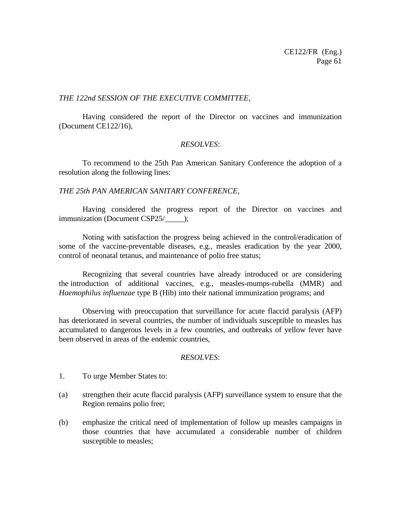### *THE 122nd SESSION OF THE EXECUTIVE COMMITTEE*,

Having considered the report of the Director on vaccines and immunization (Document CE122/16),

## *RESOLVES*:

To recommend to the 25th Pan American Sanitary Conference the adoption of a resolution along the following lines:

## *THE 25th PAN AMERICAN SANITARY CONFERENCE*,

Having considered the progress report of the Director on vaccines and immunization (Document CSP25/\_\_\_\_\_);

Noting with satisfaction the progress being achieved in the control/eradication of some of the vaccine-preventable diseases, e.g., measles eradication by the year 2000, control of neonatal tetanus, and maintenance of polio free status;

Recognizing that several countries have already introduced or are considering the introduction of additional vaccines, e.g., measles-mumps-rubella (MMR) and *Haemophilus influenzae* type B (Hib) into their national immunization programs; and

Observing with preoccupation that surveillance for acute flaccid paralysis (AFP) has deteriorated in several countries, the number of individuals susceptible to measles has accumulated to dangerous levels in a few countries, and outbreaks of yellow fever have been observed in areas of the endemic countries,

## *RESOLVES*:

- 1. To urge Member States to:
- (a) strengthen their acute flaccid paralysis (AFP) surveillance system to ensure that the Region remains polio free;
- (b) emphasize the critical need of implementation of follow up measles campaigns in those countries that have accumulated a considerable number of children susceptible to measles;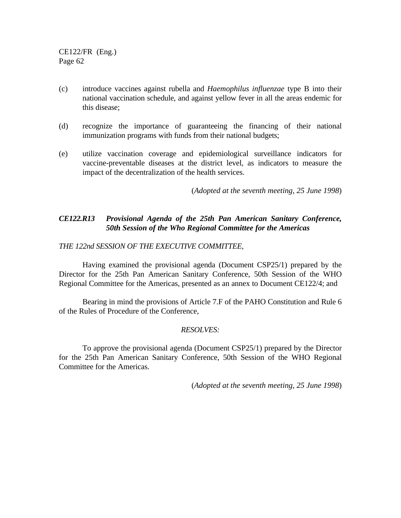- (c) introduce vaccines against rubella and *Haemophilus influenzae* type B into their national vaccination schedule, and against yellow fever in all the areas endemic for this disease;
- (d) recognize the importance of guaranteeing the financing of their national immunization programs with funds from their national budgets;
- (e) utilize vaccination coverage and epidemiological surveillance indicators for vaccine-preventable diseases at the district level, as indicators to measure the impact of the decentralization of the health services.

(*Adopted at the seventh meeting, 25 June 1998*)

# *CE122.R13 Provisional Agenda of the 25th Pan American Sanitary Conference, 50th Session of the Who Regional Committee for the Americas*

## *THE 122nd SESSION OF THE EXECUTIVE COMMITTEE,*

Having examined the provisional agenda (Document CSP25/1) prepared by the Director for the 25th Pan American Sanitary Conference, 50th Session of the WHO Regional Committee for the Americas, presented as an annex to Document CE122/4; and

Bearing in mind the provisions of Article 7.F of the PAHO Constitution and Rule 6 of the Rules of Procedure of the Conference,

## *RESOLVES:*

To approve the provisional agenda (Document CSP25/1) prepared by the Director for the 25th Pan American Sanitary Conference, 50th Session of the WHO Regional Committee for the Americas.

(*Adopted at the seventh meeting, 25 June 1998*)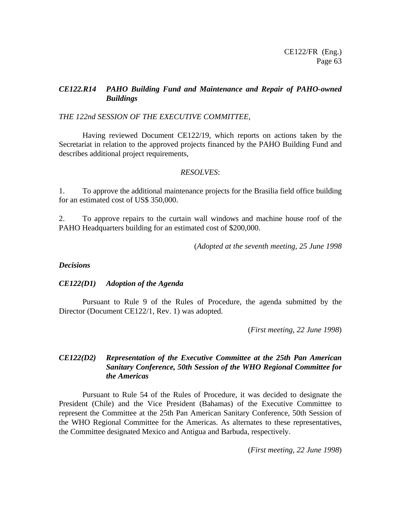# *CE122.R14 PAHO Building Fund and Maintenance and Repair of PAHO-owned Buildings*

## *THE 122nd SESSION OF THE EXECUTIVE COMMITTEE*,

Having reviewed Document CE122/19, which reports on actions taken by the Secretariat in relation to the approved projects financed by the PAHO Building Fund and describes additional project requirements,

### *RESOLVES*:

1. To approve the additional maintenance projects for the Brasilia field office building for an estimated cost of US\$ 350,000.

2. To approve repairs to the curtain wall windows and machine house roof of the PAHO Headquarters building for an estimated cost of \$200,000.

(*Adopted at the seventh meeting, 25 June 1998*

### *Decisions*

## *CE122(D1) Adoption of the Agenda*

Pursuant to Rule 9 of the Rules of Procedure, the agenda submitted by the Director (Document CE122/1, Rev. 1) was adopted.

(*First meeting, 22 June 1998*)

# *CE122(D2) Representation of the Executive Committee at the 25th Pan American Sanitary Conference, 50th Session of the WHO Regional Committee for the Americas*

Pursuant to Rule 54 of the Rules of Procedure, it was decided to designate the President (Chile) and the Vice President (Bahamas) of the Executive Committee to represent the Committee at the 25th Pan American Sanitary Conference, 50th Session of the WHO Regional Committee for the Americas. As alternates to these representatives, the Committee designated Mexico and Antigua and Barbuda, respectively.

(*First meeting, 22 June 1998*)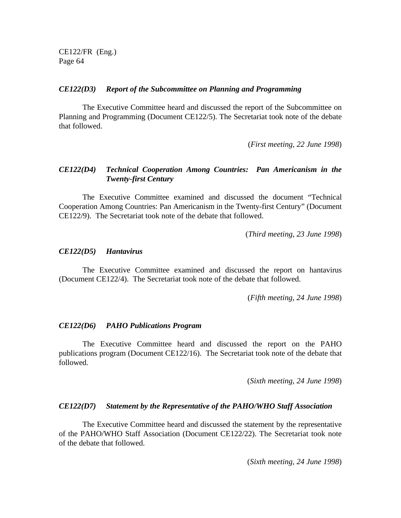#### *CE122(D3) Report of the Subcommittee on Planning and Programming*

The Executive Committee heard and discussed the report of the Subcommittee on Planning and Programming (Document CE122/5). The Secretariat took note of the debate that followed.

(*First meeting, 22 June 1998*)

## *CE122(D4) Technical Cooperation Among Countries: Pan Americanism in the Twenty-first Century*

The Executive Committee examined and discussed the document "Technical Cooperation Among Countries: Pan Americanism in the Twenty-first Century" (Document CE122/9). The Secretariat took note of the debate that followed.

(*Third meeting, 23 June 1998*)

### *CE122(D5) Hantavirus*

The Executive Committee examined and discussed the report on hantavirus (Document CE122/4). The Secretariat took note of the debate that followed.

(*Fifth meeting, 24 June 1998*)

#### *CE122(D6) PAHO Publications Program*

The Executive Committee heard and discussed the report on the PAHO publications program (Document CE122/16). The Secretariat took note of the debate that followed.

(*Sixth meeting, 24 June 1998*)

### *CE122(D7) Statement by the Representative of the PAHO/WHO Staff Association*

The Executive Committee heard and discussed the statement by the representative of the PAHO/WHO Staff Association (Document CE122/22). The Secretariat took note of the debate that followed.

(*Sixth meeting, 24 June 1998*)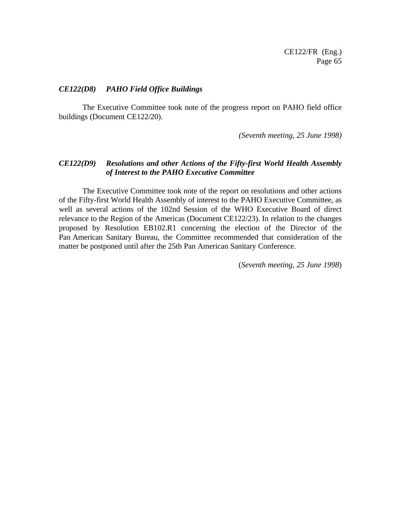### *CE122(D8) PAHO Field Office Buildings*

The Executive Committee took note of the progress report on PAHO field office buildings (Document CE122/20).

*(Seventh meeting, 25 June 1998)*

### *CE122(D9) Resolutions and other Actions of the Fifty-first World Health Assembly of Interest to the PAHO Executive Committee*

The Executive Committee took note of the report on resolutions and other actions of the Fifty-first World Health Assembly of interest to the PAHO Executive Committee, as well as several actions of the 102nd Session of the WHO Executive Board of direct relevance to the Region of the Americas (Document CE122/23). In relation to the changes proposed by Resolution EB102.R1 concerning the election of the Director of the Pan American Sanitary Bureau, the Committee recommended that consideration of the matter be postponed until after the 25th Pan American Sanitary Conference.

(*Seventh meeting, 25 June 1998*)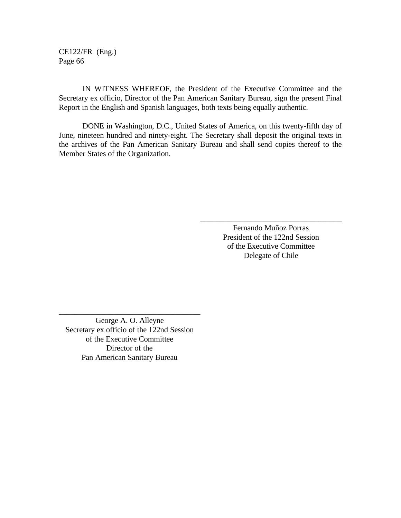IN WITNESS WHEREOF, the President of the Executive Committee and the Secretary ex officio, Director of the Pan American Sanitary Bureau, sign the present Final Report in the English and Spanish languages, both texts being equally authentic.

DONE in Washington, D.C., United States of America, on this twenty-fifth day of June, nineteen hundred and ninety-eight. The Secretary shall deposit the original texts in the archives of the Pan American Sanitary Bureau and shall send copies thereof to the Member States of the Organization.

> Fernando Muñoz Porras President of the 122nd Session of the Executive Committee Delegate of Chile

\_\_\_\_\_\_\_\_\_\_\_\_\_\_\_\_\_\_\_\_\_\_\_\_\_\_\_\_\_\_\_\_\_\_\_\_

George A. O. Alleyne Secretary ex officio of the 122nd Session of the Executive Committee Director of the Pan American Sanitary Bureau

\_\_\_\_\_\_\_\_\_\_\_\_\_\_\_\_\_\_\_\_\_\_\_\_\_\_\_\_\_\_\_\_\_\_\_\_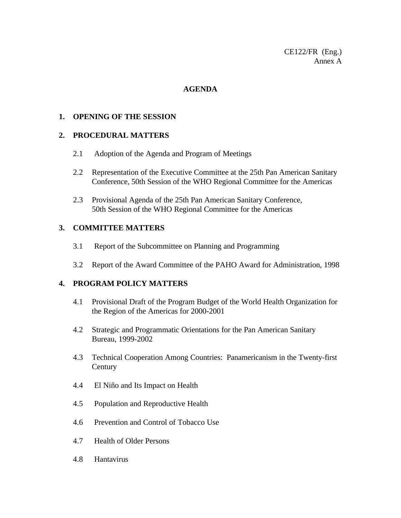CE122/FR (Eng.) Annex A

### **AGENDA**

### **1. OPENING OF THE SESSION**

### **2. PROCEDURAL MATTERS**

- 2.1 Adoption of the Agenda and Program of Meetings
- 2.2 Representation of the Executive Committee at the 25th Pan American Sanitary Conference, 50th Session of the WHO Regional Committee for the Americas
- 2.3 Provisional Agenda of the 25th Pan American Sanitary Conference, 50th Session of the WHO Regional Committee for the Americas

# **3. COMMITTEE MATTERS**

- 3.1 Report of the Subcommittee on Planning and Programming
- 3.2 Report of the Award Committee of the PAHO Award for Administration, 1998

### **4. PROGRAM POLICY MATTERS**

- 4.1 Provisional Draft of the Program Budget of the World Health Organization for the Region of the Americas for 2000-2001
- 4.2 Strategic and Programmatic Orientations for the Pan American Sanitary Bureau, 1999-2002
- 4.3 Technical Cooperation Among Countries: Panamericanism in the Twenty-first **Century**
- 4.4 El Niño and Its Impact on Health
- 4.5 Population and Reproductive Health
- 4.6 Prevention and Control of Tobacco Use
- 4.7 Health of Older Persons
- 4.8 Hantavirus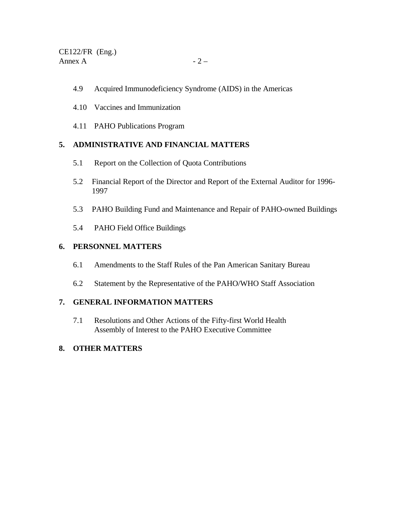- 4.9 Acquired Immunodeficiency Syndrome (AIDS) in the Americas
- 4.10 Vaccines and Immunization
- 4.11 PAHO Publications Program

# **5. ADMINISTRATIVE AND FINANCIAL MATTERS**

- 5.1 Report on the Collection of Quota Contributions
- 5.2 Financial Report of the Director and Report of the External Auditor for 1996- 1997
- 5.3 PAHO Building Fund and Maintenance and Repair of PAHO-owned Buildings
- 5.4 PAHO Field Office Buildings

# **6. PERSONNEL MATTERS**

- 6.1 Amendments to the Staff Rules of the Pan American Sanitary Bureau
- 6.2 Statement by the Representative of the PAHO/WHO Staff Association

# **7. GENERAL INFORMATION MATTERS**

7.1 Resolutions and Other Actions of the Fifty-first World Health Assembly of Interest to the PAHO Executive Committee

# **8. OTHER MATTERS**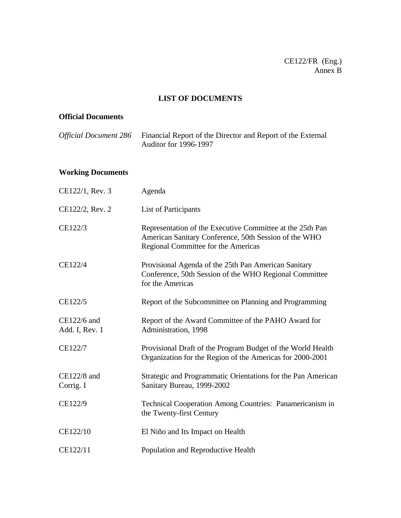# **LIST OF DOCUMENTS**

# **Official Documents**

| <i>Official Document 286</i> Financial Report of the Director and Report of the External |
|------------------------------------------------------------------------------------------|
| <b>Auditor for 1996-1997</b>                                                             |

# **Working Documents**

| CE122/1, Rev. 3               | Agenda                                                                                                                                                    |
|-------------------------------|-----------------------------------------------------------------------------------------------------------------------------------------------------------|
| CE122/2, Rev. 2               | List of Participants                                                                                                                                      |
| CE122/3                       | Representation of the Executive Committee at the 25th Pan<br>American Sanitary Conference, 50th Session of the WHO<br>Regional Committee for the Americas |
| CE122/4                       | Provisional Agenda of the 25th Pan American Sanitary<br>Conference, 50th Session of the WHO Regional Committee<br>for the Americas                        |
| CE122/5                       | Report of the Subcommittee on Planning and Programming                                                                                                    |
| CE122/6 and<br>Add. I, Rev. 1 | Report of the Award Committee of the PAHO Award for<br>Administration, 1998                                                                               |
| CE122/7                       | Provisional Draft of the Program Budget of the World Health<br>Organization for the Region of the Americas for 2000-2001                                  |
| $CE122/8$ and<br>Corrig. I    | Strategic and Programmatic Orientations for the Pan American<br>Sanitary Bureau, 1999-2002                                                                |
| CE122/9                       | Technical Cooperation Among Countries: Panamericanism in<br>the Twenty-first Century                                                                      |
| CE122/10                      | El Niño and Its Impact on Health                                                                                                                          |
| CE122/11                      | Population and Reproductive Health                                                                                                                        |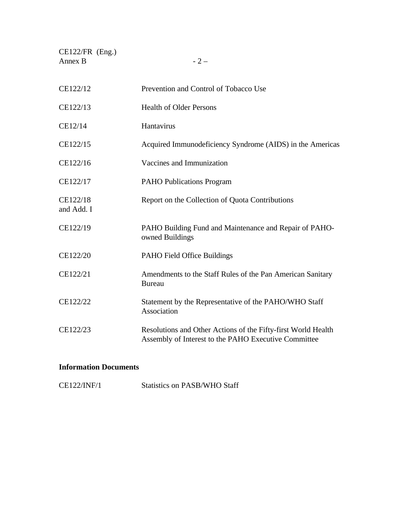| $CE122/FR$ (Eng.)<br>Annex B | $-2-$                                                                                                                 |
|------------------------------|-----------------------------------------------------------------------------------------------------------------------|
| CE122/12                     | Prevention and Control of Tobacco Use                                                                                 |
| CE122/13                     | <b>Health of Older Persons</b>                                                                                        |
| CE12/14                      | Hantavirus                                                                                                            |
| CE122/15                     | Acquired Immunodeficiency Syndrome (AIDS) in the Americas                                                             |
| CE122/16                     | Vaccines and Immunization                                                                                             |
| CE122/17                     | <b>PAHO Publications Program</b>                                                                                      |
| CE122/18<br>and Add. I       | Report on the Collection of Quota Contributions                                                                       |
| CE122/19                     | PAHO Building Fund and Maintenance and Repair of PAHO-<br>owned Buildings                                             |
| CE122/20                     | PAHO Field Office Buildings                                                                                           |
| CE122/21                     | Amendments to the Staff Rules of the Pan American Sanitary<br><b>Bureau</b>                                           |
| CE122/22                     | Statement by the Representative of the PAHO/WHO Staff<br>Association                                                  |
| CE122/23                     | Resolutions and Other Actions of the Fifty-first World Health<br>Assembly of Interest to the PAHO Executive Committee |

# **Information Documents**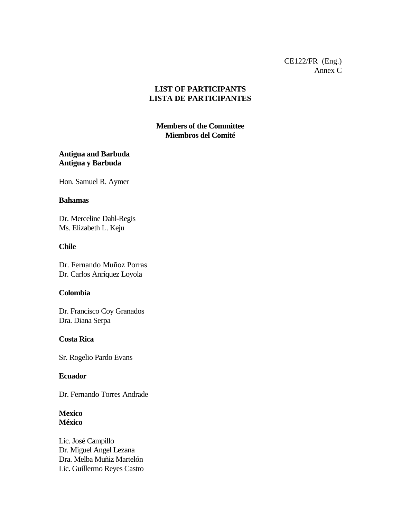# **LIST OF PARTICIPANTS LISTA DE PARTICIPANTES**

# **Members of the Committee Miembros del Comité**

# **Antigua and Barbuda Antigua y Barbuda**

Hon. Samuel R. Aymer

### **Bahamas**

Dr. Merceline Dahl-Regis Ms. Elizabeth L. Keju

### **Chile**

Dr. Fernando Muñoz Porras Dr. Carlos Anríquez Loyola

## **Colombia**

Dr. Francisco Coy Granados Dra. Diana Serpa

## **Costa Rica**

Sr. Rogelio Pardo Evans

## **Ecuador**

Dr. Fernando Torres Andrade

### **Mexico México**

Lic. José Campillo Dr. Miguel Angel Lezana Dra. Melba Muñiz Martelón Lic. Guillermo Reyes Castro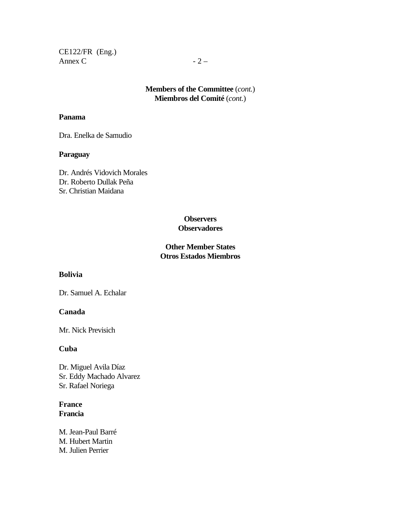CE122/FR (Eng.) Annex C  $-2$  –

# **Members of the Committee** (*cont.*) **Miembros del Comité** (*cont.*)

### **Panama**

Dra. Enelka de Samudio

## **Paraguay**

Dr. Andrés Vidovich Morales Dr. Roberto Dullak Peña Sr. Christian Maidana

## **Observers Observadores**

# **Other Member States Otros Estados Miembros**

# **Bolivia**

Dr. Samuel A. Echalar

### **Canada**

Mr. Nick Previsich

### **Cuba**

Dr. Miguel Avila Díaz Sr. Eddy Machado Alvarez Sr. Rafael Noriega

## **France Francia**

M. Jean-Paul Barré M. Hubert Martin M. Julien Perrier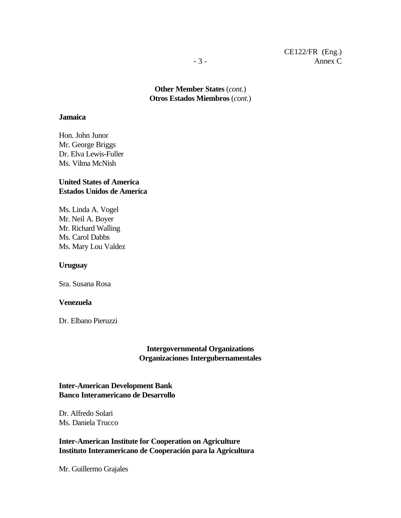**Other Member States** (*cont.*) **Otros Estados Miembros** (*cont.*)

### **Jamaica**

Hon. John Junor Mr. George Briggs Dr. Elva Lewis-Fuller Ms. Vilma McNish

## **United States of America Estados Unidos de America**

Ms. Linda A. Vogel Mr. Neil A. Boyer Mr. Richard Walling Ms. Carol Dabbs Ms. Mary Lou Valdez

### **Uruguay**

Sra. Susana Rosa

### **Venezuela**

Dr. Elbano Pieruzzi

## **Intergovernmental Organizations Organizaciones Intergubernamentales**

## **Inter-American Development Bank Banco Interamericano de Desarrollo**

Dr. Alfredo Solari Ms. Daniela Trucco

## **Inter-American Institute for Cooperation on Agriculture Instituto Interamericano de Cooperación para la Agricultura**

Mr. Guillermo Grajales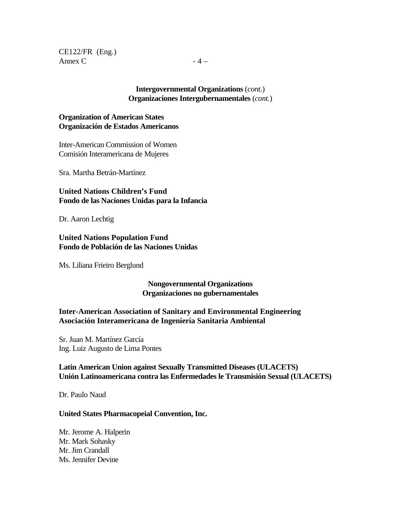CE122/FR (Eng.) Annex C  $-4 -$ 

### **Intergovernmental Organizations** (*cont.*) **Organizaciones Intergubernamentales** (*cont.*)

## **Organization of American States Organización de Estados Americanos**

Inter-American Commission of Women Comisión Interamericana de Mujeres

Sra. Martha Betrán-Martínez

**United Nations Children's Fund Fondo de las Naciones Unidas para la Infancia**

Dr. Aaron Lechtig

**United Nations Population Fund Fondo de Población de las Naciones Unidas**

Ms. Liliana Frieiro Berglund

## **Nongovernmental Organizations Organizaciones no gubernamentales**

## **Inter-American Association of Sanitary and Environmental Engineering Asociación Interamericana de Ingeniería Sanitaria Ambiental**

Sr. Juan M. Martínez García Ing. Luiz Augusto de Lima Pontes

**Latin American Union against Sexually Transmitted Diseases (ULACETS) Unión Latinoamericana contra las Enfermedades le Transmisión Sexual (ULACETS)**

Dr. Paulo Naud

## **United States Pharmacopeial Convention, Inc.**

Mr. Jerome A. Halperin Mr. Mark Sohasky Mr. Jim Crandall Ms. Jennifer Devine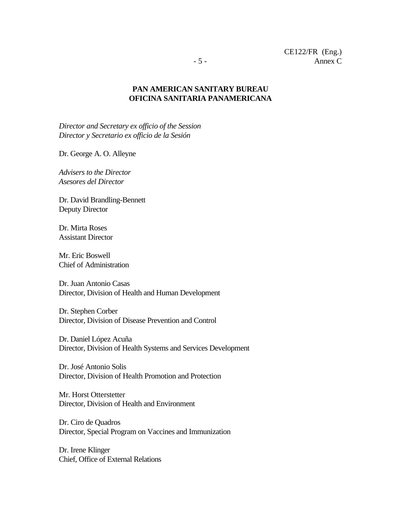## **PAN AMERICAN SANITARY BUREAU OFICINA SANITARIA PANAMERICANA**

*Director and Secretary ex officio of the Session Director y Secretario ex officio de la Sesión*

Dr. George A. O. Alleyne

*Advisers to the Director Asesores del Director*

Dr. David Brandling-Bennett Deputy Director

Dr. Mirta Roses Assistant Director

Mr. Eric Boswell Chief of Administration

Dr. Juan Antonio Casas Director, Division of Health and Human Development

Dr. Stephen Corber Director, Division of Disease Prevention and Control

Dr. Daniel López Acuña Director, Division of Health Systems and Services Development

Dr. José Antonio Solis Director, Division of Health Promotion and Protection

Mr. Horst Otterstetter Director, Division of Health and Environment

Dr. Ciro de Quadros Director, Special Program on Vaccines and Immunization

Dr. Irene Klinger Chief, Office of External Relations